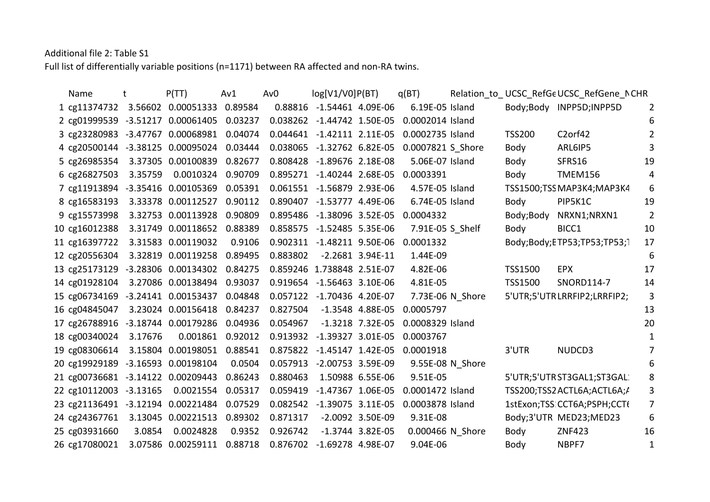## Additional file 2: Table S1

Full list of differentially variable positions (n=1171) between RA affected and non-RA twins.

| Name                  | P(TT)                                                                                 | Av1    | Av <sub>0</sub> | log[V1/V0]P(BT)            |                    | q(BT)                                                      |                  |               | Relation_to_UCSC_RefGeUCSC_RefGene_NCHR |                |
|-----------------------|---------------------------------------------------------------------------------------|--------|-----------------|----------------------------|--------------------|------------------------------------------------------------|------------------|---------------|-----------------------------------------|----------------|
|                       | 1 cg11374732 3.56602 0.00051333 0.89584 0.88816 -1.54461 4.09E-06 6.19E-05 Island     |        |                 |                            |                    |                                                            |                  |               | Body;Body INPP5D;INPP5D                 | 2              |
|                       | 2 cg01999539 -3.51217 0.00061405 0.03237                                              |        |                 |                            |                    | 0.038262 -1.44742 1.50E-05 0.0002014 Island                |                  |               |                                         | 6              |
|                       | 3 cg23280983 -3.47767 0.00068981 0.04074 0.044641 -1.42111 2.11E-05 0.0002735 Island  |        |                 |                            |                    |                                                            |                  | <b>TSS200</b> | C2orf42                                 | $\overline{2}$ |
|                       | 4 cg20500144 -3.38125 0.00095024 0.03444 0.038065 -1.32762 6.82E-05                   |        |                 |                            |                    | 0.0007821 S Shore                                          |                  | Body          | ARL6IP5                                 | 3              |
|                       | 5 cg26985354 3.37305 0.00100839 0.82677 0.808428 -1.89676 2.18E-08                    |        |                 |                            |                    | 5.06E-07 Island                                            |                  | Body          | SFRS16                                  | 19             |
|                       | 6 cg26827503 3.35759 0.0010324 0.90709                                                |        |                 |                            |                    | 0.895271 -1.40244 2.68E-05 0.0003391                       |                  | Body          | TMEM156                                 | 4              |
|                       | 7 cg11913894 -3.35416 0.00105369 0.05391 0.061551 -1.56879 2.93E-06                   |        |                 |                            |                    | 4.57E-05 Island                                            |                  |               | TSS1500;TSSMAP3K4;MAP3K4                | 6              |
|                       | 8 cg16583193 3.33378 0.00112527 0.90112 0.890407 -1.53777 4.49E-06                    |        |                 |                            |                    | 6.74E-05 Island                                            |                  | Body          | PIP5K1C                                 | 19             |
|                       | 9 cg15573998 3.32753 0.00113928 0.90809                                               |        |                 | 0.895486 -1.38096 3.52E-05 |                    | 0.0004332                                                  |                  | Body;Body     | NRXN1;NRXN1                             | 2              |
|                       | 10 cg16012388 3.31749 0.00118652 0.88389 0.858575 -1.52485 5.35E-06                   |        |                 |                            |                    | 7.91E-05 S_Shelf                                           |                  | Body          | BICC1                                   | 10             |
|                       | 11 cg16397722 3.31583 0.00119032                                                      | 0.9106 |                 |                            |                    | 0.902311 -1.48211 9.50E-06 0.0001332                       |                  |               | Body;Body;ETP53;TP53;TP53;1             | 17             |
|                       | 12 cg20556304 3.32819 0.00119258 0.89495 0.883802                                     |        |                 |                            | $-2.2681$ 3.94E-11 | 1.44E-09                                                   |                  |               |                                         | 6              |
|                       | 13 cg25173129 -3.28306 0.00134302 0.84275 0.859246 1.738848 2.51E-07                  |        |                 |                            |                    | 4.82E-06                                                   |                  | TSS1500       | <b>EPX</b>                              | 17             |
|                       | 14 cg01928104 3.27086 0.00138494 0.93037 0.919654 -1.56463 3.10E-06                   |        |                 |                            |                    | 4.81E-05                                                   |                  | TSS1500       | SNORD114-7                              | 14             |
|                       | 15 cg06734169 -3.24141 0.00153437 0.04848 0.057122 -1.70436 4.20E-07                  |        |                 |                            |                    |                                                            | 7.73E-06 N Shore |               | 5'UTR;5'UTRLRRFIP2;LRRFIP2;             | $\overline{3}$ |
|                       | 16 cg04845047 3.23024 0.00156418 0.84237 0.827504                                     |        |                 |                            |                    | 0.0005797                                                  |                  |               |                                         | 13             |
|                       | 17 cg26788916 -3.18744 0.00179286 0.04936 0.054967                                    |        |                 |                            |                    | 0.0008329 Island                                           |                  |               |                                         | 20             |
| 18 cg00340024 3.17676 |                                                                                       |        |                 |                            |                    | 0.001861  0.92012  0.913932  -1.39327  3.01E-05  0.0003767 |                  |               |                                         | 1              |
|                       | 19 cg08306614 3.15804 0.00198051 0.88541 0.875822 -1.45147 1.42E-05                   |        |                 |                            |                    | 0.0001918                                                  |                  | 3'UTR         | NUDCD3                                  |                |
|                       | 20 cg19929189 -3.16593 0.00198104 0.0504 0.057913 -2.00753 3.59E-09                   |        |                 |                            |                    | 9.55E-08 N Shore                                           |                  |               |                                         | 6              |
|                       | 21 cg00736681 -3.14122 0.00209443 0.86243 0.880463                                    |        |                 | 1.50988 6.55E-06           |                    | 9.51E-05                                                   |                  |               | 5'UTR;5'UTRST3GAL1;ST3GAL               | 8              |
|                       | 22 cg10112003 -3.13165 0.0021554 0.05317 0.059419 -1.47367 1.06E-05                   |        |                 |                            |                    | 0.0001472 Island                                           |                  |               | TSS200;TSS2ACTL6A;ACTL6A;A              | 3              |
|                       | 23 cg21136491 -3.12194 0.00221484 0.07529 0.082542 -1.39075 3.11E-05 0.0003878 Island |        |                 |                            |                    |                                                            |                  |               | 1stExon; TSS: CCT6A; PSPH; CCT(         | 7              |
|                       | 24 cg24367761 3.13045 0.00221513 0.89302                                              |        | 0.871317        |                            | -2.0092 3.50E-09   | 9.31E-08                                                   |                  |               | Body;3'UTR MED23;MED23                  | 6              |
| 25 cg03931660         | 3.0854 0.0024828                                                                      |        | 0.9352 0.926742 |                            | $-1.3744$ 3.82E-05 | 0.000466 N Shore                                           |                  | Body          | <b>ZNF423</b>                           | 16             |
|                       | 26 cg17080021 3.07586 0.00259111 0.88718 0.876702 -1.69278 4.98E-07                   |        |                 |                            |                    | 9.04E-06                                                   |                  | Body          | NBPF7                                   | $\mathbf{1}$   |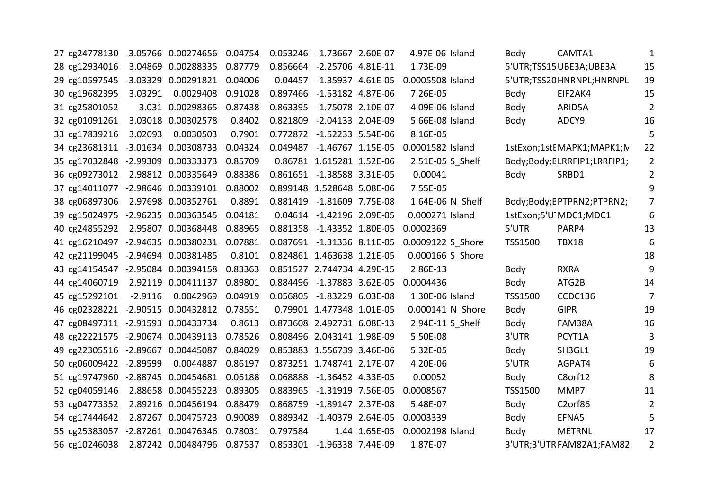| 27 cg24778130 -3.05766 0.00274656 0.04754 0.053246 -1.73667 2.60E-07      |                          |        |                            |                           | 4.97E-06 Island                      | Body           | CAMTA1                      | 1              |
|---------------------------------------------------------------------------|--------------------------|--------|----------------------------|---------------------------|--------------------------------------|----------------|-----------------------------|----------------|
| 28 cg12934016 3.04869 0.00288335 0.87779 0.856664 -2.25706 4.81E-11       |                          |        |                            |                           | 1.73E-09                             |                | 5'UTR;TSS15UBE3A;UBE3A      | 15             |
| 29 cg10597545 -3.03329 0.00291821 0.04006                                 |                          |        |                            | 0.04457 -1.35937 4.61E-05 | 0.0005508 Island                     |                | 5'UTR;TSS20HNRNPL;HNRNPL    | 19             |
| 30 cg19682395 3.03291 0.0029408 0.91028                                   |                          |        | 0.897466 -1.53182 4.87E-06 |                           | 7.26E-05                             | Body           | EIF2AK4                     | 15             |
| 31 cg25801052                                                             | 3.031 0.00298365 0.87438 |        | 0.863395 -1.75078 2.10E-07 |                           | 4.09E-06 Island                      | Body           | ARID5A                      | $\overline{2}$ |
| 32 cg01091261 3.03018 0.00302578 0.8402                                   |                          |        | 0.821809 -2.04133 2.04E-09 |                           | 5.66E-08 Island                      | Body           | ADCY9                       | 16             |
| 33 cg17839216 3.02093 0.0030503                                           |                          | 0.7901 | 0.772872 -1.52233 5.54E-06 |                           | 8.16E-05                             |                |                             | 5              |
| 34 cg23681311 -3.01634 0.00308733 0.04324                                 |                          |        | 0.049487 -1.46767 1.15E-05 |                           | 0.0001582 Island                     |                | 1stExon;1stEMAPK1;MAPK1;N   | 22             |
| 35 cg17032848 -2.99309 0.00333373 0.85709                                 |                          |        | 0.86781 1.615281 1.52E-06  |                           | 2.51E-05 S_Shelf                     |                | Body;Body;ELRRFIP1;LRRFIP1; | $\overline{2}$ |
| 36 cg09273012 2.98812 0.00335649 0.88386                                  |                          |        | 0.861651 -1.38588 3.31E-05 |                           | 0.00041                              | Body           | SRBD1                       | $\overline{2}$ |
| 37 cg14011077 -2.98646 0.00339101 0.88002                                 |                          |        | 0.899148 1.528648 5.08E-06 |                           | 7.55E-05                             |                |                             | 9              |
| 38 cg06897306 2.97698 0.00352761 0.8891                                   |                          |        | 0.881419 -1.81609 7.75E-08 |                           | 1.64E-06 N Shelf                     |                | Body;Body;EPTPRN2;PTPRN2;I  | $\overline{7}$ |
| 39 cg15024975 -2.96235 0.00363545 0.04181                                 |                          |        | 0.04614 -1.42196 2.09E-05  |                           | 0.000271 Island                      |                | 1stExon;5'U MDC1;MDC1       | 6              |
| 40 cg24855292 2.95807 0.00368448 0.88965                                  |                          |        | 0.881358 -1.43352 1.80E-05 |                           | 0.0002369                            | 5'UTR          | PARP4                       | 13             |
| 41 cg16210497 -2.94635 0.00380231 0.07881                                 |                          |        | 0.087691 -1.31336 8.11E-05 |                           | 0.0009122 S_Shore                    | <b>TSS1500</b> | TBX18                       | 6              |
| 42 cg21199045 -2.94694 0.00381485 0.8101                                  |                          |        | 0.824861 1.463638 1.21E-05 |                           | 0.000166 S Shore                     |                |                             | 18             |
| 43 cg14154547 -2.95084 0.00394158 0.83363                                 |                          |        | 0.851527 2.744734 4.29E-15 |                           | 2.86E-13                             | Body           | <b>RXRA</b>                 | 9              |
| 44 cg14060719 2.92119 0.00411137 0.89801                                  |                          |        | 0.884496 -1.37883 3.62E-05 |                           | 0.0004436                            | Body           | ATG2B                       | 14             |
| 45 cg15292101 -2.9116 0.0042969 0.04919                                   |                          |        | 0.056805 -1.83229 6.03E-08 |                           | 1.30E-06 Island                      | <b>TSS1500</b> | CCDC136                     | $\overline{7}$ |
| 46 cg02328221 -2.90515 0.00432812 0.78551                                 |                          |        | 0.79901 1.477348 1.01E-05  |                           | 0.000141 N Shore                     | Body           | <b>GIPR</b>                 | 19             |
| 47 cg08497311 -2.91593 0.00433734 0.8613                                  |                          |        | 0.873608 2.492731 6.08E-13 |                           | 2.94E-11 S Shelf                     | Body           | FAM38A                      | 16             |
| 48 cg22221575 -2.90674 0.00439113 0.78526                                 |                          |        | 0.808496 2.043141 1.98E-09 |                           | 5.50E-08                             | 3'UTR          | PCYT1A                      | 3              |
| 49 cg22305516 -2.89667 0.00445087 0.84029                                 |                          |        | 0.853883 1.556739 3.46E-06 |                           | 5.32E-05                             | Body           | SH3GL1                      | 19             |
| 50 cg06009422 -2.89599 0.0044887 0.86197                                  |                          |        | 0.873251 1.748741 2.17E-07 |                           | 4.20E-06                             | 5'UTR          | AGPAT4                      | 6              |
| 51 cg19747960 -2.88745 0.00454681 0.06188                                 |                          |        | 0.068888 -1.36452 4.33E-05 |                           | 0.00052                              | Body           | C8orf12                     | 8              |
| 52 cg04059146 2.88658 0.00455223 0.89305                                  |                          |        | 0.883965 -1.31919 7.56E-05 |                           | 0.0008567                            | <b>TSS1500</b> | MMP7                        | 11             |
| 53 cg04773352 2.89216 0.00456194 0.88479                                  |                          |        | 0.868759 -1.89147 2.37E-08 |                           | 5.48E-07                             | Body           | C2orf86                     | $\overline{2}$ |
| 54 cg17444642 2.87267 0.00475723 0.90089                                  |                          |        |                            |                           | 0.889342 -1.40379 2.64E-05 0.0003339 | Body           | EFNA5                       | 5              |
| 55 cg25383057 -2.87261 0.00476346 0.78031                                 |                          |        | 0.797584                   |                           | 1.44 1.65E-05 0.0002198 Island       | Body           | <b>METRNL</b>               | 17             |
| 56 cg10246038  2.87242  0.00484796  0.87537  0.853301  -1.96338  7.44E-09 |                          |        |                            |                           | 1.87E-07                             |                | 3'UTR;3'UTRFAM82A1;FAM82    | $\overline{2}$ |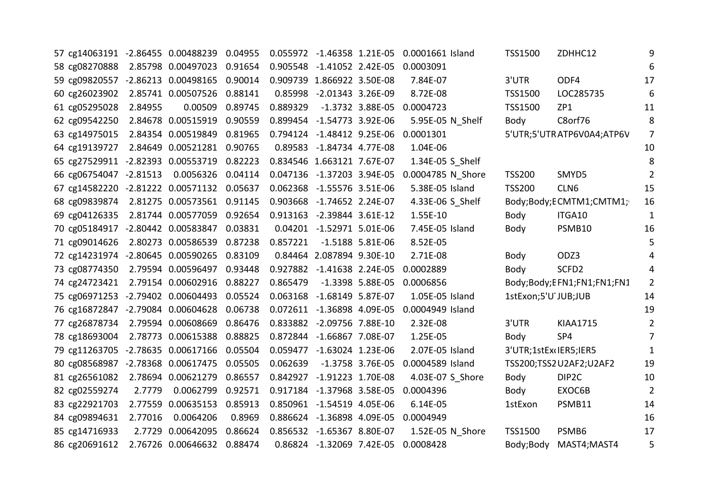| 57 cg14063191 -2.86455 0.00488239 0.04955                                            |                            |                 |                            |                           |                    | 0.055972 -1.46358 1.21E-05 0.0001661 Island  | <b>TSS1500</b>        | ZDHHC12                    | ٩              |
|--------------------------------------------------------------------------------------|----------------------------|-----------------|----------------------------|---------------------------|--------------------|----------------------------------------------|-----------------------|----------------------------|----------------|
| 58 cg08270888  2.85798  0.00497023  0.91654  0.905548  -1.41052  2.42E-05  0.0003091 |                            |                 |                            |                           |                    |                                              |                       |                            | 6              |
| 59 cg09820557 -2.86213 0.00498165 0.90014                                            |                            |                 | 0.909739 1.866922 3.50E-08 |                           |                    | 7.84E-07                                     | 3'UTR                 | ODF4                       | 17             |
| 60 cg26023902 2.85741 0.00507526 0.88141                                             |                            |                 |                            | 0.85998 -2.01343 3.26E-09 |                    | 8.72E-08                                     | <b>TSS1500</b>        | LOC285735                  | 6              |
| 61 cg05295028 2.84955                                                                |                            | 0.00509 0.89745 | 0.889329                   |                           |                    | -1.3732 3.88E-05 0.0004723                   | <b>TSS1500</b>        | ZP1                        | 11             |
| 62 cg09542250 2.84678 0.00515919 0.90559                                             |                            |                 | 0.899454 -1.54773 3.92E-06 |                           |                    | 5.95E-05 N Shelf                             | Body                  | C8orf76                    | 8              |
| 63 cg14975015 2.84354 0.00519849 0.81965                                             |                            |                 |                            |                           |                    | 0.794124 -1.48412 9.25E-06 0.0001301         |                       | 5'UTR;5'UTRATP6V0A4;ATP6V  | 7              |
| 64 cg19139727 2.84649 0.00521281 0.90765                                             |                            |                 |                            | 0.89583 -1.84734 4.77E-08 |                    | 1.04E-06                                     |                       |                            | 10             |
| 65 cg27529911 -2.82393 0.00553719 0.82223                                            |                            |                 | 0.834546 1.663121 7.67E-07 |                           |                    | 1.34E-05 S_Shelf                             |                       |                            | 8              |
| 66 cg06754047 -2.81513 0.0056326 0.04114                                             |                            |                 |                            |                           |                    | 0.047136 -1.37203 3.94E-05 0.0004785 N Shore | <b>TSS200</b>         | SMYD5                      | $\overline{2}$ |
| 67 cg14582220 -2.81222 0.00571132 0.05637                                            |                            |                 | 0.062368 -1.55576 3.51E-06 |                           |                    | 5.38E-05 Island                              | <b>TSS200</b>         | CLN6                       | 15             |
| 68 cg09839874 2.81275 0.00573561 0.91145                                             |                            |                 | 0.903668 -1.74652 2.24E-07 |                           |                    | 4.33E-06 S Shelf                             |                       | Body;Body;ECMTM1;CMTM1;    | 16             |
| 69 cg04126335 2.81744 0.00577059 0.92654                                             |                            |                 | 0.913163 -2.39844 3.61E-12 |                           |                    | 1.55E-10                                     | Body                  | ITGA10                     | 1              |
| 70 cg05184917 -2.80442 0.00583847 0.03831                                            |                            |                 |                            | 0.04201 -1.52971 5.01E-06 |                    | 7.45E-05 Island                              | Body                  | PSMB10                     | 16             |
| 71 cg09014626 2.80273 0.00586539 0.87238                                             |                            |                 | 0.857221                   |                           | $-1.5188$ 5.81E-06 | 8.52E-05                                     |                       |                            | 5              |
| 72 cg14231974 -2.80645 0.00590265 0.83109                                            |                            |                 |                            | 0.84464 2.087894 9.30E-10 |                    | 2.71E-08                                     | Body                  | ODZ3                       |                |
| 73 cg08774350 2.79594 0.00596497 0.93448                                             |                            |                 |                            |                           |                    | 0.927882 -1.41638 2.24E-05 0.0002889         | Body                  | SCFD <sub>2</sub>          | 4              |
| 74 cg24723421 2.79154 0.00602916 0.88227                                             |                            |                 |                            |                           |                    | 0.865479 -1.3398 5.88E-05 0.0006856          |                       | Body;Body;EFN1;FN1;FN1;FN1 | 2              |
| 75 cg06971253 -2.79402 0.00604493 0.05524                                            |                            |                 | 0.063168 -1.68149 5.87E-07 |                           |                    | 1.05E-05 Island                              | 1stExon;5'U JUB;JUB   |                            | 14             |
| 76 cg16872847 -2.79084 0.00604628 0.06738                                            |                            |                 |                            |                           |                    | 0.072611 -1.36898 4.09E-05 0.0004949 Island  |                       |                            | 19             |
| 77 cg26878734 2.79594 0.00608669 0.86476                                             |                            |                 | 0.833882 -2.09756 7.88E-10 |                           |                    | 2.32E-08                                     | 3'UTR                 | <b>KIAA1715</b>            | $\overline{2}$ |
| 78 cg18693004 2.78773 0.00615388 0.88825                                             |                            |                 | 0.872844 -1.66867 7.08E-07 |                           |                    | 1.25E-05                                     | Body                  | SP4                        |                |
| 79 cg11263705 -2.78635 0.00617166 0.05504                                            |                            |                 | 0.059477 -1.63024 1.23E-06 |                           |                    | 2.07E-05 Island                              | 3'UTR;1stEx(IER5;IER5 |                            | 1              |
| 80 cg08568987 -2.78368 0.00617475 0.05505                                            |                            |                 |                            |                           |                    | 0.062639 -1.3758 3.76E-05 0.0004589 Island   |                       | TSS200;TSS2U2AF2;U2AF2     | 19             |
| 81 cg26561082 2.78694 0.00621279 0.86557                                             |                            |                 | 0.842927 -1.91223 1.70E-08 |                           |                    | 4.03E-07 S Shore                             | Body                  | DIP <sub>2C</sub>          | 10             |
| 82 cg02559274                                                                        | 2.7779  0.0062799  0.92571 |                 |                            |                           |                    | 0.917184 -1.37968 3.58E-05 0.0004396         | Body                  | EXOC6B                     | $\overline{2}$ |
| 83 cg22921703 2.77559 0.00635153 0.85913                                             |                            |                 | 0.850961 -1.54519 4.05E-06 |                           |                    | 6.14E-05                                     | <b>1stExon</b>        | PSMB11                     | 14             |
| 84 cg09894631 2.77016 0.0064206                                                      |                            | 0.8969          |                            |                           |                    | 0.886624 -1.36898 4.09E-05 0.0004949         |                       |                            | 16             |
| 85 cg14716933                                                                        | 2.7729 0.00642095 0.86624  |                 | 0.856532 -1.65367 8.80E-07 |                           |                    | 1.52E-05 N Shore                             | <b>TSS1500</b>        | PSMB6                      | 17             |
| 86 cg20691612 2.76726 0.00646632 0.88474                                             |                            |                 |                            |                           |                    | 0.86824 -1.32069 7.42E-05 0.0008428          |                       | Body;Body MAST4;MAST4      |                |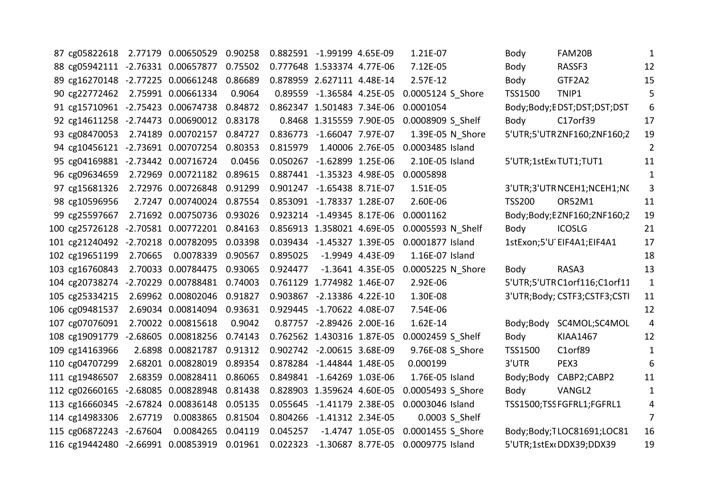| 87 cg05822618 2.77179 0.00650529 0.90258   |                           |         | 0.882591 -1.99199 4.65E-09 |                           |                  | 1.21E-07                                                                               | Body           | FAM20B                       | $\mathbf{1}$   |  |
|--------------------------------------------|---------------------------|---------|----------------------------|---------------------------|------------------|----------------------------------------------------------------------------------------|----------------|------------------------------|----------------|--|
| 88 cg05942111 -2.76331 0.00657877 0.75502  |                           |         | 0.777648 1.533374 4.77E-06 |                           |                  | 7.12E-05                                                                               | Body           | RASSF3                       | 12             |  |
| 89 cg16270148 -2.77225 0.00661248 0.86689  |                           |         | 0.878959 2.627111 4.48E-14 |                           |                  | 2.57E-12                                                                               | Body           | GTF2A2                       | 15             |  |
| 90 cg22772462 2.75991 0.00661334           |                           | 0.9064  |                            | 0.89559 -1.36584 4.25E-05 |                  | 0.0005124 S Shore                                                                      | <b>TSS1500</b> | TNIP1                        | 5              |  |
| 91 cg15710961 -2.75423 0.00674738 0.84872  |                           |         |                            |                           |                  | 0.862347 1.501483 7.34E-06 0.0001054                                                   |                | Body;Body;EDST;DST;DST;DST   | 6              |  |
| 92 cg14611258 -2.74473 0.00690012 0.83178  |                           |         |                            |                           |                  | 0.8468 1.315559 7.90E-05 0.0008909 S Shelf                                             | Body           | C17orf39                     | 17             |  |
| 93 cg08470053 2.74189 0.00702157 0.84727   |                           |         | 0.836773 -1.66047 7.97E-07 |                           |                  | 1.39E-05 N Shore                                                                       |                | 5'UTR;5'UTRZNF160;ZNF160;Z   | 19             |  |
| 94 cg10456121 -2.73691 0.00707254 0.80353  |                           |         | 0.815979                   |                           |                  | 1.40006 2.76E-05 0.0003485 Island                                                      |                |                              | $\overline{2}$ |  |
| 95 cg04169881 -2.73442 0.00716724          |                           | 0.0456  | 0.050267 -1.62899 1.25E-06 |                           |                  | 2.10E-05 Island                                                                        |                | 5'UTR;1stEx(TUT1;TUT1        | 11             |  |
| 96 cg09634659 2.72969 0.00721182 0.89615   |                           |         |                            |                           |                  | 0.887441 -1.35323 4.98E-05 0.0005898                                                   |                |                              | $\mathbf{1}$   |  |
| 97 cg15681326 2.72976 0.00726848 0.91299   |                           |         | 0.901247 -1.65438 8.71E-07 |                           |                  | 1.51E-05                                                                               |                | 3'UTR;3'UTRNCEH1;NCEH1;NC    | 3              |  |
| 98 cg10596956                              | 2.7247 0.00740024 0.87554 |         | 0.853091 -1.78337 1.28E-07 |                           |                  | 2.60E-06                                                                               | <b>TSS200</b>  | <b>OR52M1</b>                | 11             |  |
| 99 cg25597667 2.71692 0.00750736 0.93026   |                           |         |                            |                           |                  | 0.923214 -1.49345 8.17E-06 0.0001162                                                   |                | Body;Body;EZNF160;ZNF160;Z   | 19             |  |
| 100 cg25726128 -2.70581 0.00772201 0.84163 |                           |         |                            |                           |                  | 0.856913 1.358021 4.69E-05 0.0005593 N_Shelf                                           | Body           | <b>ICOSLG</b>                | 21             |  |
| 101 cg21240492 -2.70218 0.00782095 0.03398 |                           |         |                            |                           |                  | 0.039434 -1.45327 1.39E-05 0.0001877 Island                                            |                | 1stExon;5'U EIF4A1;EIF4A1    | 17             |  |
| 102 cg19651199 2.70665                     | 0.0078339 0.90567         |         | 0.895025                   |                           | -1.9949 4.43E-09 | 1.16E-07 Island                                                                        |                |                              | 18             |  |
| 103 cg16760843 2.70033 0.00784475 0.93065  |                           |         | 0.924477                   |                           |                  | -1.3641 4.35E-05 0.0005225 N_Shore                                                     | Body           | RASA3                        | 13             |  |
| 104 cg20738274 -2.70229 0.00788481 0.74003 |                           |         | 0.761129 1.774982 1.46E-07 |                           |                  | 2.92E-06                                                                               |                | 5'UTR;5'UTRC1orf116;C1orf11  | $\mathbf{1}$   |  |
| 105 cg25334215 2.69962 0.00802046 0.91827  |                           |         | 0.903867 -2.13386 4.22E-10 |                           |                  | 1.30E-08                                                                               |                | 3'UTR;Body; CSTF3;CSTF3;CSTI | 11             |  |
| 106 cg09481537 2.69034 0.00814094          |                           | 0.93631 | 0.929445 -1.70622 4.08E-07 |                           |                  | 7.54E-06                                                                               |                |                              | 12             |  |
| 107 cg07076091 2.70022 0.00815618          |                           | 0.9042  |                            | 0.87757 -2.89426 2.00E-16 |                  | 1.62E-14                                                                               |                | Body;Body SC4MOL;SC4MOL      | $\overline{4}$ |  |
| 108 cg19091779 -2.68605 0.00818256 0.74143 |                           |         | 0.762562 1.430316 1.87E-05 |                           |                  | 0.0002459 S Shelf                                                                      | Body           | <b>KIAA1467</b>              | 12             |  |
| 109 cg14163966                             | 2.6898 0.00821787 0.91312 |         | 0.902742 -2.00615 3.68E-09 |                           |                  | 9.76E-08 S Shore                                                                       | <b>TSS1500</b> | C1orf89                      | $\mathbf{1}$   |  |
| 110 cg04707299 2.68201 0.00828019          |                           | 0.89354 | 0.878284 -1.44844 1.48E-05 |                           |                  | 0.000199                                                                               | 3'UTR          | PEX3                         | 6              |  |
| 111 cg19486507 2.68359 0.00828411 0.86065  |                           |         | 0.849841 -1.64269 1.03E-06 |                           |                  | 1.76E-05 Island                                                                        | Body;Body      | CABP2;CABP2                  | 11             |  |
| 112 cg02660165 -2.68085 0.00828948         |                           | 0.81438 | 0.828903 1.359624 4.60E-05 |                           |                  | 0.0005493 S Shore                                                                      | Body           | VANGL2                       | $\mathbf{1}$   |  |
| 113 cg16660345 -2.67824 0.00836148         |                           | 0.05135 |                            |                           |                  | 0.055645 -1.41179 2.38E-05 0.0003046 Island                                            |                | TSS1500;TSSFGFRL1;FGFRL1     | 4              |  |
| 114 cg14983306 2.67719                     | 0.0083865                 | 0.81504 | 0.804266 -1.41312 2.34E-05 |                           |                  | 0.0003 S_Shelf                                                                         |                |                              | 7              |  |
| 115 cg06872243 -2.67604                    | 0.0084265                 | 0.04119 | 0.045257                   |                           |                  | -1.4747 1.05E-05 0.0001455 S Shore                                                     |                | Body;Body;TLOC81691;LOC81    | 16             |  |
|                                            |                           |         |                            |                           |                  | 116 cg19442480 -2.66991 0.00853919 0.01961 0.022323 -1.30687 8.77E-05 0.0009775 Island |                | 5'UTR;1stEx(DDX39;DDX39      | 19             |  |
|                                            |                           |         |                            |                           |                  |                                                                                        |                |                              |                |  |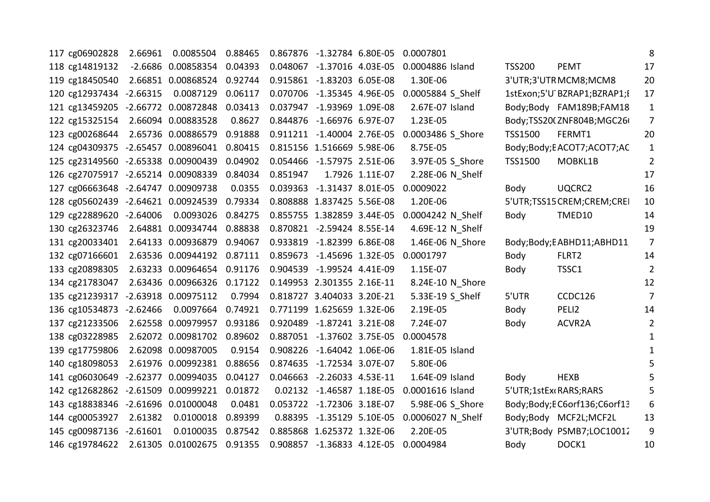| 117 cg06902828          |  | 2.66961  0.0085504  0.88465                |         | 0.867876 -1.32784 6.80E-05 |                           | 0.0007801         |                |                             | 8              |
|-------------------------|--|--------------------------------------------|---------|----------------------------|---------------------------|-------------------|----------------|-----------------------------|----------------|
|                         |  | 118 cg14819132 -2.6686 0.00858354 0.04393  |         | 0.048067 -1.37016 4.03E-05 |                           | 0.0004886 Island  | <b>TSS200</b>  | <b>PEMT</b>                 | 17             |
|                         |  | 119 cg18450540 2.66851 0.00868524 0.92744  |         | 0.915861 -1.83203 6.05E-08 |                           | 1.30E-06          |                | 3'UTR;3'UTRMCM8;MCM8        | 20             |
| 120 cg12937434 -2.66315 |  | 0.0087129 0.06117                          |         | 0.070706 -1.35345 4.96E-05 |                           | 0.0005884 S_Shelf |                | 1stExon;5'U BZRAP1;BZRAP1;F | 17             |
|                         |  | 121 cg13459205 -2.66772 0.00872848 0.03413 |         | 0.037947 -1.93969 1.09E-08 |                           | 2.67E-07 Island   |                | Body;Body FAM189B;FAM18     | $\mathbf{1}$   |
|                         |  | 122 cg15325154 2.66094 0.00883528          | 0.8627  | 0.844876 -1.66976 6.97E-07 |                           | 1.23E-05          |                | Body;TSS20(ZNF804B;MGC26(   | $\overline{7}$ |
|                         |  | 123 cg00268644 2.65736 0.00886579 0.91888  |         | 0.911211 -1.40004 2.76E-05 |                           | 0.0003486 S Shore | TSS1500        | FERMT1                      | 20             |
|                         |  | 124 cg04309375 -2.65457 0.00896041 0.80415 |         | 0.815156 1.516669 5.98E-06 |                           | 8.75E-05          |                | Body;Body;EACOT7;ACOT7;AC   | $\mathbf{1}$   |
|                         |  | 125 cg23149560 -2.65338 0.00900439 0.04902 |         | 0.054466 -1.57975 2.51E-06 |                           | 3.97E-05 S_Shore  | <b>TSS1500</b> | MOBKL1B                     | $\overline{2}$ |
|                         |  | 126 cg27075917 -2.65214 0.00908339 0.84034 |         | 0.851947                   | 1.7926 1.11E-07           | 2.28E-06 N Shelf  |                |                             | 17             |
|                         |  | 127 cg06663648 -2.64747 0.00909738         | 0.0355  | 0.039363 -1.31437 8.01E-05 |                           | 0.0009022         | Body           | UQCRC2                      | 16             |
|                         |  | 128 cg05602439 -2.64621 0.00924539 0.79334 |         | 0.808888 1.837425 5.56E-08 |                           | 1.20E-06          |                | 5'UTR;TSS15CREM;CREM;CREI   | 10             |
| 129 cg22889620 -2.64006 |  | 0.0093026 0.84275                          |         | 0.855755 1.382859 3.44E-05 |                           | 0.0004242 N_Shelf | Body           | TMED10                      | 14             |
|                         |  | 130 cg26323746 2.64881 0.00934744 0.88838  |         | 0.870821 -2.59424 8.55E-14 |                           | 4.69E-12 N_Shelf  |                |                             | 19             |
|                         |  | 131 cg20033401 2.64133 0.00936879 0.94067  |         | 0.933819 -1.82399 6.86E-08 |                           | 1.46E-06 N Shore  |                | Body;Body;EABHD11;ABHD11    | $\overline{7}$ |
|                         |  | 132 cg07166601 2.63536 0.00944192 0.87111  |         | 0.859673 -1.45696 1.32E-05 |                           | 0.0001797         | Body           | FLRT2                       | 14             |
|                         |  | 133 cg20898305 2.63233 0.00964654 0.91176  |         | 0.904539 -1.99524 4.41E-09 |                           | 1.15E-07          | Body           | TSSC1                       | $\overline{2}$ |
|                         |  | 134 cg21783047 2.63436 0.00966326 0.17122  |         | 0.149953 2.301355 2.16E-11 |                           | 8.24E-10 N_Shore  |                |                             | 12             |
|                         |  | 135 cg21239317 -2.63918 0.00975112         | 0.7994  | 0.818727 3.404033 3.20E-21 |                           | 5.33E-19 S_Shelf  | 5'UTR          | CCDC126                     | $\overline{7}$ |
| 136 cg10534873 -2.62466 |  | 0.0097664 0.74921                          |         | 0.771199 1.625659 1.32E-06 |                           | 2.19E-05          | Body           | PELI2                       | 14             |
|                         |  | 137 cg21233506 2.62558 0.00979957 0.93186  |         | 0.920489 -1.87241 3.21E-08 |                           | 7.24E-07          | Body           | ACVR2A                      | $\overline{2}$ |
|                         |  | 138 cg03228985 2.62072 0.00981702 0.89602  |         | 0.887051 -1.37602 3.75E-05 |                           | 0.0004578         |                |                             | 1              |
| 139 cg17759806          |  | 2.62098 0.00987005                         | 0.9154  | 0.908226 -1.64042 1.06E-06 |                           | 1.81E-05 Island   |                |                             |                |
|                         |  | 140 cg18098053 2.61976 0.00992381          | 0.88656 | 0.874635 -1.72534 3.07E-07 |                           | 5.80E-06          |                |                             |                |
|                         |  | 141 cg06030649 -2.62377 0.00994035 0.04127 |         | 0.046663 -2.26033 4.53E-11 |                           | 1.64E-09 Island   | Body           | <b>HEXB</b>                 | 5              |
|                         |  | 142 cg12682862 -2.61509 0.00999221 0.01872 |         |                            | 0.02132 -1.46587 1.18E-05 | 0.0001616 Island  |                | 5'UTR;1stEx(RARS;RARS)      | 5              |
|                         |  | 143 cg18838346 -2.61696 0.01000048         | 0.0481  | 0.053722 -1.72306 3.18E-07 |                           | 5.98E-06 S_Shore  |                | Body;Body;EC6orf136;C6orf13 | 6              |
| 144 cg00053927 2.61382  |  | 0.0100018 0.89399                          |         |                            | 0.88395 -1.35129 5.10E-05 | 0.0006027 N Shelf |                | Body;Body MCF2L;MCF2L       | 13             |
| 145 cg00987136 -2.61601 |  | 0.0100035 0.87542                          |         | 0.885868 1.625372 1.32E-06 |                           | 2.20E-05          |                | 3'UTR;Body PSMB7;LOC10012   | 9              |
|                         |  | 146 cg19784622 2.61305 0.01002675 0.91355  |         | 0.908857 -1.36833 4.12E-05 |                           | 0.0004984         | Body           | DOCK1                       | 10             |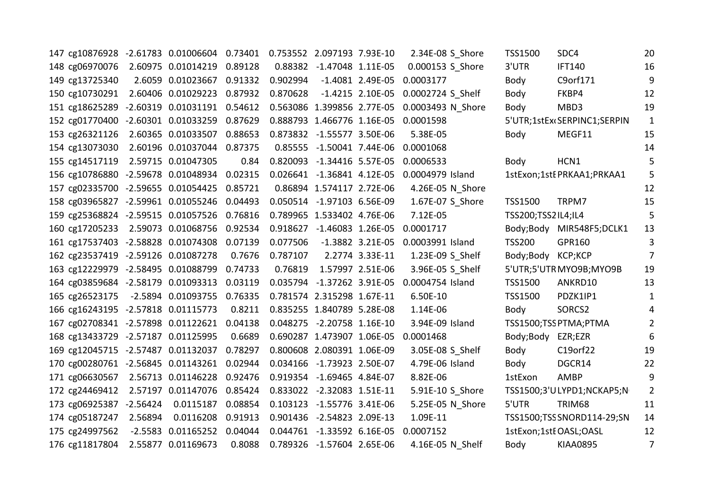|         |                                                                                                                            |                                                                                                                                                                                                      |                                                                                                                                                                                                                                                                                                                                                                               |                                                                                                                                  | 2.34E-08 S_Shore                                                                                                                                                                                                                                                                                                                                                                                                                                                                                                                                                                                                                                                                                                                                                                                                                                              | TSS1500                                                                                                                                                                                                                                                                                                                                                                                                                                                                                                                                                                                                                 | SDC4            | 20                                                                                                                                                                                                                                                                                        |
|---------|----------------------------------------------------------------------------------------------------------------------------|------------------------------------------------------------------------------------------------------------------------------------------------------------------------------------------------------|-------------------------------------------------------------------------------------------------------------------------------------------------------------------------------------------------------------------------------------------------------------------------------------------------------------------------------------------------------------------------------|----------------------------------------------------------------------------------------------------------------------------------|---------------------------------------------------------------------------------------------------------------------------------------------------------------------------------------------------------------------------------------------------------------------------------------------------------------------------------------------------------------------------------------------------------------------------------------------------------------------------------------------------------------------------------------------------------------------------------------------------------------------------------------------------------------------------------------------------------------------------------------------------------------------------------------------------------------------------------------------------------------|-------------------------------------------------------------------------------------------------------------------------------------------------------------------------------------------------------------------------------------------------------------------------------------------------------------------------------------------------------------------------------------------------------------------------------------------------------------------------------------------------------------------------------------------------------------------------------------------------------------------------|-----------------|-------------------------------------------------------------------------------------------------------------------------------------------------------------------------------------------------------------------------------------------------------------------------------------------|
|         |                                                                                                                            |                                                                                                                                                                                                      |                                                                                                                                                                                                                                                                                                                                                                               |                                                                                                                                  | 0.000153 S_Shore                                                                                                                                                                                                                                                                                                                                                                                                                                                                                                                                                                                                                                                                                                                                                                                                                                              | 3'UTR                                                                                                                                                                                                                                                                                                                                                                                                                                                                                                                                                                                                                   | <b>IFT140</b>   | 16                                                                                                                                                                                                                                                                                        |
|         |                                                                                                                            |                                                                                                                                                                                                      | 0.902994                                                                                                                                                                                                                                                                                                                                                                      |                                                                                                                                  | 0.0003177                                                                                                                                                                                                                                                                                                                                                                                                                                                                                                                                                                                                                                                                                                                                                                                                                                                     | Body                                                                                                                                                                                                                                                                                                                                                                                                                                                                                                                                                                                                                    | C9orf171        | 9                                                                                                                                                                                                                                                                                         |
|         |                                                                                                                            |                                                                                                                                                                                                      | 0.870628                                                                                                                                                                                                                                                                                                                                                                      |                                                                                                                                  | 0.0002724 S_Shelf                                                                                                                                                                                                                                                                                                                                                                                                                                                                                                                                                                                                                                                                                                                                                                                                                                             | Body                                                                                                                                                                                                                                                                                                                                                                                                                                                                                                                                                                                                                    | FKBP4           | 12                                                                                                                                                                                                                                                                                        |
|         |                                                                                                                            |                                                                                                                                                                                                      |                                                                                                                                                                                                                                                                                                                                                                               |                                                                                                                                  |                                                                                                                                                                                                                                                                                                                                                                                                                                                                                                                                                                                                                                                                                                                                                                                                                                                               | Body                                                                                                                                                                                                                                                                                                                                                                                                                                                                                                                                                                                                                    | MBD3            | 19                                                                                                                                                                                                                                                                                        |
|         |                                                                                                                            |                                                                                                                                                                                                      |                                                                                                                                                                                                                                                                                                                                                                               |                                                                                                                                  | 0.0001598                                                                                                                                                                                                                                                                                                                                                                                                                                                                                                                                                                                                                                                                                                                                                                                                                                                     |                                                                                                                                                                                                                                                                                                                                                                                                                                                                                                                                                                                                                         |                 | $\mathbf{1}$                                                                                                                                                                                                                                                                              |
|         |                                                                                                                            |                                                                                                                                                                                                      |                                                                                                                                                                                                                                                                                                                                                                               |                                                                                                                                  | 5.38E-05                                                                                                                                                                                                                                                                                                                                                                                                                                                                                                                                                                                                                                                                                                                                                                                                                                                      | Body                                                                                                                                                                                                                                                                                                                                                                                                                                                                                                                                                                                                                    | MEGF11          | 15                                                                                                                                                                                                                                                                                        |
|         |                                                                                                                            |                                                                                                                                                                                                      |                                                                                                                                                                                                                                                                                                                                                                               |                                                                                                                                  | 0.0001068                                                                                                                                                                                                                                                                                                                                                                                                                                                                                                                                                                                                                                                                                                                                                                                                                                                     |                                                                                                                                                                                                                                                                                                                                                                                                                                                                                                                                                                                                                         |                 | 14                                                                                                                                                                                                                                                                                        |
|         |                                                                                                                            |                                                                                                                                                                                                      |                                                                                                                                                                                                                                                                                                                                                                               |                                                                                                                                  |                                                                                                                                                                                                                                                                                                                                                                                                                                                                                                                                                                                                                                                                                                                                                                                                                                                               | <b>Body</b>                                                                                                                                                                                                                                                                                                                                                                                                                                                                                                                                                                                                             | HCN1            | 5                                                                                                                                                                                                                                                                                         |
|         |                                                                                                                            |                                                                                                                                                                                                      |                                                                                                                                                                                                                                                                                                                                                                               |                                                                                                                                  |                                                                                                                                                                                                                                                                                                                                                                                                                                                                                                                                                                                                                                                                                                                                                                                                                                                               |                                                                                                                                                                                                                                                                                                                                                                                                                                                                                                                                                                                                                         |                 | 5                                                                                                                                                                                                                                                                                         |
|         |                                                                                                                            |                                                                                                                                                                                                      |                                                                                                                                                                                                                                                                                                                                                                               |                                                                                                                                  | 4.26E-05 N_Shore                                                                                                                                                                                                                                                                                                                                                                                                                                                                                                                                                                                                                                                                                                                                                                                                                                              |                                                                                                                                                                                                                                                                                                                                                                                                                                                                                                                                                                                                                         |                 | 12                                                                                                                                                                                                                                                                                        |
|         |                                                                                                                            |                                                                                                                                                                                                      |                                                                                                                                                                                                                                                                                                                                                                               |                                                                                                                                  | 1.67E-07 S Shore                                                                                                                                                                                                                                                                                                                                                                                                                                                                                                                                                                                                                                                                                                                                                                                                                                              | <b>TSS1500</b>                                                                                                                                                                                                                                                                                                                                                                                                                                                                                                                                                                                                          | TRPM7           | 15                                                                                                                                                                                                                                                                                        |
|         |                                                                                                                            |                                                                                                                                                                                                      |                                                                                                                                                                                                                                                                                                                                                                               |                                                                                                                                  | 7.12E-05                                                                                                                                                                                                                                                                                                                                                                                                                                                                                                                                                                                                                                                                                                                                                                                                                                                      |                                                                                                                                                                                                                                                                                                                                                                                                                                                                                                                                                                                                                         |                 | 5                                                                                                                                                                                                                                                                                         |
|         |                                                                                                                            |                                                                                                                                                                                                      |                                                                                                                                                                                                                                                                                                                                                                               |                                                                                                                                  | 0.0001717                                                                                                                                                                                                                                                                                                                                                                                                                                                                                                                                                                                                                                                                                                                                                                                                                                                     |                                                                                                                                                                                                                                                                                                                                                                                                                                                                                                                                                                                                                         |                 | 13                                                                                                                                                                                                                                                                                        |
|         |                                                                                                                            |                                                                                                                                                                                                      | 0.077506                                                                                                                                                                                                                                                                                                                                                                      |                                                                                                                                  | 0.0003991 Island                                                                                                                                                                                                                                                                                                                                                                                                                                                                                                                                                                                                                                                                                                                                                                                                                                              | <b>TSS200</b>                                                                                                                                                                                                                                                                                                                                                                                                                                                                                                                                                                                                           | GPR160          | 3                                                                                                                                                                                                                                                                                         |
|         |                                                                                                                            | 0.7676                                                                                                                                                                                               | 0.787107                                                                                                                                                                                                                                                                                                                                                                      |                                                                                                                                  | 1.23E-09 S Shelf                                                                                                                                                                                                                                                                                                                                                                                                                                                                                                                                                                                                                                                                                                                                                                                                                                              |                                                                                                                                                                                                                                                                                                                                                                                                                                                                                                                                                                                                                         |                 | $\overline{7}$                                                                                                                                                                                                                                                                            |
|         |                                                                                                                            |                                                                                                                                                                                                      | 0.76819                                                                                                                                                                                                                                                                                                                                                                       |                                                                                                                                  | 3.96E-05 S Shelf                                                                                                                                                                                                                                                                                                                                                                                                                                                                                                                                                                                                                                                                                                                                                                                                                                              |                                                                                                                                                                                                                                                                                                                                                                                                                                                                                                                                                                                                                         |                 | 19                                                                                                                                                                                                                                                                                        |
|         |                                                                                                                            |                                                                                                                                                                                                      |                                                                                                                                                                                                                                                                                                                                                                               |                                                                                                                                  |                                                                                                                                                                                                                                                                                                                                                                                                                                                                                                                                                                                                                                                                                                                                                                                                                                                               | <b>TSS1500</b>                                                                                                                                                                                                                                                                                                                                                                                                                                                                                                                                                                                                          | ANKRD10         | 13                                                                                                                                                                                                                                                                                        |
|         |                                                                                                                            |                                                                                                                                                                                                      |                                                                                                                                                                                                                                                                                                                                                                               |                                                                                                                                  | 6.50E-10                                                                                                                                                                                                                                                                                                                                                                                                                                                                                                                                                                                                                                                                                                                                                                                                                                                      | <b>TSS1500</b>                                                                                                                                                                                                                                                                                                                                                                                                                                                                                                                                                                                                          | PDZK1IP1        | $\mathbf{1}$                                                                                                                                                                                                                                                                              |
|         |                                                                                                                            |                                                                                                                                                                                                      |                                                                                                                                                                                                                                                                                                                                                                               |                                                                                                                                  | 1.14E-06                                                                                                                                                                                                                                                                                                                                                                                                                                                                                                                                                                                                                                                                                                                                                                                                                                                      | <b>Body</b>                                                                                                                                                                                                                                                                                                                                                                                                                                                                                                                                                                                                             | SORCS2          | 4                                                                                                                                                                                                                                                                                         |
|         |                                                                                                                            |                                                                                                                                                                                                      |                                                                                                                                                                                                                                                                                                                                                                               |                                                                                                                                  | 3.94E-09 Island                                                                                                                                                                                                                                                                                                                                                                                                                                                                                                                                                                                                                                                                                                                                                                                                                                               |                                                                                                                                                                                                                                                                                                                                                                                                                                                                                                                                                                                                                         |                 | $\overline{2}$                                                                                                                                                                                                                                                                            |
|         |                                                                                                                            | 0.6689                                                                                                                                                                                               |                                                                                                                                                                                                                                                                                                                                                                               |                                                                                                                                  |                                                                                                                                                                                                                                                                                                                                                                                                                                                                                                                                                                                                                                                                                                                                                                                                                                                               |                                                                                                                                                                                                                                                                                                                                                                                                                                                                                                                                                                                                                         |                 | 6                                                                                                                                                                                                                                                                                         |
|         |                                                                                                                            |                                                                                                                                                                                                      |                                                                                                                                                                                                                                                                                                                                                                               |                                                                                                                                  | 3.05E-08 S_Shelf                                                                                                                                                                                                                                                                                                                                                                                                                                                                                                                                                                                                                                                                                                                                                                                                                                              | Body                                                                                                                                                                                                                                                                                                                                                                                                                                                                                                                                                                                                                    | C19orf22        | 19                                                                                                                                                                                                                                                                                        |
|         |                                                                                                                            |                                                                                                                                                                                                      |                                                                                                                                                                                                                                                                                                                                                                               |                                                                                                                                  | 4.79E-06 Island                                                                                                                                                                                                                                                                                                                                                                                                                                                                                                                                                                                                                                                                                                                                                                                                                                               | Body                                                                                                                                                                                                                                                                                                                                                                                                                                                                                                                                                                                                                    | DGCR14          | 22                                                                                                                                                                                                                                                                                        |
|         |                                                                                                                            |                                                                                                                                                                                                      |                                                                                                                                                                                                                                                                                                                                                                               |                                                                                                                                  | 8.82E-06                                                                                                                                                                                                                                                                                                                                                                                                                                                                                                                                                                                                                                                                                                                                                                                                                                                      | <b>1stExon</b>                                                                                                                                                                                                                                                                                                                                                                                                                                                                                                                                                                                                          | AMBP            | 9                                                                                                                                                                                                                                                                                         |
|         |                                                                                                                            |                                                                                                                                                                                                      |                                                                                                                                                                                                                                                                                                                                                                               |                                                                                                                                  | 5.91E-10 S Shore                                                                                                                                                                                                                                                                                                                                                                                                                                                                                                                                                                                                                                                                                                                                                                                                                                              |                                                                                                                                                                                                                                                                                                                                                                                                                                                                                                                                                                                                                         |                 | $\overline{2}$                                                                                                                                                                                                                                                                            |
|         |                                                                                                                            |                                                                                                                                                                                                      |                                                                                                                                                                                                                                                                                                                                                                               |                                                                                                                                  | 5.25E-05 N_Shore                                                                                                                                                                                                                                                                                                                                                                                                                                                                                                                                                                                                                                                                                                                                                                                                                                              | 5'UTR                                                                                                                                                                                                                                                                                                                                                                                                                                                                                                                                                                                                                   | TRIM68          | 11                                                                                                                                                                                                                                                                                        |
| 2.56894 |                                                                                                                            |                                                                                                                                                                                                      |                                                                                                                                                                                                                                                                                                                                                                               |                                                                                                                                  | 1.09E-11                                                                                                                                                                                                                                                                                                                                                                                                                                                                                                                                                                                                                                                                                                                                                                                                                                                      |                                                                                                                                                                                                                                                                                                                                                                                                                                                                                                                                                                                                                         |                 | 14                                                                                                                                                                                                                                                                                        |
|         |                                                                                                                            |                                                                                                                                                                                                      |                                                                                                                                                                                                                                                                                                                                                                               |                                                                                                                                  | 0.0007152                                                                                                                                                                                                                                                                                                                                                                                                                                                                                                                                                                                                                                                                                                                                                                                                                                                     |                                                                                                                                                                                                                                                                                                                                                                                                                                                                                                                                                                                                                         |                 | 12                                                                                                                                                                                                                                                                                        |
|         |                                                                                                                            |                                                                                                                                                                                                      |                                                                                                                                                                                                                                                                                                                                                                               |                                                                                                                                  | 4.16E-05 N_Shelf                                                                                                                                                                                                                                                                                                                                                                                                                                                                                                                                                                                                                                                                                                                                                                                                                                              | Body                                                                                                                                                                                                                                                                                                                                                                                                                                                                                                                                                                                                                    | <b>KIAA0895</b> | $\overline{7}$                                                                                                                                                                                                                                                                            |
|         | 148 cg06970076<br>149 cg13725340<br>150 cg10730291<br>154 cg13073030<br>172 cg24469412<br>174 cg05187247<br>176 cg11817804 | 155 cg14517119 2.59715 0.01047305<br>162 cg23537419 -2.59126 0.01087278<br>166 cg16243195 -2.57818 0.01115773<br>168 cg13433729 -2.57187 0.01125995<br>173 cg06925387 -2.56424<br>2.55877 0.01169673 | 147 cg10876928 -2.61783 0.01006604 0.73401<br>2.60975 0.01014219 0.89128<br>2.6059 0.01023667 0.91332<br>2.60406 0.01029223 0.87932<br>153 cg26321126 2.60365 0.01033507 0.88653<br>2.60196 0.01037044 0.87375<br>157 cg02335700 -2.59655 0.01054425 0.85721<br>161 cg17537403 -2.58828 0.01074308 0.07139<br>163 cg12229979 -2.58495 0.01088799 0.74733<br>0.0116208 0.91913 | 152 cg01770400 -2.60301 0.01033259 0.87629<br>158 cg03965827 -2.59961 0.01055246 0.04493<br>0.8211<br>2.57197 0.01147076 0.85424 | 0.753552 2.097193 7.93E-10<br>0.88382 -1.47048 1.11E-05<br>$-1.4215$ 2.10E-05<br>0.873832 -1.55577 3.50E-06<br>0.86894 1.574117 2.72E-06<br>0.050514 -1.97103 6.56E-09<br>159 cg25368824 -2.59515 0.01057526 0.76816 0.789965 1.533402 4.76E-06<br>2.2774 3.33E-11<br>1.57997 2.51E-06<br>165 cg26523175 -2.5894 0.01093755 0.76335 0.781574 2.315298 1.67E-11<br>0.835255 1.840789 5.28E-08<br>167 cg02708341 -2.57898 0.01122621 0.04138 0.048275 -2.20758 1.16E-10<br>169 cg12045715 -2.57487 0.01132037 0.78297 0.800608 2.080391 1.06E-09<br>170 cg00280761 -2.56845 0.01143261 0.02944 0.034166 -1.73923 2.50E-07<br>171 cg06630567  2.56713  0.01146228  0.92476  0.919354  -1.69465  4.84E-07<br>0.833022 -2.32083 1.51E-11<br>0.0115187  0.08854  0.103123  -1.55776  3.41E-06<br>0.901436 -2.54823 2.09E-13<br>0.8088  0.789326  -1.57604  2.65E-06 | -1.4081 2.49E-05<br>151 cg18625289 -2.60319 0.01031191 0.54612 0.563086 1.399856 2.77E-05 0.0003493 N Shore<br>0.888793 1.466776 1.16E-05<br>0.85555 -1.50041 7.44E-06<br>0.84  0.820093  -1.34416  5.57E-05  0.0006533<br>156 cg10786880 -2.59678 0.01048934 0.02315 0.026641 -1.36841 4.12E-05 0.0004979 Island<br>160 cg17205233 2.59073 0.01068756 0.92534 0.918627 -1.46083 1.26E-05<br>-1.3882 3.21E-05<br>164 cg03859684 -2.58179 0.01093313 0.03119 0.035794 -1.37262 3.91E-05 0.0004754 Island<br>0.690287 1.473907 1.06E-05 0.0001468<br>175 cg24997562 -2.5583 0.01165252 0.04044 0.044761 -1.33592 6.16E-05 |                 | 5'UTR;1stEx(SERPINC1;SERPIN<br>1stExon;1stEPRKAA1;PRKAA1<br>TSS200;TSS2IL4;IL4<br>Body;Body MIR548F5;DCLK1<br>Body;Body KCP;KCP<br>5'UTR;5'UTRMYO9B;MYO9B<br>TSS1500;TSSPTMA;PTMA<br>Body;Body EZR;EZR<br>TSS1500;3'ULYPD1;NCKAP5;N<br>TSS1500;TSSSNORD114-29;SN<br>1stExon;1stEOASL;OASL |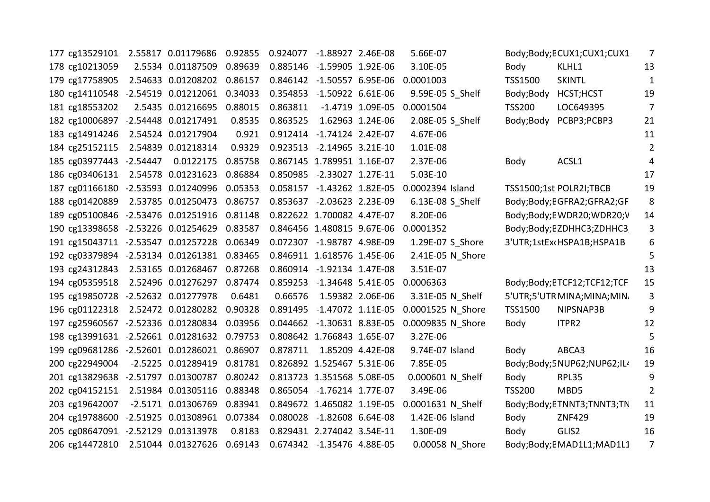| 177 cg13529101 2.55817 0.01179686 0.92855 0.924077 -1.88927 2.46E-08       |                                                      |        |                                     |                            |                  | 5.66E-07          |                | Body;Body;ECUX1;CUX1;CUX1  | 7              |  |
|----------------------------------------------------------------------------|------------------------------------------------------|--------|-------------------------------------|----------------------------|------------------|-------------------|----------------|----------------------------|----------------|--|
| 178 cg10213059                                                             | 2.5534 0.01187509 0.89639 0.885146 -1.59905 1.92E-06 |        |                                     |                            |                  | 3.10E-05          | Body           | KLHL1                      | 13             |  |
| 179 cg17758905 2.54633 0.01208202 0.86157 0.846142 -1.50557 6.95E-06       |                                                      |        |                                     |                            |                  | 0.0001003         | <b>TSS1500</b> | <b>SKINTL</b>              | $\mathbf{1}$   |  |
| 180 cg14110548 -2.54519 0.01212061 0.34033 0.354853 -1.50922 6.61E-06      |                                                      |        |                                     |                            |                  | 9.59E-05 S_Shelf  |                | Body;Body HCST;HCST        | 19             |  |
| 181 cg18553202                                                             | 2.5435 0.01216695 0.88015 0.863811                   |        |                                     |                            | -1.4719 1.09E-05 | 0.0001504         | <b>TSS200</b>  | LOC649395                  | $\overline{7}$ |  |
| 182 cg10006897 -2.54448 0.01217491                                         |                                                      |        | 0.8535 0.863525                     |                            | 1.62963 1.24E-06 | 2.08E-05 S_Shelf  |                | Body;Body PCBP3;PCBP3      | 21             |  |
| 183 cg14914246 2.54524 0.01217904                                          |                                                      |        | 0.921  0.912414  -1.74124  2.42E-07 |                            |                  | 4.67E-06          |                |                            | 11             |  |
| 184 cg25152115 2.54839 0.01218314                                          |                                                      | 0.9329 | 0.923513 -2.14965 3.21E-10          |                            |                  | 1.01E-08          |                |                            | 2              |  |
| 185 cg03977443 -2.54447 0.0122175 0.85758                                  |                                                      |        | 0.867145 1.789951 1.16E-07          |                            |                  | 2.37E-06          | Body           | ACSL1                      | 4              |  |
| 186 cg03406131 2.54578 0.01231623 0.86884                                  |                                                      |        | 0.850985 -2.33027 1.27E-11          |                            |                  | 5.03E-10          |                |                            | 17             |  |
| 187 cg01166180 -2.53593 0.01240996 0.05353                                 |                                                      |        | 0.058157 -1.43262 1.82E-05          |                            |                  | 0.0002394 Island  |                | TSS1500;1st POLR2I;TBCB    | 19             |  |
| 188 cg01420889 2.53785 0.01250473 0.86757                                  |                                                      |        | 0.853637 -2.03623 2.23E-09          |                            |                  | 6.13E-08 S Shelf  |                | Body;Body;EGFRA2;GFRA2;GF  | 8              |  |
| 189 cg05100846 -2.53476 0.01251916 0.81148                                 |                                                      |        | 0.822622 1.700082 4.47E-07          |                            |                  | 8.20E-06          |                | Body;Body;EWDR20;WDR20;V   | 14             |  |
| 190 cg13398658 -2.53226 0.01254629 0.83587                                 |                                                      |        | 0.846456 1.480815 9.67E-06          |                            |                  | 0.0001352         |                | Body;Body;EZDHHC3;ZDHHC3   | 3              |  |
| 191 cg15043711 -2.53547 0.01257228 0.06349                                 |                                                      |        |                                     | 0.072307 -1.98787 4.98E-09 |                  | 1.29E-07 S_Shore  |                | 3'UTR;1stEx(HSPA1B;HSPA1B  | 6              |  |
| 192 cg03379894 -2.53134 0.01261381 0.83465                                 |                                                      |        | 0.846911 1.618576 1.45E-06          |                            |                  | 2.41E-05 N Shore  |                |                            | 5              |  |
| 193 cg24312843 2.53165 0.01268467 0.87268                                  |                                                      |        |                                     | 0.860914 -1.92134 1.47E-08 |                  | 3.51E-07          |                |                            | 13             |  |
| 194 cg05359518 2.52496 0.01276297 0.87474                                  |                                                      |        |                                     | 0.859253 -1.34648 5.41E-05 |                  | 0.0006363         |                | Body;Body;ETCF12;TCF12;TCF | 15             |  |
| 195 cg19850728 -2.52632 0.01277978                                         |                                                      | 0.6481 | 0.66576                             |                            | 1.59382 2.06E-06 | 3.31E-05 N Shelf  |                | 5'UTR;5'UTRMINA;MINA;MIN/  | 3              |  |
| 196 cg01122318 2.52472 0.01280282 0.90328                                  |                                                      |        |                                     | 0.891495 -1.47072 1.11E-05 |                  | 0.0001525 N Shore | <b>TSS1500</b> | NIPSNAP3B                  | 9              |  |
| 197 cg25960567 -2.52336 0.01280834 0.03956                                 |                                                      |        |                                     | 0.044662 -1.30631 8.83E-05 |                  | 0.0009835 N Shore | Body           | ITPR2                      | 12             |  |
| 198 cg13991631 -2.52661 0.01281632 0.79753                                 |                                                      |        | 0.808642 1.766843 1.65E-07          |                            |                  | 3.27E-06          |                |                            | 5              |  |
| 199 cg09681286 -2.52601 0.01286021 0.86907                                 |                                                      |        | 0.878711                            | 1.85209 4.42E-08           |                  | 9.74E-07 Island   | Body           | ABCA3                      | 16             |  |
| 200 cg22949004 -2.5225 0.01289419 0.81781                                  |                                                      |        | 0.826892 1.525467 5.31E-06          |                            |                  | 7.85E-05          |                | Body;Body;5NUP62;NUP62;IL4 | 19             |  |
| 201 cg13829638 -2.51797 0.01300787 0.80242                                 |                                                      |        |                                     | 0.813723 1.351568 5.08E-05 |                  | 0.000601 N_Shelf  | Body           | RPL35                      | 9              |  |
| 202 cg04152151 2.51984 0.01305116 0.88348                                  |                                                      |        | 0.865054 -1.76214 1.77E-07          |                            |                  | 3.49E-06          | <b>TSS200</b>  | MBD5                       | $\overline{2}$ |  |
| 203 cg19642007                                                             | -2.5171  0.01306769  0.83941                         |        |                                     | 0.849672 1.465082 1.19E-05 |                  | 0.0001631 N_Shelf |                | Body;Body;ETNNT3;TNNT3;TN  | 11             |  |
| 204 cg19788600 -2.51925 0.01308961 0.07384                                 |                                                      |        | 0.080028 -1.82608 6.64E-08          |                            |                  | 1.42E-06 Island   | Body           | <b>ZNF429</b>              | 19             |  |
| 205 cg08647091 -2.52129 0.01313978                                         |                                                      | 0.8183 | 0.829431 2.274042 3.54E-11          |                            |                  | 1.30E-09          | Body           | GLIS2                      | 16             |  |
| 206 cg14472810  2.51044  0.01327626  0.69143  0.674342  -1.35476  4.88E-05 |                                                      |        |                                     |                            |                  | 0.00058 N Shore   |                | Body;Body;EMAD1L1;MAD1L1   | 7              |  |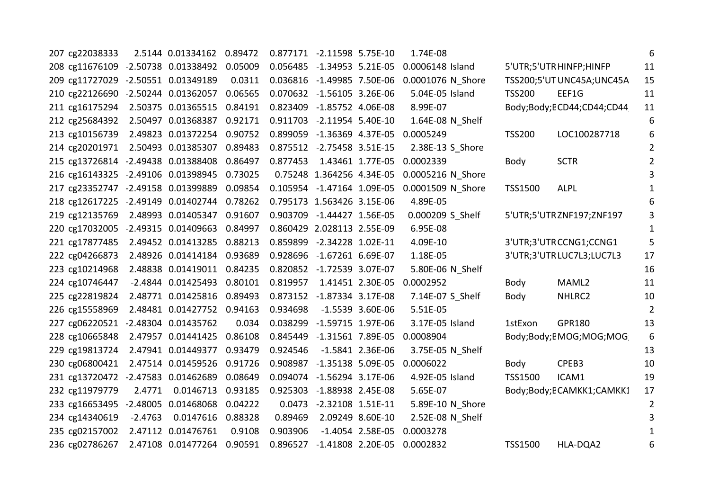| 207 cg22038333 | 2.5144 0.01334162 0.89472 0.877171 -2.11598 5.75E-10                                  |        |                                      |                            |                    | 1.74E-08                   |                |                           | 6                |
|----------------|---------------------------------------------------------------------------------------|--------|--------------------------------------|----------------------------|--------------------|----------------------------|----------------|---------------------------|------------------|
|                | 208 cg11676109 -2.50738 0.01338492 0.05009                                            |        | 0.056485 -1.34953 5.21E-05           |                            |                    | 0.0006148 Island           |                | 5'UTR;5'UTRHINFP;HINFP    | 11               |
|                | 209 cg11727029 -2.50551 0.01349189                                                    |        | 0.0311  0.036816  -1.49985  7.50E-06 |                            |                    | 0.0001076 N Shore          |                | TSS200;5'UT UNC45A;UNC45A | 15               |
|                | 210 cg22126690 -2.50244 0.01362057 0.06565 0.070632 -1.56105 3.26E-06                 |        |                                      |                            |                    | 5.04E-05 Island            | <b>TSS200</b>  | EEF1G                     | 11               |
|                | 211 cg16175294   2.50375   0.01365515   0.84191   0.823409   -1.85752   4.06E-08      |        |                                      |                            |                    | 8.99E-07                   |                | Body;Body;ECD44;CD44;CD44 | 11               |
|                | 212 cg25684392 2.50497 0.01368387 0.92171 0.911703 -2.11954 5.40E-10                  |        |                                      |                            |                    | 1.64E-08 N Shelf           |                |                           | 6                |
|                | 213 cg10156739 2.49823 0.01372254 0.90752 0.899059 -1.36369 4.37E-05                  |        |                                      |                            |                    | 0.0005249                  | <b>TSS200</b>  | LOC100287718              | 6                |
|                | 214 cg20201971  2.50493  0.01385307  0.89483  0.875512  -2.75458  3.51E-15            |        |                                      |                            |                    | 2.38E-13 S_Shore           |                |                           | 2                |
|                | 215 cg13726814 -2.49438 0.01388408 0.86497                                            |        | 0.877453  1.43461  1.77E-05          |                            |                    | 0.0002339                  | Body           | <b>SCTR</b>               |                  |
|                | 216 cg16143325 -2.49106 0.01398945 0.73025                                            |        |                                      | 0.75248 1.364256 4.34E-05  |                    | 0.0005216 N Shore          |                |                           |                  |
|                | 217 cg23352747 -2.49158 0.01399889 0.09854                                            |        | 0.105954 -1.47164 1.09E-05           |                            |                    | 0.0001509 N_Shore          | <b>TSS1500</b> | <b>ALPL</b>               |                  |
|                | 218 cg12617225 -2.49149 0.01402744 0.78262 0.795173 1.563426 3.15E-06                 |        |                                      |                            |                    | 4.89E-05                   |                |                           |                  |
|                | 219 cg12135769 2.48993 0.01405347 0.91607                                             |        | 0.903709 -1.44427 1.56E-05           |                            |                    | 0.000209 S_Shelf           |                | 5'UTR;5'UTRZNF197;ZNF197  | 3                |
|                | 220 cg17032005 -2.49315 0.01409663 0.84997                                            |        |                                      | 0.860429 2.028113 2.55E-09 |                    | 6.95E-08                   |                |                           | 1                |
|                | 221 cg17877485 2.49452 0.01413285 0.88213                                             |        |                                      | 0.859899 -2.34228 1.02E-11 |                    | 4.09E-10                   |                | 3'UTR;3'UTRCCNG1;CCNG1    | 5                |
|                | 222 cg04266873 2.48926 0.01414184 0.93689                                             |        |                                      | 0.928696 -1.67261 6.69E-07 |                    | 1.18E-05                   |                | 3'UTR;3'UTRLUC7L3;LUC7L3  | 17               |
|                | 223 cg10214968 2.48838 0.01419011 0.84235                                             |        |                                      | 0.820852 -1.72539 3.07E-07 |                    | 5.80E-06 N Shelf           |                |                           | 16               |
|                | 224 cg10746447 -2.4844 0.01425493 0.80101 0.819957 1.41451 2.30E-05                   |        |                                      |                            |                    | 0.0002952                  | Body           | MAML2                     | 11               |
|                | 225 cg22819824 2.48771 0.01425816 0.89493 0.873152 -1.87334 3.17E-08                  |        |                                      |                            |                    | 7.14E-07 S Shelf           | Body           | NHLRC2                    | 10               |
|                | 226 cg15558969 2.48481 0.01427752 0.94163 0.934698                                    |        |                                      | -1.5539 3.60E-06           |                    | 5.51E-05                   |                |                           | 2                |
|                | 227 cg06220521 -2.48304 0.01435762                                                    | 0.034  |                                      | 0.038299 -1.59715 1.97E-06 |                    | 3.17E-05 Island            | 1stExon        | <b>GPR180</b>             | 13               |
|                | 228 cg10665848 2.47957 0.01441425 0.86108                                             |        | 0.845449 -1.31561 7.89E-05           |                            |                    | 0.0008904                  |                | Body;Body;EMOG;MOG;MOG;   | $\boldsymbol{6}$ |
|                | 229 cg19813724 2.47941 0.01449377 0.93479                                             |        | 0.924546                             |                            | $-1.5841$ 2.36E-06 | 3.75E-05 N Shelf           |                |                           | 13               |
|                | 230 cg06800421  2.47514  0.01459526  0.91726  0.908987  -1.35138  5.09E-05            |        |                                      |                            |                    | 0.0006022                  | Body           | CPEB3                     | 10               |
|                | 231 cg13720472 -2.47583 0.01462689 0.08649                                            |        |                                      | 0.094074 -1.56294 3.17E-06 |                    | 4.92E-05 Island            | <b>TSS1500</b> | ICAM1                     | 19               |
| 232 cg11979779 | 2.4771  0.0146713  0.93185                                                            |        | 0.925303 -1.88938 2.45E-08           |                            |                    | 5.65E-07                   |                | Body;Body;ECAMKK1;CAMKK1  | 17               |
|                | 233 cg16653495 -2.48005 0.01468068 0.04222                                            |        |                                      | 0.0473 -2.32108 1.51E-11   |                    | 5.89E-10 N_Shore           |                |                           | $\overline{2}$   |
| 234 cg14340619 | -2.4763  0.0147616  0.88328                                                           |        | 0.89469                              | 2.09249 8.60E-10           |                    | 2.52E-08 N Shelf           |                |                           |                  |
|                | 235 cg02157002 2.47112 0.01476761                                                     | 0.9108 | 0.903906                             |                            |                    | -1.4054 2.58E-05 0.0003278 |                |                           |                  |
|                | 236 cg02786267  2.47108  0.01477264  0.90591  0.896527  -1.41808  2.20E-05  0.0002832 |        |                                      |                            |                    |                            | <b>TSS1500</b> | HLA-DQA2                  | 6                |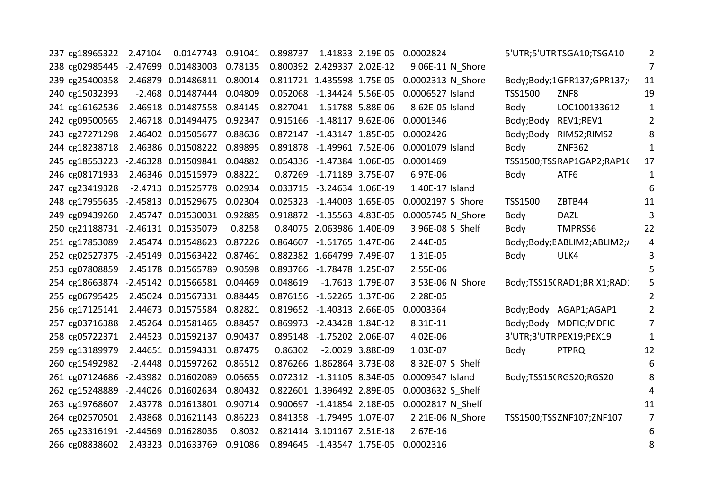| 237 cg18965322 2.47104                                                     | 0.0147743 0.91041            |        |                            |                            |                  | 0.898737 -1.41833 2.19E-05 0.0002824         |                | 5'UTR;5'UTRTSGA10;TSGA10      | $\overline{2}$ |
|----------------------------------------------------------------------------|------------------------------|--------|----------------------------|----------------------------|------------------|----------------------------------------------|----------------|-------------------------------|----------------|
| 238 cg02985445 -2.47699 0.01483003 0.78135 0.800392 2.429337 2.02E-12      |                              |        |                            |                            |                  | 9.06E-11 N_Shore                             |                |                               | 7              |
| 239 cg25400358 -2.46879 0.01486811 0.80014                                 |                              |        |                            |                            |                  | 0.811721 1.435598 1.75E-05 0.0002313 N Shore |                | Body;Body;1GPR137;GPR137;     | 11             |
| 240 cg15032393                                                             | -2.468 0.01487444 0.04809    |        |                            |                            |                  | 0.052068 -1.34424 5.56E-05 0.0006527 Island  | TSS1500        | ZNF <sub>8</sub>              | 19             |
| 241 cg16162536 2.46918 0.01487558 0.84145                                  |                              |        |                            | 0.827041 -1.51788 5.88E-06 |                  | 8.62E-05 Island                              | Body           | LOC100133612                  | $\mathbf 1$    |
| 242 cg09500565 2.46718 0.01494475 0.92347                                  |                              |        |                            |                            |                  | 0.915166 -1.48117 9.62E-06 0.0001346         |                | Body;Body REV1;REV1           | 2              |
| 243 cg27271298 2.46402 0.01505677 0.88636                                  |                              |        |                            |                            |                  | 0.872147 -1.43147 1.85E-05 0.0002426         |                | Body;Body RIMS2;RIMS2         | 8              |
| 244 cg18238718 2.46386 0.01508222 0.89895                                  |                              |        |                            |                            |                  | 0.891878 -1.49961 7.52E-06 0.0001079 Island  | Body           | <b>ZNF362</b>                 | $\mathbf{1}$   |
| 245 cg18553223 -2.46328 0.01509841 0.04882                                 |                              |        |                            |                            |                  | 0.054336 -1.47384 1.06E-05 0.0001469         |                | TSS1500;TSSRAP1GAP2;RAP1C     | 17             |
| 246 cg08171933 2.46346 0.01515979 0.88221                                  |                              |        |                            | 0.87269 -1.71189 3.75E-07  |                  | 6.97E-06                                     | Body           | ATF6                          | 1              |
| 247 cg23419328                                                             | -2.4713 0.01525778 0.02934   |        |                            | 0.033715 -3.24634 1.06E-19 |                  | 1.40E-17 Island                              |                |                               | 6              |
| 248 cg17955635 -2.45813 0.01529675 0.02304                                 |                              |        |                            | 0.025323 -1.44003 1.65E-05 |                  | 0.0002197 S Shore                            | <b>TSS1500</b> | ZBTB44                        | 11             |
| 249 cg09439260 2.45747 0.01530031 0.92885                                  |                              |        |                            |                            |                  | 0.918872 -1.35563 4.83E-05 0.0005745 N Shore | Body           | <b>DAZL</b>                   | 3              |
| 250 cg21188731 -2.46131 0.01535079                                         |                              | 0.8258 |                            | 0.84075 2.063986 1.40E-09  |                  | 3.96E-08 S Shelf                             | Body           | TMPRSS6                       | 22             |
| 251 cg17853089 2.45474 0.01548623 0.87226                                  |                              |        |                            | 0.864607 -1.61765 1.47E-06 |                  | 2.44E-05                                     |                | Body;Body;EABLIM2;ABLIM2;/    | 4              |
| 252 cg02527375 -2.45149 0.01563422 0.87461                                 |                              |        |                            | 0.882382 1.664799 7.49E-07 |                  | 1.31E-05                                     | Body           | ULK4                          | 3              |
| 253 cg07808859 2.45178 0.01565789 0.90598                                  |                              |        |                            | 0.893766 -1.78478 1.25E-07 |                  | 2.55E-06                                     |                |                               | 5              |
| 254 cg18663874 -2.45142 0.01566581 0.04469                                 |                              |        | 0.048619                   |                            | -1.7613 1.79E-07 | 3.53E-06 N_Shore                             |                | Body; TSS15(RAD1; BRIX1; RAD1 | 5              |
| 255 cg06795425                                                             | 2.45024 0.01567331 0.88445   |        |                            | 0.876156 -1.62265 1.37E-06 |                  | 2.28E-05                                     |                |                               | $\overline{2}$ |
| 256 cg17125141 2.44673 0.01575584 0.82821                                  |                              |        |                            | 0.819652 -1.40313 2.66E-05 |                  | 0.0003364                                    |                | Body;Body AGAP1;AGAP1         | $\overline{2}$ |
| 257 cg03716388 2.45264 0.01581465 0.88457                                  |                              |        |                            | 0.869973 -2.43428 1.84E-12 |                  | 8.31E-11                                     |                | Body;Body MDFIC;MDFIC         | 7              |
| 258 cg05722371 2.44523 0.01592137 0.90437                                  |                              |        |                            | 0.895148 -1.75202 2.06E-07 |                  | 4.02E-06                                     |                | 3'UTR;3'UTRPEX19;PEX19        | $\mathbf{1}$   |
| 259 cg13189979                                                             | 2.44651 0.01594331 0.87475   |        | 0.86302                    |                            | -2.0029 3.88E-09 | 1.03E-07                                     | Body           | <b>PTPRQ</b>                  | 12             |
| 260 cg15492982                                                             | -2.4448  0.01597262  0.86512 |        |                            | 0.876266 1.862864 3.73E-08 |                  | 8.32E-07 S_Shelf                             |                |                               | 6              |
| 261 cg07124686 -2.43982 0.01602089 0.06655                                 |                              |        |                            | 0.072312 -1.31105 8.34E-05 |                  | 0.0009347 Island                             |                | Body;TSS15(RGS20;RGS20        | 8              |
| 262 cg15248889 -2.44026 0.01602634 0.80432                                 |                              |        | 0.822601 1.396492 2.89E-05 |                            |                  | 0.0003632 S Shelf                            |                |                               | 4              |
| 263 cg19768607                                                             | 2.43778 0.01613801 0.90714   |        |                            | 0.900697 -1.41854 2.18E-05 |                  | 0.0002817 N Shelf                            |                |                               | 11             |
| 264 cg02570501 2.43868 0.01621143 0.86223                                  |                              |        |                            | 0.841358 -1.79495 1.07E-07 |                  | 2.21E-06 N Shore                             |                | TSS1500;TSSZNF107;ZNF107      | 7              |
| 265 cg23316191 -2.44569 0.01628036                                         |                              | 0.8032 |                            | 0.821414 3.101167 2.51E-18 |                  | 2.67E-16                                     |                |                               | 6              |
| 266 cg08838602  2.43323  0.01633769  0.91086  0.894645  -1.43547  1.75E-05 |                              |        |                            |                            |                  | 0.0002316                                    |                |                               | 8              |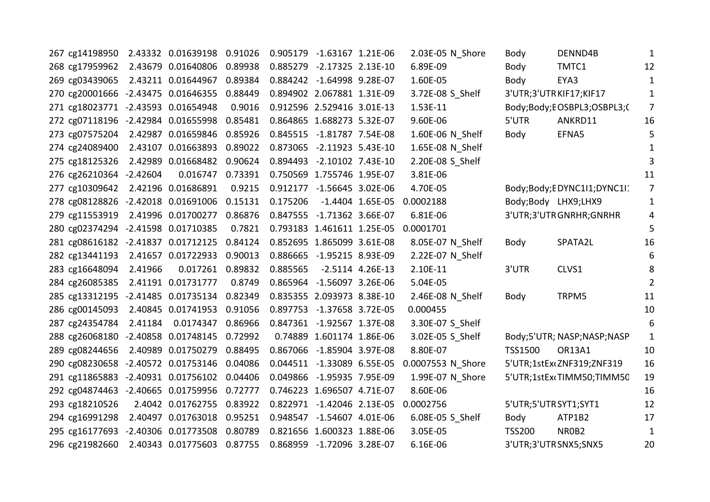| 267 cg14198950 2.43332 0.01639198 0.91026  |                            |         | 0.905179 -1.63167 1.21E-06 |                            |                    | 2.03E-05 N_Shore  | Body                 | DENND4B                    | 1              |
|--------------------------------------------|----------------------------|---------|----------------------------|----------------------------|--------------------|-------------------|----------------------|----------------------------|----------------|
| 268 cg17959962 2.43679 0.01640806 0.89938  |                            |         | 0.885279 -2.17325 2.13E-10 |                            |                    | 6.89E-09          | Body                 | TMTC1                      | 12             |
| 269 cg03439065 2.43211 0.01644967 0.89384  |                            |         | 0.884242 -1.64998 9.28E-07 |                            |                    | 1.60E-05          | Body                 | EYA3                       | $\mathbf{1}$   |
| 270 cg20001666 -2.43475 0.01646355         |                            | 0.88449 |                            | 0.894902 2.067881 1.31E-09 |                    | 3.72E-08 S_Shelf  |                      | 3'UTR; 3'UTR KIF17; KIF17  | $\mathbf{1}$   |
| 271 cg18023771 -2.43593 0.01654948         |                            | 0.9016  | 0.912596 2.529416 3.01E-13 |                            |                    | 1.53E-11          |                      | Body;Body;EOSBPL3;OSBPL3;C | 7              |
| 272 cg07118196 -2.42984 0.01655998 0.85481 |                            |         | 0.864865 1.688273 5.32E-07 |                            |                    | 9.60E-06          | 5'UTR                | ANKRD11                    | 16             |
| 273 cg07575204 2.42987 0.01659846 0.85926  |                            |         | 0.845515 -1.81787 7.54E-08 |                            |                    | 1.60E-06 N_Shelf  | Body                 | EFNA5                      | 5              |
| 274 cg24089400 2.43107 0.01663893 0.89022  |                            |         | 0.873065 -2.11923 5.43E-10 |                            |                    | 1.65E-08 N Shelf  |                      |                            | 1              |
| 275 cg18125326 2.42989 0.01668482 0.90624  |                            |         | 0.894493 -2.10102 7.43E-10 |                            |                    | 2.20E-08 S Shelf  |                      |                            | 3              |
| 276 cg26210364 -2.42604                    | 0.016747 0.73391           |         | 0.750569 1.755746 1.95E-07 |                            |                    | 3.81E-06          |                      |                            | 11             |
| 277 cg10309642 2.42196 0.01686891          |                            | 0.9215  | 0.912177 -1.56645 3.02E-06 |                            |                    | 4.70E-05          |                      | Body;Body;EDYNC1I1;DYNC1I1 | $\overline{7}$ |
| 278 cg08128826 -2.42018 0.01691006 0.15131 |                            |         | 0.175206                   |                            | $-1.4404$ 1.65E-05 | 0.0002188         |                      | Body;Body LHX9;LHX9        | $\mathbf{1}$   |
| 279 cg11553919 2.41996 0.01700277          |                            | 0.86876 | 0.847555 -1.71362 3.66E-07 |                            |                    | 6.81E-06          |                      | 3'UTR;3'UTRGNRHR;GNRHR     | 4              |
| 280 cg02374294 -2.41598 0.01710385         |                            | 0.7821  | 0.793183 1.461611 1.25E-05 |                            |                    | 0.0001701         |                      |                            | 5              |
| 281 cg08616182 -2.41837 0.01712125 0.84124 |                            |         | 0.852695 1.865099 3.61E-08 |                            |                    | 8.05E-07 N_Shelf  | Body                 | SPATA2L                    | 16             |
| 282 cg13441193 2.41657 0.01722933 0.90013  |                            |         | 0.886665 -1.95215 8.93E-09 |                            |                    | 2.22E-07 N Shelf  |                      |                            | 6              |
| 283 cg16648094 2.41966                     | 0.017261 0.89832           |         | 0.885565                   |                            | $-2.5114$ 4.26E-13 | 2.10E-11          | 3'UTR                | CLVS1                      | 8              |
| 284 cg26085385 2.41191 0.01731777          |                            | 0.8749  | 0.865964 -1.56097 3.26E-06 |                            |                    | 5.04E-05          |                      |                            | $\overline{2}$ |
| 285 cg13312195 -2.41485 0.01735134 0.82349 |                            |         | 0.835355 2.093973 8.38E-10 |                            |                    | 2.46E-08 N Shelf  | Body                 | TRPM5                      | 11             |
| 286 cg00145093 2.40845 0.01741953 0.91056  |                            |         |                            | 0.897753 -1.37658 3.72E-05 |                    | 0.000455          |                      |                            | 10             |
| 287 cg24354784 2.41184 0.0174347 0.86966   |                            |         | 0.847361 -1.92567 1.37E-08 |                            |                    | 3.30E-07 S_Shelf  |                      |                            | 6              |
| 288 cg26068180 -2.40858 0.01748145 0.72992 |                            |         |                            | 0.74889 1.601174 1.86E-06  |                    | 3.02E-05 S_Shelf  |                      | Body;5'UTR; NASP;NASP;NASP | $\mathbf{1}$   |
| 289 cg08244656 2.40989 0.01750279 0.88495  |                            |         |                            | 0.867066 -1.85904 3.97E-08 |                    | 8.80E-07          | <b>TSS1500</b>       | <b>OR13A1</b>              | 10             |
| 290 cg08230658 -2.40572 0.01753146         |                            | 0.04086 |                            | 0.044511 -1.33089 6.55E-05 |                    | 0.0007553 N_Shore |                      | 5'UTR;1stEx(ZNF319;ZNF319  | 16             |
| 291 cg11865883 -2.40931 0.01756102         |                            | 0.04406 |                            | 0.049866 -1.95935 7.95E-09 |                    | 1.99E-07 N_Shore  |                      | 5'UTR;1stEx‹TIMM50;TIMM50  | 19             |
| 292 cg04874463 -2.40665 0.01759956 0.72777 |                            |         |                            | 0.746223 1.696507 4.71E-07 |                    | 8.60E-06          |                      |                            | 16             |
| 293 cg18210526                             | 2.4042 0.01762755 0.83922  |         |                            | 0.822971 -1.42046 2.13E-05 |                    | 0.0002756         | 5'UTR;5'UTRSYT1;SYT1 |                            | 12             |
| 294 cg16991298                             | 2.40497 0.01763018 0.95251 |         | 0.948547 -1.54607 4.01E-06 |                            |                    | 6.08E-05 S_Shelf  | Body                 | ATP1B2                     | 17             |
| 295 cg16177693 -2.40306 0.01773508 0.80789 |                            |         | 0.821656 1.600323 1.88E-06 |                            |                    | 3.05E-05          | <b>TSS200</b>        | NR0B2                      | 1              |
| 296 cg21982660 2.40343 0.01775603 0.87755  |                            |         | 0.868959 -1.72096 3.28E-07 |                            |                    | 6.16E-06          |                      | 3'UTR;3'UTRSNX5;SNX5       | 20             |
|                                            |                            |         |                            |                            |                    |                   |                      |                            |                |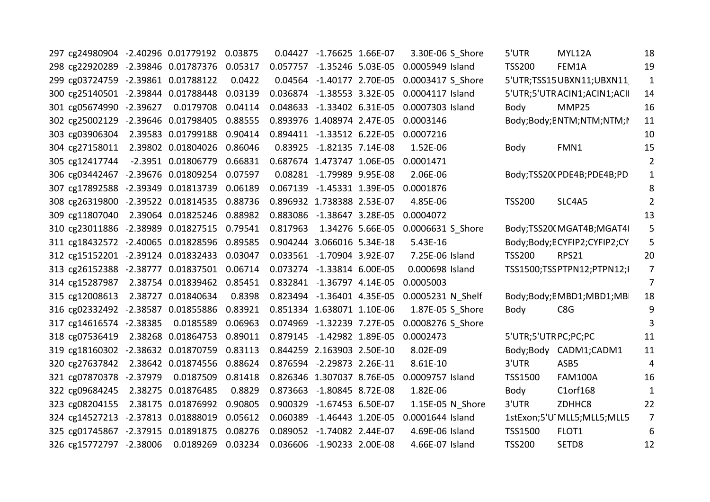| 297 cg24980904 -2.40296 0.01779192 0.03875                                 |  |        |                             | 0.04427 -1.76625 1.66E-07 | 3.30E-06 S Shore                            | 5'UTR               | MYL12A                      | 18 |
|----------------------------------------------------------------------------|--|--------|-----------------------------|---------------------------|---------------------------------------------|---------------------|-----------------------------|----|
| 298 cg22920289 -2.39846 0.01787376 0.05317                                 |  |        |                             |                           | 0.057757 -1.35246 5.03E-05 0.0005949 Island | <b>TSS200</b>       | FEM1A                       | 19 |
| 299 cg03724759 -2.39861 0.01788122 0.0422                                  |  |        |                             |                           | 0.04564 -1.40177 2.70E-05 0.0003417 S Shore |                     | 5'UTR;TSS15UBXN11;UBXN11;   | 1  |
| 300 cg25140501 -2.39844 0.01788448 0.03139                                 |  |        |                             |                           | 0.036874 -1.38553 3.32E-05 0.0004117 Island |                     | 5'UTR;5'UTRACIN1;ACIN1;ACII | 14 |
| 301 cg05674990 -2.39627 0.0179708 0.04114                                  |  |        |                             |                           | 0.048633 -1.33402 6.31E-05 0.0007303 Island | Body                | MMP25                       | 16 |
| 302 cg25002129 -2.39646 0.01798405 0.88555                                 |  |        |                             |                           | 0.893976 1.408974 2.47E-05 0.0003146        |                     | Body;Body;ENTM;NTM;NTM;N    | 11 |
| 303 cg03906304 2.39583 0.01799188 0.90414                                  |  |        |                             |                           | 0.894411 -1.33512 6.22E-05 0.0007216        |                     |                             | 10 |
| 304 cg27158011 2.39802 0.01804026 0.86046                                  |  |        |                             | 0.83925 -1.82135 7.14E-08 | 1.52E-06                                    | Body                | FMN1                        | 15 |
| 305 cg12417744 -2.3951 0.01806779 0.66831                                  |  |        |                             |                           | 0.687674 1.473747 1.06E-05 0.0001471        |                     |                             | 2  |
| 306 cg03442467 -2.39676 0.01809254 0.07597                                 |  |        |                             | 0.08281 -1.79989 9.95E-08 | 2.06E-06                                    |                     | Body;TSS20(PDE4B;PDE4B;PD   | 1  |
| 307 cg17892588 -2.39349 0.01813739 0.06189                                 |  |        |                             |                           | 0.067139 -1.45331 1.39E-05 0.0001876        |                     |                             | 8  |
| 308 cg26319800 -2.39522 0.01814535 0.88736                                 |  |        | 0.896932 1.738388 2.53E-07  |                           | 4.85E-06                                    | <b>TSS200</b>       | SLC4A5                      | 2  |
| 309 cg11807040 2.39064 0.01825246 0.88982                                  |  |        | 0.883086 -1.38647 3.28E-05  |                           | 0.0004072                                   |                     |                             | 13 |
| 310 cg23011886 -2.38989 0.01827515 0.79541                                 |  |        | 0.817963  1.34276  5.66E-05 |                           | 0.0006631 S Shore                           |                     | Body; TSS20(MGAT4B; MGAT4I  | 5  |
| 311 cg18432572 -2.40065 0.01828596 0.89585                                 |  |        | 0.904244 3.066016 5.34E-18  |                           | 5.43E-16                                    |                     | Body;Body;ECYFIP2;CYFIP2;CY | 5  |
| 312 cg15152201 -2.39124 0.01832433 0.03047                                 |  |        | 0.033561 -1.70904 3.92E-07  |                           | 7.25E-06 Island                             | <b>TSS200</b>       | RPS21                       | 20 |
| 313 cg26152388 -2.38777 0.01837501 0.06714                                 |  |        | 0.073274 -1.33814 6.00E-05  |                           | 0.000698 Island                             |                     | TSS1500;TSSPTPN12;PTPN12;I  | 7  |
| 314 cg15287987 2.38754 0.01839462 0.85451                                  |  |        | 0.832841 -1.36797 4.14E-05  |                           | 0.0005003                                   |                     |                             | 7  |
| 315 cg12008613 2.38727 0.01840634                                          |  | 0.8398 | 0.823494 -1.36401 4.35E-05  |                           | 0.0005231 N Shelf                           |                     | Body;Body;EMBD1;MBD1;MBI    | 18 |
| 316 cg02332492 -2.38587 0.01855886 0.83921                                 |  |        | 0.851334 1.638071 1.10E-06  |                           | 1.87E-05 S Shore                            | Body                | C8G                         | 9  |
| 317 cg14616574 -2.38385 0.0185589 0.06963                                  |  |        | 0.074969 -1.32239 7.27E-05  |                           | 0.0008276 S Shore                           |                     |                             | 3  |
| 318 cg07536419  2.38268  0.01864753  0.89011  0.879145  -1.42982  1.89E-05 |  |        |                             |                           | 0.0002473                                   | 5'UTR;5'UTRPC;PC;PC |                             | 11 |
| 319 cg18160302 -2.38632 0.01870759 0.83113                                 |  |        | 0.844259 2.163903 2.50E-10  |                           | 8.02E-09                                    |                     | Body;Body CADM1;CADM1       | 11 |
| 320 cg27637842 2.38642 0.01874556 0.88624                                  |  |        | 0.876594 -2.29873 2.26E-11  |                           | 8.61E-10                                    | 3'UTR               | ASB5                        | 4  |
| 321 cg07870378 -2.37979 0.0187509 0.81418                                  |  |        | 0.826346 1.307037 8.76E-05  |                           | 0.0009757 Island                            | <b>TSS1500</b>      | <b>FAM100A</b>              | 16 |
| 322 cg09684245 2.38275 0.01876485                                          |  | 0.8829 | 0.873663 -1.80845 8.72E-08  |                           | 1.82E-06                                    | Body                | C1orf168                    | 1  |
| 323 cg08204155 2.38175 0.01876992 0.90805                                  |  |        | 0.900329 -1.67453 6.50E-07  |                           | 1.15E-05 N_Shore                            | 3'UTR               | ZDHHC8                      | 22 |
| 324 cg14527213 -2.37813 0.01888019 0.05612                                 |  |        |                             |                           | 0.060389 -1.46443 1.20E-05 0.0001644 Island |                     | 1stExon;5'U MLL5;MLL5;MLL5  | 7  |
| 325 cg01745867 -2.37915 0.01891875 0.08276                                 |  |        | 0.089052 -1.74082 2.44E-07  |                           | 4.69E-06 Island                             | <b>TSS1500</b>      | FLOT1                       | 6  |
| 326 cg15772797 -2.38006 0.0189269 0.03234 0.036606 -1.90233 2.00E-08       |  |        |                             |                           | 4.66E-07 Island                             | <b>TSS200</b>       | SETD8                       | 12 |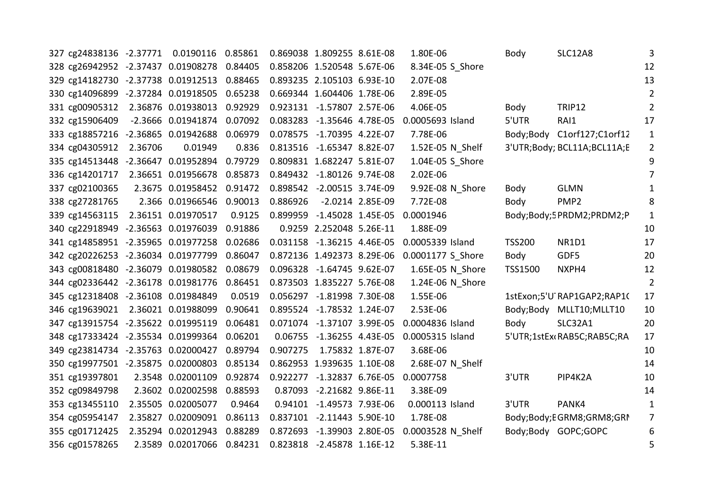| 327 cg24838136 -2.37771 0.0190116 0.85861                             |                                                      |        | 0.869038 1.809255 8.61E-08 |                             |                  | 1.80E-06          | Body          | SLC12A8                     | 3              |
|-----------------------------------------------------------------------|------------------------------------------------------|--------|----------------------------|-----------------------------|------------------|-------------------|---------------|-----------------------------|----------------|
| 328 cg26942952 -2.37437 0.01908278 0.84405 0.858206 1.520548 5.67E-06 |                                                      |        |                            |                             |                  | 8.34E-05 S_Shore  |               |                             | 12             |
| 329 cg14182730 -2.37738 0.01912513 0.88465                            |                                                      |        | 0.893235 2.105103 6.93E-10 |                             |                  | 2.07E-08          |               |                             | 13             |
| 330 cg14096899 -2.37284 0.01918505 0.65238                            |                                                      |        | 0.669344 1.604406 1.78E-06 |                             |                  | 2.89E-05          |               |                             | $\overline{2}$ |
| 331 cg00905312 2.36876 0.01938013 0.92929                             |                                                      |        | 0.923131 -1.57807 2.57E-06 |                             |                  | 4.06E-05          | Body          | TRIP12                      | $\overline{2}$ |
| 332 cg15906409 -2.3666 0.01941874 0.07092                             |                                                      |        | 0.083283 -1.35646 4.78E-05 |                             |                  | 0.0005693 Island  | 5'UTR         | RAI1                        | 17             |
| 333 cg18857216 -2.36865 0.01942688 0.06979                            |                                                      |        |                            | 0.078575 -1.70395 4.22E-07  |                  | 7.78E-06          |               | Body;Body C1orf127;C1orf12  | $\mathbf{1}$   |
| 334 cg04305912 2.36706                                                | 0.01949                                              | 0.836  |                            | 0.813516 -1.65347 8.82E-07  |                  | 1.52E-05 N_Shelf  |               | 3'UTR;Body; BCL11A;BCL11A;E | $\overline{2}$ |
| 335 cg14513448 -2.36647 0.01952894 0.79729                            |                                                      |        | 0.809831 1.682247 5.81E-07 |                             |                  | 1.04E-05 S_Shore  |               |                             | 9              |
| 336 cg14201717 2.36651 0.01956678 0.85873                             |                                                      |        | 0.849432 -1.80126 9.74E-08 |                             |                  | 2.02E-06          |               |                             | 7              |
| 337 cg02100365                                                        | 2.3675 0.01958452 0.91472                            |        | 0.898542 -2.00515 3.74E-09 |                             |                  | 9.92E-08 N_Shore  | Body          | <b>GLMN</b>                 | 1              |
| 338 cg27281765                                                        | 2.366 0.01966546 0.90013                             |        | 0.886926                   |                             | -2.0214 2.85E-09 | 7.72E-08          | Body          | PMP <sub>2</sub>            | 8              |
| 339 cg14563115 2.36151 0.01970517                                     |                                                      | 0.9125 | 0.899959 -1.45028 1.45E-05 |                             |                  | 0.0001946         |               | Body;Body;5PRDM2;PRDM2;P    | $\mathbf{1}$   |
| 340 cg22918949 -2.36563 0.01976039 0.91886                            |                                                      |        |                            | 0.9259 2.252048 5.26E-11    |                  | 1.88E-09          |               |                             | 10             |
| 341 cg14858951 -2.35965 0.01977258 0.02686 0.031158 -1.36215 4.46E-05 |                                                      |        |                            |                             |                  | 0.0005339 Island  | <b>TSS200</b> | NR1D1                       | 17             |
| 342 cg20226253 -2.36034 0.01977799 0.86047                            |                                                      |        | 0.872136 1.492373 8.29E-06 |                             |                  | 0.0001177 S_Shore | Body          | GDF5                        | 20             |
| 343 cg00818480 -2.36079 0.01980582 0.08679                            |                                                      |        | 0.096328 -1.64745 9.62E-07 |                             |                  | 1.65E-05 N_Shore  | TSS1500       | NXPH4                       | 12             |
| 344 cg02336442 -2.36178 0.01981776 0.86451 0.873503 1.835227 5.76E-08 |                                                      |        |                            |                             |                  | 1.24E-06 N Shore  |               |                             | $\overline{2}$ |
| 345 cg12318408 -2.36108 0.01984849                                    |                                                      | 0.0519 |                            | 0.056297 -1.81998 7.30E-08  |                  | 1.55E-06          |               | 1stExon;5'U RAP1GAP2;RAP10  | 17             |
| 346 cg19639021 2.36021 0.01988099 0.90641                             |                                                      |        | 0.895524 -1.78532 1.24E-07 |                             |                  | 2.53E-06          |               | Body;Body MLLT10;MLLT10     | 10             |
| 347 cg13915754 -2.35622 0.01995119 0.06481 0.071074 -1.37107 3.99E-05 |                                                      |        |                            |                             |                  | 0.0004836 Island  | Body          | SLC32A1                     | 20             |
| 348 cg17333424 -2.35534 0.01999364 0.06201                            |                                                      |        | 0.06755 -1.36255 4.43E-05  |                             |                  | 0.0005315 Island  |               | 5'UTR;1stEx(RAB5C;RAB5C;RA  | 17             |
| 349 cg23814734 -2.35763 0.02000427 0.89794                            |                                                      |        |                            | 0.907275  1.75832  1.87E-07 |                  | 3.68E-06          |               |                             | 10             |
| 350 cg19977501 -2.35875 0.02000803 0.85134                            |                                                      |        | 0.862953 1.939635 1.10E-08 |                             |                  | 2.68E-07 N Shelf  |               |                             | 14             |
| 351 cg19397801                                                        | 2.3548 0.02001109 0.92874                            |        |                            | 0.922277 -1.32837 6.76E-05  |                  | 0.0007758         | 3'UTR         | PIP4K2A                     | 10             |
| 352 cg09849798                                                        | 2.3602 0.02002598 0.88593                            |        |                            | 0.87093 -2.21682 9.86E-11   |                  | 3.38E-09          |               |                             | 14             |
| 353 cg13455110                                                        | 2.35505 0.02005077                                   | 0.9464 |                            | 0.94101 -1.49573 7.93E-06   |                  | 0.000113 Island   | 3'UTR         | PANK4                       | $\mathbf{1}$   |
| 354 cg05954147 2.35827 0.02009091 0.86113                             |                                                      |        |                            | 0.837101 -2.11443 5.90E-10  |                  | 1.78E-08          |               | Body;Body;EGRM8;GRM8;GRN    | $\overline{7}$ |
| 355 cg01712425                                                        | 2.35294 0.02012943 0.88289                           |        |                            | 0.872693 -1.39903 2.80E-05  |                  | 0.0003528 N_Shelf |               | Body;Body GOPC;GOPC         | 6              |
| 356 cg01578265                                                        | 2.3589 0.02017066 0.84231 0.823818 -2.45878 1.16E-12 |        |                            |                             |                  | 5.38E-11          |               |                             | 5              |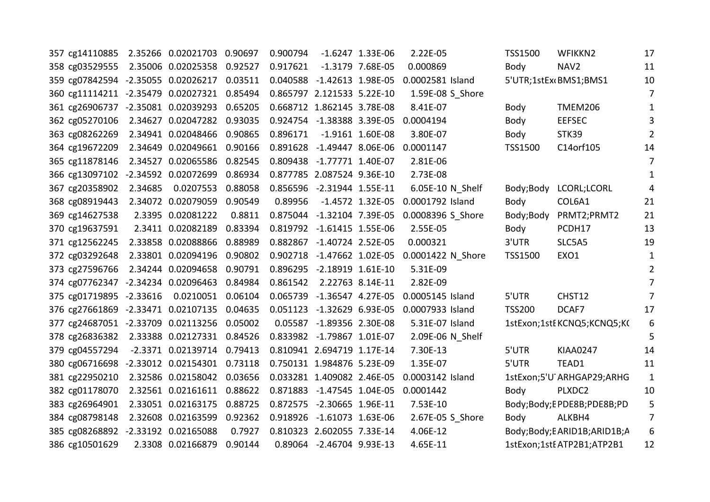| 357 cg14110885 2.35266 0.02021703 0.90697  |                           | 0.900794                   |                           | $-1.6247$ 1.33E-06 | 2.22E-05                                                                               | <b>TSS1500</b> | WFIKKN <sub>2</sub>        | 17             |
|--------------------------------------------|---------------------------|----------------------------|---------------------------|--------------------|----------------------------------------------------------------------------------------|----------------|----------------------------|----------------|
| 358 cg03529555 2.35006 0.02025358 0.92527  |                           | 0.917621                   |                           | -1.3179 7.68E-05   | 0.000869                                                                               | Body           | NAV <sub>2</sub>           | 11             |
|                                            |                           |                            |                           |                    | 359 cg07842594 -2.35055 0.02026217 0.03511 0.040588 -1.42613 1.98E-05 0.0002581 Island |                | 5'UTR;1stEx(BMS1;BMS1      | 10             |
| 360 cg11114211 -2.35479 0.02027321 0.85494 |                           | 0.865797 2.121533 5.22E-10 |                           |                    | 1.59E-08 S Shore                                                                       |                |                            | 7              |
| 361 cg26906737 -2.35081 0.02039293 0.65205 |                           | 0.668712 1.862145 3.78E-08 |                           |                    | 8.41E-07                                                                               | Body           | TMEM206                    | $\mathbf{1}$   |
| 362 cg05270106 2.34627 0.02047282 0.93035  |                           | 0.924754 -1.38388 3.39E-05 |                           |                    | 0.0004194                                                                              | Body           | <b>EEFSEC</b>              | 3              |
| 363 cg08262269 2.34941 0.02048466 0.90865  |                           | 0.896171                   | -1.9161 1.60E-08          |                    | 3.80E-07                                                                               | Body           | STK39                      | $\overline{2}$ |
| 364 cg19672209 2.34649 0.02049661 0.90166  |                           | 0.891628 -1.49447 8.06E-06 |                           |                    | 0.0001147                                                                              | <b>TSS1500</b> | C14orf105                  | 14             |
| 365 cg11878146 2.34527 0.02065586 0.82545  |                           | 0.809438 -1.77771 1.40E-07 |                           |                    | 2.81E-06                                                                               |                |                            | 7              |
| 366 cg13097102 -2.34592 0.02072699 0.86934 |                           | 0.877785 2.087524 9.36E-10 |                           |                    | 2.73E-08                                                                               |                |                            | $\mathbf{1}$   |
| 367 cg20358902 2.34685 0.0207553 0.88058   |                           | 0.856596 -2.31944 1.55E-11 |                           |                    | 6.05E-10 N Shelf                                                                       |                | Body;Body LCORL;LCORL      | 4              |
| 368 cg08919443 2.34072 0.02079059 0.90549  |                           | 0.89956                    |                           | $-1.4572$ 1.32E-05 | 0.0001792 Island                                                                       | Body           | COL6A1                     | 21             |
| 369 cg14627538                             | 2.3395 0.02081222 0.8811  |                            |                           |                    | 0.875044 -1.32104 7.39E-05 0.0008396 S Shore                                           |                | Body;Body PRMT2;PRMT2      | 21             |
| 370 cg19637591                             | 2.3411 0.02082189 0.83394 | 0.819792 -1.61415 1.55E-06 |                           |                    | 2.55E-05                                                                               | Body           | PCDH17                     | 13             |
| 371 cg12562245 2.33858 0.02088866 0.88989  |                           | 0.882867 -1.40724 2.52E-05 |                           |                    | 0.000321                                                                               | 3'UTR          | SLC5A5                     | 19             |
| 372 cg03292648 2.33801 0.02094196 0.90802  |                           | 0.902718 -1.47662 1.02E-05 |                           |                    | 0.0001422 N_Shore                                                                      | <b>TSS1500</b> | EXO1                       | $\mathbf{1}$   |
| 373 cg27596766 2.34244 0.02094658 0.90791  |                           | 0.896295 -2.18919 1.61E-10 |                           |                    | 5.31E-09                                                                               |                |                            | $\overline{2}$ |
| 374 cg07762347 -2.34234 0.02096463 0.84984 |                           | 0.861542 2.22763 8.14E-11  |                           |                    | 2.82E-09                                                                               |                |                            | $\overline{7}$ |
| 375 cg01719895 -2.33616 0.0210051 0.06104  |                           | 0.065739 -1.36547 4.27E-05 |                           |                    | 0.0005145 Island                                                                       | 5'UTR          | CHST12                     | 7              |
| 376 cg27661869 -2.33471 0.02107135 0.04635 |                           | 0.051123 -1.32629 6.93E-05 |                           |                    | 0.0007933 Island                                                                       | <b>TSS200</b>  | DCAF7                      | 17             |
| 377 cg24687051 -2.33709 0.02113256 0.05002 |                           |                            | 0.05587 -1.89356 2.30E-08 |                    | 5.31E-07 Island                                                                        |                | 1stExon;1stEKCNQ5;KCNQ5;KC | 6              |
| 378 cg26836382 2.33388 0.02127331 0.84526  |                           | 0.833982 -1.79867 1.01E-07 |                           |                    | 2.09E-06 N_Shelf                                                                       |                |                            | 5              |
| 379 cg04557294 -2.3371 0.02139714 0.79413  |                           | 0.810941 2.694719 1.17E-14 |                           |                    | 7.30E-13                                                                               | 5'UTR          | <b>KIAA0247</b>            | 14             |
| 380 cg06716698 -2.33012 0.02154301 0.73118 |                           | 0.750131 1.984876 5.23E-09 |                           |                    | 1.35E-07                                                                               | 5'UTR          | TEAD1                      | 11             |
| 381 cg22950210 2.32586 0.02158042 0.03656  |                           | 0.033281 1.409082 2.46E-05 |                           |                    | 0.0003142 Island                                                                       |                | 1stExon;5'U ARHGAP29;ARHG  | $\mathbf{1}$   |
| 382 cg01178070 2.32561 0.02161611 0.88622  |                           | 0.871883 -1.47545 1.04E-05 |                           |                    | 0.0001442                                                                              | Body           | PLXDC2                     | 10             |
| 383 cg26964901 2.33051 0.02163175 0.88725  |                           | 0.872575 -2.30665 1.96E-11 |                           |                    | 7.53E-10                                                                               |                | Body;Body;EPDE8B;PDE8B;PD  | 5              |
| 384 cg08798148 2.32608 0.02163599 0.92362  |                           | 0.918926 -1.61073 1.63E-06 |                           |                    | 2.67E-05 S_Shore                                                                       | Body           | ALKBH4                     | $\overline{7}$ |
| 385 cg08268892 -2.33192 0.02165088 0.7927  |                           | 0.810323 2.602055 7.33E-14 |                           |                    | 4.06E-12                                                                               |                | Body;Body;EARID1B;ARID1B;A | 6              |
| 386 cg10501629                             | 2.3308 0.02166879 0.90144 |                            | 0.89064 -2.46704 9.93E-13 |                    | 4.65E-11                                                                               |                | 1stExon;1stEATP2B1;ATP2B1  | 12             |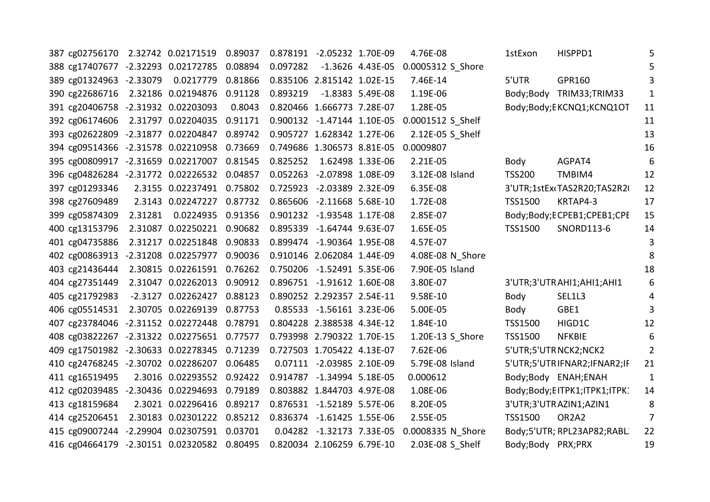|                                    | 387 cg02756170 2.32742 0.02171519 0.89037 0.878191 -2.05232 1.70E-09       |        |                            |                           | 4.76E-08                                                                               | 1stExon           | HISPPD1                      | 5              |
|------------------------------------|----------------------------------------------------------------------------|--------|----------------------------|---------------------------|----------------------------------------------------------------------------------------|-------------------|------------------------------|----------------|
|                                    |                                                                            |        |                            |                           | 388 cg17407677 -2.32293 0.02172785 0.08894 0.097282 -1.3626 4.43E-05 0.0005312 S Shore |                   |                              |                |
|                                    | 389 cg01324963 -2.33079 0.0217779 0.81866 0.835106 2.815142 1.02E-15       |        |                            |                           | 7.46E-14                                                                               | 5'UTR             | GPR160                       |                |
|                                    | 390 cg22686716 2.32186 0.02194876 0.91128                                  |        | 0.893219                   | -1.8383 5.49E-08          | 1.19E-06                                                                               |                   | Body;Body TRIM33;TRIM33      | 1              |
| 391 cg20406758 -2.31932 0.02203093 |                                                                            | 0.8043 | 0.820466 1.666773 7.28E-07 |                           | 1.28E-05                                                                               |                   | Body;Body;EKCNQ1;KCNQ1OT     | 11             |
|                                    | 392 cg06174606  2.31797  0.02204035  0.91171  0.900132  -1.47144  1.10E-05 |        |                            |                           | 0.0001512 S_Shelf                                                                      |                   |                              | 11             |
|                                    | 393 cg02622809 -2.31877 0.02204847 0.89742 0.905727 1.628342 1.27E-06      |        |                            |                           | 2.12E-05 S Shelf                                                                       |                   |                              | 13             |
|                                    | 394 cg09514366 -2.31578 0.02210958 0.73669 0.749686 1.306573 8.81E-05      |        |                            |                           | 0.0009807                                                                              |                   |                              | 16             |
|                                    | 395 cg00809917 -2.31659 0.02217007 0.81545 0.825252 1.62498 1.33E-06       |        |                            |                           | 2.21E-05                                                                               | Body              | AGPAT4                       | 6              |
|                                    | 396 cg04826284 -2.31772 0.02226532 0.04857                                 |        | 0.052263 -2.07898 1.08E-09 |                           | 3.12E-08 Island                                                                        | <b>TSS200</b>     | TMBIM4                       | 12             |
| 397 cg01293346                     | 2.3155 0.02237491 0.75802 0.725923 -2.03389 2.32E-09                       |        |                            |                           | 6.35E-08                                                                               |                   | 3'UTR;1stEx(TAS2R20;TAS2R2(  | 12             |
| 398 cg27609489                     | 2.3143 0.02247227 0.87732 0.865606 -2.11668 5.68E-10                       |        |                            |                           | 1.72E-08                                                                               | <b>TSS1500</b>    | KRTAP4-3                     | 17             |
|                                    | 399 cg05874309  2.31281  0.0224935  0.91356  0.901232  -1.93548  1.17E-08  |        |                            |                           | 2.85E-07                                                                               |                   | Body;Body;ECPEB1;CPEB1;CPE   | 15             |
|                                    | 400 cg13153796 2.31087 0.02250221 0.90682 0.895339 -1.64744 9.63E-07       |        |                            |                           | 1.65E-05                                                                               | <b>TSS1500</b>    | SNORD113-6                   | 14             |
|                                    | 401 cg04735886 2.31217 0.02251848 0.90833                                  |        | 0.899474 -1.90364 1.95E-08 |                           | 4.57E-07                                                                               |                   |                              | 3              |
|                                    | 402 cg00863913 -2.31208 0.02257977 0.90036 0.910146 2.062084 1.44E-09      |        |                            |                           | 4.08E-08 N Shore                                                                       |                   |                              |                |
|                                    | 403 cg21436444 2.30815 0.02261591 0.76262 0.750206 -1.52491 5.35E-06       |        |                            |                           | 7.90E-05 Island                                                                        |                   |                              | 18             |
|                                    | 404 cg27351449 2.31047 0.02262013 0.90912 0.896751 -1.91612 1.60E-08       |        |                            |                           | 3.80E-07                                                                               |                   | 3'UTR;3'UTRAHI1;AHI1;AHI1    | 6              |
|                                    | 405 cg21792983 -2.3127 0.02262427 0.88123                                  |        | 0.890252 2.292357 2.54E-11 |                           | 9.58E-10                                                                               | Body              | SEL1L3                       | 4              |
|                                    | 406 cg05514531 2.30705 0.02269139 0.87753                                  |        |                            | 0.85533 -1.56161 3.23E-06 | 5.00E-05                                                                               | Body              | GBE1                         |                |
|                                    | 407 cg23784046 -2.31152 0.02272448 0.78791                                 |        | 0.804228 2.388538 4.34E-12 |                           | 1.84E-10                                                                               | <b>TSS1500</b>    | HIGD1C                       | 12             |
|                                    | 408 cg03822267 -2.31322 0.02275651 0.77577 0.793998 2.790322 1.70E-15      |        |                            |                           | 1.20E-13 S Shore                                                                       | <b>TSS1500</b>    | <b>NFKBIE</b>                | 6              |
|                                    | 409 cg17501982 -2.30633 0.02278345 0.71239                                 |        | 0.727503 1.705422 4.13E-07 |                           | 7.62E-06                                                                               |                   | 5'UTR;5'UTRNCK2;NCK2         | $\overline{2}$ |
|                                    | 410 cg24768245 -2.30702 0.02286207 0.06485                                 |        |                            | 0.07111 -2.03985 2.10E-09 | 5.79E-08 Island                                                                        |                   | 5'UTR;5'UTRIFNAR2;IFNAR2;IF  | 21             |
| 411 cg16519495                     | 2.3016 0.02293552 0.92422                                                  |        | 0.914787 -1.34994 5.18E-05 |                           | 0.000612                                                                               |                   | Body;Body ENAH;ENAH          | $\mathbf{1}$   |
|                                    | 412 cg02039485 -2.30436 0.02294693 0.79189                                 |        | 0.803882 1.844703 4.97E-08 |                           | 1.08E-06                                                                               |                   | Body;Body;EITPK1;ITPK1;ITPK1 | 14             |
| 413 cg18159684                     | 2.3021 0.02296416 0.89217                                                  |        | 0.876531 -1.52189 5.57E-06 |                           | 8.20E-05                                                                               |                   | 3'UTR;3'UTRAZIN1;AZIN1       | 8              |
|                                    | 414 cg25206451  2.30183  0.02301222  0.85212  0.836374  -1.61425  1.55E-06 |        |                            |                           | 2.55E-05                                                                               | <b>TSS1500</b>    | OR2A2                        | 7              |
|                                    | 415 cg09007244 -2.29904 0.02307591 0.03701                                 |        |                            |                           | 0.04282 -1.32173 7.33E-05 0.0008335 N_Shore                                            |                   | Body;5'UTR; RPL23AP82;RABL.  | 22             |
|                                    | 416 cg04664179 -2.30151 0.02320582 0.80495 0.820034 2.106259 6.79E-10      |        |                            |                           | 2.03E-08 S Shelf                                                                       | Body;Body PRX;PRX |                              | 19             |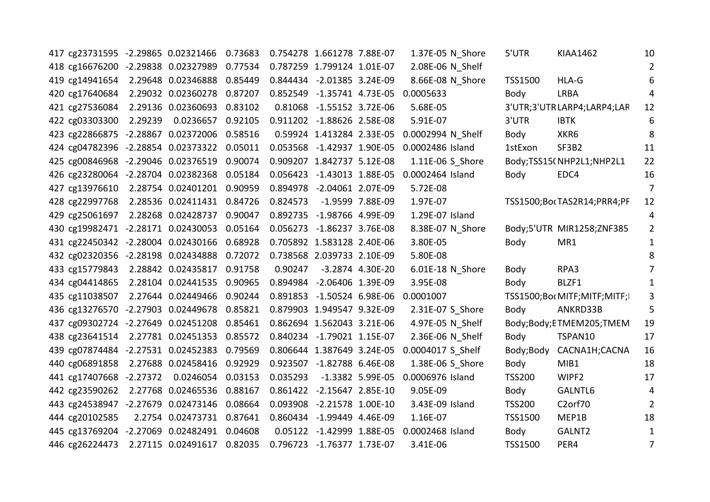| 417 cg23731595 -2.29865 0.02321466 0.73683                            |                           | 0.754278 1.661278 7.88E-07 |                            |                    | 1.37E-05 N_Shore  | 5'UTR          | <b>KIAA1462</b>                  | 10             |  |
|-----------------------------------------------------------------------|---------------------------|----------------------------|----------------------------|--------------------|-------------------|----------------|----------------------------------|----------------|--|
| 418 cg16676200 -2.29838 0.02327989 0.77534                            |                           | 0.787259 1.799124 1.01E-07 |                            |                    | 2.08E-06 N_Shelf  |                |                                  | 2              |  |
| 419 cg14941654 2.29648 0.02346888 0.85449                             |                           | 0.844434 -2.01385 3.24E-09 |                            |                    | 8.66E-08 N Shore  | <b>TSS1500</b> | HLA-G                            | 6              |  |
| 420 cg17640684 2.29032 0.02360278 0.87207                             |                           |                            | 0.852549 -1.35741 4.73E-05 |                    | 0.0005633         | Body           | <b>LRBA</b>                      | 4              |  |
| 421 cg27536084 2.29136 0.02360693 0.83102                             |                           |                            | 0.81068 -1.55152 3.72E-06  |                    | 5.68E-05          |                | 3'UTR;3'UTRLARP4;LARP4;LAR       | 12             |  |
| 422 cg03303300 2.29239 0.0236657 0.92105                              |                           |                            | 0.911202 -1.88626 2.58E-08 |                    | 5.91E-07          | 3'UTR          | <b>IBTK</b>                      | 6              |  |
| 423 cg22866875 -2.28867 0.02372006 0.58516                            |                           |                            | 0.59924 1.413284 2.33E-05  |                    | 0.0002994 N Shelf | Body           | XKR6                             | 8              |  |
| 424 cg04782396 -2.28854 0.02373322 0.05011                            |                           |                            | 0.053568 -1.42937 1.90E-05 |                    | 0.0002486 Island  | <b>1stExon</b> | SF3B2                            | 11             |  |
| 425 cg00846968 -2.29046 0.02376519 0.90074                            |                           |                            | 0.909207 1.842737 5.12E-08 |                    | 1.11E-06 S_Shore  |                | Body;TSS15(NHP2L1;NHP2L1         | 22             |  |
| 426 cg23280064 -2.28704 0.02382368 0.05184                            |                           |                            | 0.056423 -1.43013 1.88E-05 |                    | 0.0002464 Island  | Body           | EDC4                             | 16             |  |
| 427 cg13976610 2.28754 0.02401201 0.90959                             |                           | 0.894978 -2.04061 2.07E-09 |                            |                    | 5.72E-08          |                |                                  | $\overline{7}$ |  |
| 428 cg22997768 2.28536 0.02411431 0.84726                             |                           | 0.824573                   |                            | -1.9599 7.88E-09   | 1.97E-07          |                | TSS1500;BocTAS2R14;PRR4;PF       | 12             |  |
| 429 cg25061697 2.28268 0.02428737 0.90047                             |                           |                            | 0.892735 -1.98766 4.99E-09 |                    | 1.29E-07 Island   |                |                                  | 4              |  |
| 430 cg19982471 -2.28171 0.02430053 0.05164                            |                           | 0.056273 -1.86237 3.76E-08 |                            |                    | 8.38E-07 N_Shore  |                | Body;5'UTR MIR1258;ZNF385        | $\overline{2}$ |  |
| 431 cg22450342 -2.28004 0.02430166 0.68928                            |                           | 0.705892 1.583128 2.40E-06 |                            |                    | 3.80E-05          | Body           | MR1                              | $\mathbf 1$    |  |
| 432 cg02320356 -2.28198 0.02434888 0.72072                            |                           | 0.738568 2.039733 2.10E-09 |                            |                    | 5.80E-08          |                |                                  | 8              |  |
| 433 cg15779843 2.28842 0.02435817 0.91758                             |                           | 0.90247                    |                            | -3.2874 4.30E-20   | 6.01E-18 N_Shore  | Body           | RPA3                             | 7              |  |
| 434 cg04414865 2.28104 0.02441535 0.90965                             |                           | 0.894984 -2.06406 1.39E-09 |                            |                    | 3.95E-08          | Body           | BLZF1                            | $\mathbf{1}$   |  |
| 435 cg11038507 2.27644 0.02449466 0.90244                             |                           |                            | 0.891853 -1.50524 6.98E-06 |                    | 0.0001007         |                | TSS1500;BocMITF;MITF;MITF;I      | 3              |  |
| 436 cg13276570 -2.27903 0.02449678 0.85821 0.879903 1.949547 9.32E-09 |                           |                            |                            |                    | 2.31E-07 S_Shore  | Body           | ANKRD33B                         | 5              |  |
| 437 cg09302724 -2.27649 0.02451208 0.85461                            |                           | 0.862694 1.562043 3.21E-06 |                            |                    | 4.97E-05 N_Shelf  |                | Body;Body;ETMEM205;TMEM          | 19             |  |
| 438 cg23641514 2.27781 0.02451353 0.85572                             |                           | 0.840234 -1.79021 1.15E-07 |                            |                    | 2.36E-06 N Shelf  | Body           | TSPAN10                          | 17             |  |
| 439 cg07874484 -2.27531 0.02452383 0.79569                            |                           |                            | 0.806644 1.387649 3.24E-05 |                    | 0.0004017 S Shelf | Body;Body      | CACNA1H;CACNA                    | 16             |  |
| 440 cg06891858 2.27688 0.02458416 0.92929                             |                           | 0.923507 -1.82788 6.46E-08 |                            |                    | 1.38E-06 S Shore  | Body           | MIB1                             | 18             |  |
| 441 cg17407668 -2.27372 0.0246054 0.03153                             |                           | 0.035293                   |                            | $-1.3382$ 5.99E-05 | 0.0006976 Island  | <b>TSS200</b>  | WIPF <sub>2</sub>                | 17             |  |
| 442 cg23590262 2.27768 0.02465536 0.88167                             |                           | 0.861422 -2.15647 2.85E-10 |                            |                    | 9.05E-09          | Body           | GALNTL6                          | 4              |  |
| 443 cg24538947 -2.27679 0.02473146 0.08664                            |                           |                            | 0.093908 -2.21578 1.00E-10 |                    | 3.43E-09 Island   | <b>TSS200</b>  | C <sub>2</sub> orf <sub>70</sub> | $\overline{2}$ |  |
| 444 cg20102585                                                        | 2.2754 0.02473731 0.87641 | 0.860434 -1.99449 4.46E-09 |                            |                    | 1.16E-07          | <b>TSS1500</b> | MEP1B                            | 18             |  |
| 445 cg13769204 -2.27069 0.02482491 0.04608                            |                           |                            | 0.05122 -1.42999 1.88E-05  |                    | 0.0002468 Island  | Body           | GALNT2                           | 1              |  |
| 446 cg26224473 2.27115 0.02491617 0.82035                             |                           | 0.796723 -1.76377 1.73E-07 |                            |                    | 3.41E-06          | <b>TSS1500</b> | PER4                             | $\overline{7}$ |  |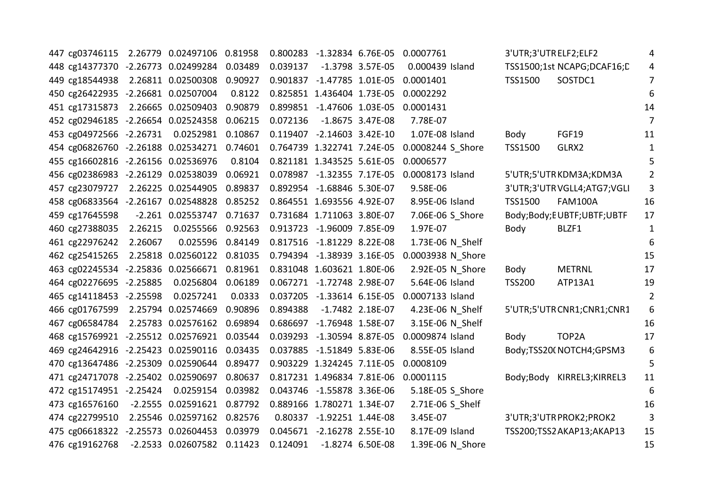| 447 cg03746115 2.26779 0.02497106 0.81958 0.800283 -1.32834 6.76E-05 0.0007761 |                                                           |        |                                                 |  |                                                                                         | 3'UTR;3'UTRELF2;ELF2 |                            | 4              |
|--------------------------------------------------------------------------------|-----------------------------------------------------------|--------|-------------------------------------------------|--|-----------------------------------------------------------------------------------------|----------------------|----------------------------|----------------|
| 448 cg14377370 -2.26773 0.02499284 0.03489 0.039137 -1.3798 3.57E-05           |                                                           |        |                                                 |  | 0.000439 Island                                                                         |                      | TSS1500;1st NCAPG;DCAF16;L | 4              |
| 449 cg18544938 2.26811 0.02500308 0.90927 0.901837 -1.47785 1.01E-05 0.0001401 |                                                           |        |                                                 |  |                                                                                         | <b>TSS1500</b>       | SOSTDC1                    |                |
| 450 cg26422935 -2.26681 0.02507004                                             |                                                           | 0.8122 |                                                 |  | 0.825851 1.436404 1.73E-05 0.0002292                                                    |                      |                            | 6              |
| 451 cg17315873 2.26665 0.02509403 0.90879 0.899851 -1.47606 1.03E-05 0.0001431 |                                                           |        |                                                 |  |                                                                                         |                      |                            | 14             |
| 452 cg02946185 -2.26654 0.02524358 0.06215 0.072136 -1.8675 3.47E-08           |                                                           |        |                                                 |  | 7.78E-07                                                                                |                      |                            | 7              |
| 453 cg04972566 -2.26731 0.0252981 0.10867                                      |                                                           |        | 0.119407 -2.14603 3.42E-10                      |  | 1.07E-08 Island                                                                         | Body                 | FGF19                      | 11             |
|                                                                                |                                                           |        |                                                 |  | 454 cg06826760 -2.26188 0.02534271 0.74601 0.764739 1.322741 7.24E-05 0.0008244 S Shore | TSS1500              | GLRX2                      | $\mathbf{1}$   |
| 455 cg16602816 -2.26156 0.02536976                                             |                                                           |        |                                                 |  | 0.8104  0.821181  1.343525  5.61E-05  0.0006577                                         |                      |                            | 5              |
|                                                                                |                                                           |        |                                                 |  | 456 cg02386983 -2.26129 0.02538039 0.06921 0.078987 -1.32355 7.17E-05 0.0008173 Island  |                      | 5'UTR;5'UTRKDM3A;KDM3A     | $\overline{2}$ |
| 457 cg23079727 2.26225 0.02544905 0.89837 0.892954 -1.68846 5.30E-07           |                                                           |        |                                                 |  | 9.58E-06                                                                                |                      | 3'UTR;3'UTRVGLL4;ATG7;VGLI | 3              |
| 458 cg06833564 -2.26167 0.02548828 0.85252 0.864551 1.693556 4.92E-07          |                                                           |        |                                                 |  | 8.95E-06 Island                                                                         | <b>TSS1500</b>       | <b>FAM100A</b>             | 16             |
| 459 cg17645598                                                                 | -2.261  0.02553747  0.71637  0.731684  1.711063  3.80E-07 |        |                                                 |  | 7.06E-06 S Shore                                                                        |                      | Body;Body;EUBTF;UBTF;UBTF  | 17             |
| 460 cg27388035 2.26215 0.0255566 0.92563 0.913723 -1.96009 7.85E-09            |                                                           |        |                                                 |  | 1.97E-07                                                                                | Body                 | BLZF1                      | $\mathbf{1}$   |
| 461 cg22976242 2.26067                                                         |                                                           |        | 0.025596  0.84149  0.817516  -1.81229  8.22E-08 |  | 1.73E-06 N_Shelf                                                                        |                      |                            | 6              |
| 462 cg25415265 2.25818 0.02560122 0.81035 0.794394 -1.38939 3.16E-05           |                                                           |        |                                                 |  | 0.0003938 N Shore                                                                       |                      |                            | 15             |
| 463 cg02245534 -2.25836 0.02566671 0.81961 0.831048 1.603621 1.80E-06          |                                                           |        |                                                 |  | 2.92E-05 N Shore                                                                        | Body                 | <b>METRNL</b>              | 17             |
| 464 cg02276695 -2.25885 0.0256804 0.06189 0.067271 -1.72748 2.98E-07           |                                                           |        |                                                 |  | 5.64E-06 Island                                                                         | <b>TSS200</b>        | ATP13A1                    | 19             |
| 465 cg14118453 -2.25598 0.0257241                                              |                                                           | 0.0333 | 0.037205 -1.33614 6.15E-05                      |  | 0.0007133 Island                                                                        |                      |                            | 2              |
| 466 cg01767599  2.25794  0.02574669  0.90896  0.894388  -1.7482  2.18E-07      |                                                           |        |                                                 |  | 4.23E-06 N Shelf                                                                        |                      | 5'UTR;5'UTRCNR1;CNR1;CNR1  | 6              |
| 467 cg06584784 2.25783 0.02576162 0.69894 0.686697 -1.76948 1.58E-07           |                                                           |        |                                                 |  | 3.15E-06 N Shelf                                                                        |                      |                            | 16             |
| 468 cg15769921 -2.25512 0.02576921 0.03544 0.039293 -1.30594 8.87E-05          |                                                           |        |                                                 |  | 0.0009874 Island                                                                        | Body                 | TOP2A                      | 17             |
| 469 cg24642916 -2.25423 0.02590116 0.03435 0.037885 -1.51849 5.83E-06          |                                                           |        |                                                 |  | 8.55E-05 Island                                                                         |                      | Body;TSS20(NOTCH4;GPSM3    | 6              |
| 470 cg13647486 -2.25309 0.02590644 0.89477 0.903229 1.324245 7.11E-05          |                                                           |        |                                                 |  | 0.0008109                                                                               |                      |                            | 5              |
| 471 cg24717078 -2.25402 0.02590697 0.80637                                     |                                                           |        |                                                 |  | 0.817231 1.496834 7.81E-06 0.0001115                                                    |                      | Body;Body KIRREL3;KIRREL3  | 11             |
| 472 cg15174951 -2.25424 0.0259154 0.03982 0.043746 -1.55878 3.36E-06           |                                                           |        |                                                 |  | 5.18E-05 S_Shore                                                                        |                      |                            | 6              |
| 473 cg16576160 -2.2555 0.02591621 0.87792 0.889166 1.780271 1.34E-07           |                                                           |        |                                                 |  | 2.71E-06 S_Shelf                                                                        |                      |                            | 16             |
| 474 cg22799510 2.25546 0.02597162 0.82576                                      |                                                           |        | 0.80337 -1.92251 1.44E-08                       |  | 3.45E-07                                                                                |                      | 3'UTR;3'UTR PROK2;PROK2    | 3              |
| 475 cg06618322 -2.25573 0.02604453 0.03979                                     |                                                           |        | 0.045671 -2.16278 2.55E-10                      |  | 8.17E-09 Island                                                                         |                      | TSS200;TSS2AKAP13;AKAP13   | 15             |
| 476 cg19162768 -2.2533 0.02607582 0.11423 0.124091 -1.8274 6.50E-08            |                                                           |        |                                                 |  | 1.39E-06 N Shore                                                                        |                      |                            | 15             |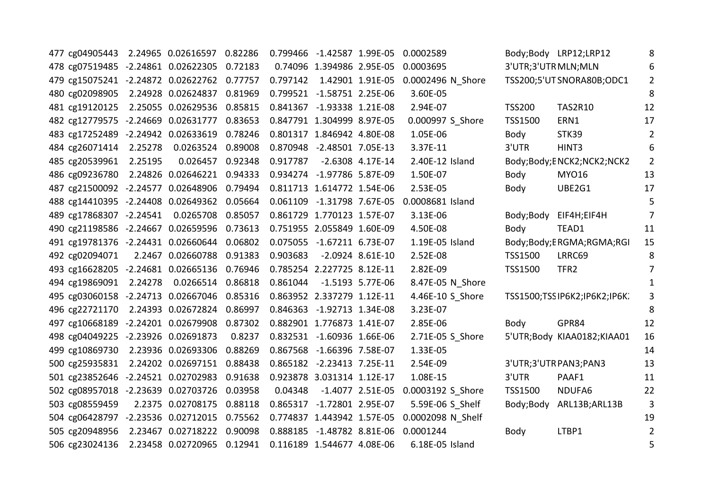|                        | 477 cg04905443 2.24965 0.02616597 0.82286 0.799466 -1.42587 1.99E-05 0.0002589          |                                      |                  |                    |                                            |                    | Body;Body LRP12;LRP12        | 8              |
|------------------------|-----------------------------------------------------------------------------------------|--------------------------------------|------------------|--------------------|--------------------------------------------|--------------------|------------------------------|----------------|
|                        | 478 cg07519485 -2.24861 0.02622305 0.72183 0.74096 1.394986 2.95E-05 0.0003695          |                                      |                  |                    |                                            | 3'UTR;3'UTRMLN;MLN |                              | 6              |
|                        | 479 cg15075241 -2.24872 0.02622762 0.77757 0.797142 1.42901 1.91E-05 0.0002496 N_Shore  |                                      |                  |                    |                                            |                    | TSS200;5'UT SNORA80B;ODC1    | $\overline{2}$ |
|                        | 480 cg02098905 2.24928 0.02624837 0.81969 0.799521 -1.58751 2.25E-06                    |                                      |                  |                    | 3.60E-05                                   |                    |                              | 8              |
|                        | 481 cg19120125 2.25055 0.02629536 0.85815 0.841367 -1.93338 1.21E-08                    |                                      |                  |                    | 2.94E-07                                   | <b>TSS200</b>      | <b>TAS2R10</b>               | 12             |
|                        | 482 cg12779575 -2.24669 0.02631777 0.83653 0.847791 1.304999 8.97E-05                   |                                      |                  |                    | 0.000997 S Shore                           | TSS1500            | ERN1                         | 17             |
|                        | 483 cg17252489 -2.24942 0.02633619 0.78246 0.801317 1.846942 4.80E-08                   |                                      |                  |                    | 1.05E-06                                   | Body               | STK39                        | $\overline{2}$ |
|                        | 484 cg26071414 2.25278 0.0263524 0.89008                                                | 0.870948 -2.48501 7.05E-13           |                  |                    | 3.37E-11                                   | 3'UTR              | HINT3                        | 6              |
| 485 cg20539961 2.25195 |                                                                                         | 0.026457  0.92348  0.917787          |                  | $-2.6308$ 4.17E-14 | 2.40E-12 Island                            |                    | Body;Body;ENCK2;NCK2;NCK2    | $\overline{2}$ |
|                        | 486 cg09236780  2.24826  0.02646221  0.94333  0.934274  -1.97786  5.87E-09              |                                      |                  |                    | 1.50E-07                                   | Body               | <b>MYO16</b>                 | 13             |
|                        | 487 cg21500092 -2.24577 0.02648906 0.79494 0.811713 1.614772 1.54E-06                   |                                      |                  |                    | 2.53E-05                                   | Body               | UBE2G1                       | 17             |
|                        | 488 cg14410395 -2.24408 0.02649362 0.05664 0.061109 -1.31798 7.67E-05                   |                                      |                  |                    | 0.0008681 Island                           |                    |                              |                |
|                        | 489 cg17868307 -2.24541 0.0265708 0.85057 0.861729 1.770123 1.57E-07                    |                                      |                  |                    | 3.13E-06                                   |                    | Body;Body EIF4H;EIF4H        | 7              |
|                        | 490 cg21198586 -2.24667 0.02659596 0.73613 0.751955 2.055849 1.60E-09                   |                                      |                  |                    | 4.50E-08                                   | Body               | TEAD1                        | 11             |
|                        | 491 cg19781376 -2.24431 0.02660644 0.06802 0.075055 -1.67211 6.73E-07                   |                                      |                  |                    | 1.19E-05 Island                            |                    | Body;Body;ERGMA;RGMA;RGI     | 15             |
|                        | 492 cg02094071 2.2467 0.02660788 0.91383 0.903683                                       |                                      | -2.0924 8.61E-10 |                    | 2.52E-08                                   | <b>TSS1500</b>     | LRRC69                       | 8              |
|                        | 493 cg16628205 -2.24681 0.02665136 0.76946 0.785254 2.227725 8.12E-11                   |                                      |                  |                    | 2.82E-09                                   | <b>TSS1500</b>     | TFR2                         |                |
|                        | 494 cg19869091 2.24278 0.0266514 0.86818 0.861044 -1.5193 5.77E-06                      |                                      |                  |                    | 8.47E-05 N_Shore                           |                    |                              |                |
|                        | 495 cg03060158 -2.24713 0.02667046 0.85316 0.863952 2.337279 1.12E-11                   |                                      |                  |                    | 4.46E-10 S_Shore                           |                    | TSS1500;TSSIP6K2;IP6K2;IP6K. | 3              |
|                        | 496 cg22721170 2.24393 0.02672824 0.86997 0.846363 -1.92713 1.34E-08                    |                                      |                  |                    | 3.23E-07                                   |                    |                              | 8              |
|                        | 497 cg10668189 -2.24201 0.02679908 0.87302 0.882901 1.776873 1.41E-07                   |                                      |                  |                    | 2.85E-06                                   | Body               | GPR84                        | 12             |
|                        | 498 cg04049225 -2.23926 0.02691873                                                      | 0.8237  0.832531  -1.60936  1.66E-06 |                  |                    | 2.71E-05 S_Shore                           |                    | 5'UTR;Body KIAA0182;KIAA01   | 16             |
|                        | 499 cg10869730 2.23936 0.02693306 0.88269 0.867568 -1.66396 7.58E-07                    |                                      |                  |                    | 1.33E-05                                   |                    |                              | 14             |
|                        | 500 cg25935831  2.24202  0.02697151  0.88438  0.865182  -2.23413  7.25E-11              |                                      |                  |                    | 2.54E-09                                   |                    | 3'UTR;3'UTR PAN3;PAN3        | 13             |
|                        | 501 cg23852646 -2.24521 0.02702983 0.91638 0.923878 3.031314 1.12E-17                   |                                      |                  |                    | 1.08E-15                                   | 3'UTR              | PAAF1                        | 11             |
|                        | 502 cg08957018 -2.23639 0.02703726 0.03958                                              |                                      |                  |                    | 0.04348 -1.4077 2.51E-05 0.0003192 S Shore | TSS1500            | NDUFA6                       | 22             |
| 503 cg08559459         | 2.2375 0.02708175 0.88118 0.865317 -1.72801 2.95E-07                                    |                                      |                  |                    | 5.59E-06 S_Shelf                           |                    | Body;Body ARL13B;ARL13B      | 3              |
|                        | 504 cg06428797 -2.23536 0.02712015 0.75562 0.774837 1.443942 1.57E-05 0.0002098 N Shelf |                                      |                  |                    |                                            |                    |                              | 19             |
|                        | 505 cg20948956 2.23467 0.02718222 0.90098 0.888185 -1.48782 8.81E-06 0.0001244          |                                      |                  |                    |                                            | Body               | LTBP1                        | $\overline{2}$ |
|                        | 506 cg23024136  2.23458  0.02720965  0.12941  0.116189  1.544677  4.08E-06              |                                      |                  |                    | 6.18E-05 Island                            |                    |                              | 5              |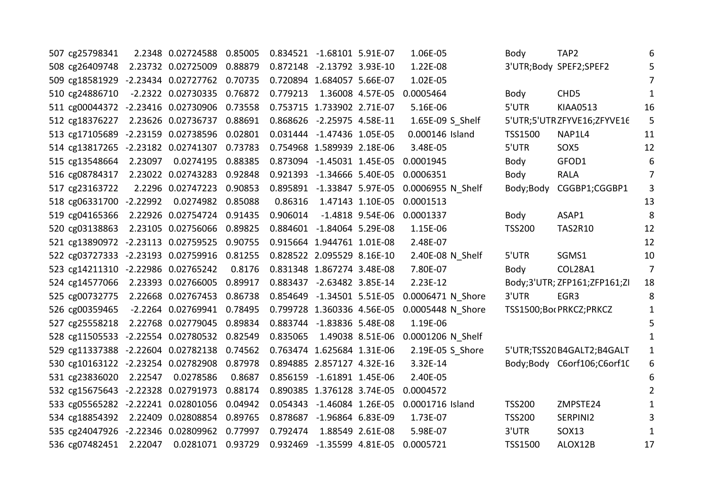| 507 cg25798341                             | 2.2348 0.02724588           | 0.85005 |          | 0.834521 -1.68101 5.91E-07 |                  | 1.06E-05                                     | Body           | TAP <sub>2</sub>             | 6              |
|--------------------------------------------|-----------------------------|---------|----------|----------------------------|------------------|----------------------------------------------|----------------|------------------------------|----------------|
| 508 cg26409748                             | 2.23732 0.02725009          | 0.88879 |          | 0.872148 -2.13792 3.93E-10 |                  | 1.22E-08                                     |                | 3'UTR;Body SPEF2;SPEF2       | 5              |
| 509 cg18581929 -2.23434 0.02727762 0.70735 |                             |         |          | 0.720894 1.684057 5.66E-07 |                  | 1.02E-05                                     |                |                              | $\overline{7}$ |
| 510 cg24886710                             | -2.2322 0.02730335 0.76872  |         | 0.779213 |                            | 1.36008 4.57E-05 | 0.0005464                                    | Body           | CHD <sub>5</sub>             | 1              |
| 511 cg00044372 -2.23416 0.02730906 0.73558 |                             |         |          | 0.753715 1.733902 2.71E-07 |                  | 5.16E-06                                     | 5'UTR          | <b>KIAA0513</b>              | 16             |
| 512 cg18376227 2.23626 0.02736737 0.88691  |                             |         |          | 0.868626 -2.25975 4.58E-11 |                  | 1.65E-09 S_Shelf                             |                | 5'UTR;5'UTRZFYVE16;ZFYVE16   | 5              |
| 513 cg17105689 -2.23159 0.02738596 0.02801 |                             |         |          | 0.031444 -1.47436 1.05E-05 |                  | 0.000146 Island                              | <b>TSS1500</b> | NAP1L4                       | 11             |
| 514 cg13817265 -2.23182 0.02741307 0.73783 |                             |         |          | 0.754968 1.589939 2.18E-06 |                  | 3.48E-05                                     | 5'UTR          | SOX5                         | 12             |
| 515 cg13548664                             | 2.23097  0.0274195  0.88385 |         |          | 0.873094 -1.45031 1.45E-05 |                  | 0.0001945                                    | Body           | GFOD1                        | 6              |
| 516 cg08784317 2.23022 0.02743283 0.92848  |                             |         |          | 0.921393 -1.34666 5.40E-05 |                  | 0.0006351                                    | Body           | <b>RALA</b>                  | $\overline{7}$ |
| 517 cg23163722                             | 2.2296 0.02747223 0.90853   |         |          | 0.895891 -1.33847 5.97E-05 |                  | 0.0006955 N_Shelf                            | Body;Body      | CGGBP1;CGGBP1                | 3              |
| 518 cg06331700 -2.22992 0.0274982 0.85088  |                             |         | 0.86316  |                            | 1.47143 1.10E-05 | 0.0001513                                    |                |                              | 13             |
| 519 cg04165366                             | 2.22926 0.02754724 0.91435  |         | 0.906014 |                            |                  | -1.4818 9.54E-06 0.0001337                   | Body           | ASAP1                        | 8              |
| 520 cg03138863                             | 2.23105 0.02756066          | 0.89825 |          | 0.884601 -1.84064 5.29E-08 |                  | 1.15E-06                                     | <b>TSS200</b>  | <b>TAS2R10</b>               | 12             |
| 521 cg13890972 -2.23113 0.02759525         |                             | 0.90755 |          | 0.915664 1.944761 1.01E-08 |                  | 2.48E-07                                     |                |                              | 12             |
| 522 cg03727333 -2.23193 0.02759916 0.81255 |                             |         |          | 0.828522 2.095529 8.16E-10 |                  | 2.40E-08 N Shelf                             | 5'UTR          | SGMS1                        | 10             |
| 523 cg14211310 -2.22986 0.02765242         |                             | 0.8176  |          | 0.831348 1.867274 3.48E-08 |                  | 7.80E-07                                     | Body           | COL28A1                      | $\overline{7}$ |
| 524 cg14577066 2.23393 0.02766005 0.89917  |                             |         |          | 0.883437 -2.63482 3.85E-14 |                  | 2.23E-12                                     |                | Body;3'UTR; ZFP161;ZFP161;ZI | 18             |
| 525 cg00732775 2.22668 0.02767453 0.86738  |                             |         |          | 0.854649 -1.34501 5.51E-05 |                  | 0.0006471 N_Shore                            | 3'UTR          | EGR3                         | 8              |
| 526 cg00359465 -2.2264 0.02769941 0.78495  |                             |         |          |                            |                  | 0.799728 1.360336 4.56E-05 0.0005448 N Shore |                | TSS1500;BocPRKCZ;PRKCZ       | 1              |
| 527 cg25558218 2.22768 0.02779045 0.89834  |                             |         |          | 0.883744 -1.83836 5.48E-08 |                  | 1.19E-06                                     |                |                              | 5              |
| 528 cg11505533 -2.22554 0.02780532 0.82549 |                             |         | 0.835065 | 1.49038 8.51E-06           |                  | 0.0001206 N Shelf                            |                |                              | 1              |
| 529 cg11337388 -2.22604 0.02782138 0.74562 |                             |         |          | 0.763474 1.625684 1.31E-06 |                  | 2.19E-05 S_Shore                             |                | 5'UTR;TSS20B4GALT2;B4GALT    | $\mathbf{1}$   |
| 530 cg10163122 -2.23254 0.02782908 0.87978 |                             |         |          | 0.894885 2.857127 4.32E-16 |                  | 3.32E-14                                     |                | Body;Body C6orf106;C6orf1C   | 6              |
| 531 cg23836020 2.22547 0.0278586           |                             | 0.8687  |          | 0.856159 -1.61891 1.45E-06 |                  | 2.40E-05                                     |                |                              | 6              |
| 532 cg15675643 -2.22328 0.02791973 0.88174 |                             |         |          | 0.890385 1.376128 3.74E-05 |                  | 0.0004572                                    |                |                              | $\overline{2}$ |
| 533 cg05565282 -2.22241 0.02801056         |                             | 0.04942 |          | 0.054343 -1.46084 1.26E-05 |                  | 0.0001716 Island                             | <b>TSS200</b>  | ZMPSTE24                     | $\mathbf{1}$   |
| 534 cg18854392 2.22409 0.02808854 0.89765  |                             |         |          | 0.878687 -1.96864 6.83E-09 |                  | 1.73E-07                                     | <b>TSS200</b>  | SERPINI2                     | 3              |
| 535 cg24047926 -2.22346 0.02809962 0.77997 |                             |         | 0.792474 | 1.88549 2.61E-08           |                  | 5.98E-07                                     | 3'UTR          | SOX13                        | $\mathbf{1}$   |
| 536 cg07482451 2.22047 0.0281071 0.93729   |                             |         |          |                            |                  | 0.932469 -1.35599 4.81E-05 0.0005721         | <b>TSS1500</b> | ALOX12B                      | 17             |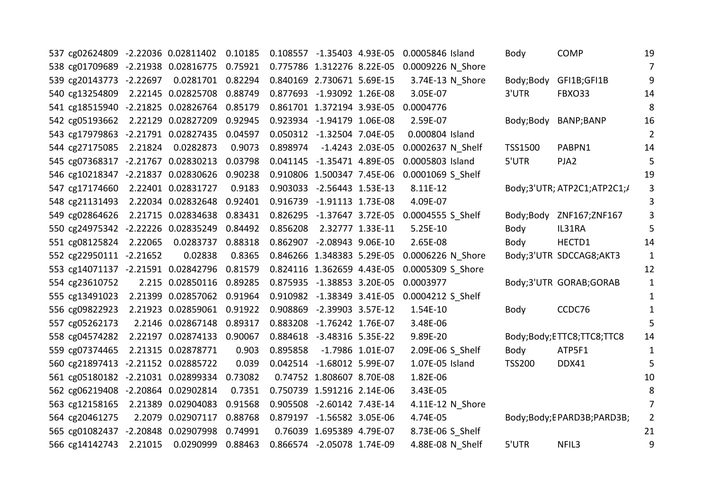| 537 cg02624809 -2.22036 0.02811402 0.10185 |                           |         | 0.108557 -1.35403 4.93E-05 |                            |                    | 0.0005846 Island                             | Body           | <b>COMP</b>                 | 19             |
|--------------------------------------------|---------------------------|---------|----------------------------|----------------------------|--------------------|----------------------------------------------|----------------|-----------------------------|----------------|
| 538 cg01709689 -2.21938 0.02816775 0.75921 |                           |         | 0.775786 1.312276 8.22E-05 |                            |                    | 0.0009226 N_Shore                            |                |                             | 7              |
| 539 cg20143773 -2.22697 0.0281701 0.82294  |                           |         | 0.840169 2.730671 5.69E-15 |                            |                    | 3.74E-13 N_Shore                             |                | Body;Body GFI1B;GFI1B       | 9              |
| 540 cg13254809 2.22145 0.02825708 0.88749  |                           |         |                            | 0.877693 -1.93092 1.26E-08 |                    | 3.05E-07                                     | 3'UTR          | FBXO33                      | 14             |
| 541 cg18515940 -2.21825 0.02826764         |                           | 0.85179 |                            | 0.861701 1.372194 3.93E-05 |                    | 0.0004776                                    |                |                             | 8              |
| 542 cg05193662 2.22129 0.02827209 0.92945  |                           |         | 0.923934 -1.94179 1.06E-08 |                            |                    | 2.59E-07                                     |                | Body;Body BANP;BANP         | 16             |
| 543 cg17979863 -2.21791 0.02827435         |                           | 0.04597 |                            | 0.050312 -1.32504 7.04E-05 |                    | 0.000804 Island                              |                |                             | $\overline{2}$ |
| 544 cg27175085 2.21824 0.0282873           |                           | 0.9073  | 0.898974                   |                            | $-1.4243$ 2.03E-05 | 0.0002637 N_Shelf                            | <b>TSS1500</b> | PABPN1                      | 14             |
| 545 cg07368317 -2.21767 0.02830213         |                           | 0.03798 |                            | 0.041145 -1.35471 4.89E-05 |                    | 0.0005803 Island                             | 5'UTR          | PJA <sub>2</sub>            | 5              |
| 546 cg10218347 -2.21837 0.02830626 0.90238 |                           |         |                            |                            |                    | 0.910806 1.500347 7.45E-06 0.0001069 S_Shelf |                |                             | 19             |
| 547 cg17174660 2.22401 0.02831727          |                           | 0.9183  |                            | 0.903033 -2.56443 1.53E-13 |                    | 8.11E-12                                     |                | Body;3'UTR; ATP2C1;ATP2C1;/ | 3              |
| 548 cg21131493 2.22034 0.02832648          |                           | 0.92401 | 0.916739 -1.91113 1.73E-08 |                            |                    | 4.09E-07                                     |                |                             | 3              |
| 549 cg02864626 2.21715 0.02834638 0.83431  |                           |         |                            | 0.826295 -1.37647 3.72E-05 |                    | 0.0004555 S Shelf                            |                | Body;Body ZNF167;ZNF167     | 3              |
| 550 cg24975342 -2.22226 0.02835249 0.84492 |                           |         | 0.856208                   |                            | 2.32777 1.33E-11   | 5.25E-10                                     | Body           | IL31RA                      | 5              |
| 551 cg08125824 2.22065 0.0283737           |                           | 0.88318 |                            | 0.862907 -2.08943 9.06E-10 |                    | 2.65E-08                                     | Body           | HECTD1                      | 14             |
| 552 cg22950111 -2.21652                    | 0.02838                   | 0.8365  | 0.846266 1.348383 5.29E-05 |                            |                    | 0.0006226 N Shore                            |                | Body;3'UTR SDCCAG8;AKT3     | $\mathbf{1}$   |
| 553 cg14071137 -2.21591 0.02842796         |                           | 0.81579 |                            | 0.824116 1.362659 4.43E-05 |                    | 0.0005309 S_Shore                            |                |                             | 12             |
| 554 cg23610752                             | 2.215 0.02850116 0.89285  |         | 0.875935 -1.38853 3.20E-05 |                            |                    | 0.0003977                                    |                | Body;3'UTR GORAB;GORAB      | $\mathbf{1}$   |
| 555 cg13491023 2.21399 0.02857062 0.91964  |                           |         | 0.910982 -1.38349 3.41E-05 |                            |                    | 0.0004212 S_Shelf                            |                |                             | $\mathbf{1}$   |
| 556 cg09822923 2.21923 0.02859061 0.91922  |                           |         | 0.908869 -2.39903 3.57E-12 |                            |                    | 1.54E-10                                     | <b>Body</b>    | CCDC76                      | $\mathbf{1}$   |
| 557 cg05262173                             | 2.2146 0.02867148 0.89317 |         |                            | 0.883208 -1.76242 1.76E-07 |                    | 3.48E-06                                     |                |                             | 5              |
| 558 cg04574282 2.22197 0.02874133 0.90067  |                           |         |                            | 0.884618 -3.48316 5.35E-22 |                    | 9.89E-20                                     |                | Body;Body;ETTC8;TTC8;TTC8   | 14             |
| 559 cg07374465 2.21315 0.02878771          |                           | 0.903   | 0.895858                   |                            | $-1.7986$ 1.01E-07 | 2.09E-06 S_Shelf                             | Body           | ATP5F1                      | 1              |
| 560 cg21897413 -2.21152 0.02885722         |                           | 0.039   | 0.042514 -1.68012 5.99E-07 |                            |                    | 1.07E-05 Island                              | <b>TSS200</b>  | DDX41                       | 5              |
| 561 cg05180182 -2.21031 0.02899334         |                           | 0.73082 |                            | 0.74752 1.808607 8.70E-08  |                    | 1.82E-06                                     |                |                             | 10             |
| 562 cg06219408 -2.20864 0.02902814         |                           | 0.7351  |                            | 0.750739 1.591216 2.14E-06 |                    | 3.43E-05                                     |                |                             | 8              |
| 563 cg12158165 2.21389 0.02904083          |                           | 0.91568 |                            | 0.905508 -2.60142 7.43E-14 |                    | 4.11E-12 N_Shore                             |                |                             | $\overline{7}$ |
| 564 cg20461275                             | 2.2079 0.02907117         | 0.88768 | 0.879197 -1.56582 3.05E-06 |                            |                    | 4.74E-05                                     |                | Body;Body;EPARD3B;PARD3B;   | $\overline{2}$ |
| 565 cg01082437 -2.20848 0.02907998         |                           | 0.74991 |                            | 0.76039 1.695389 4.79E-07  |                    | 8.73E-06 S_Shelf                             |                |                             | 21             |
| 566 cg14142743 2.21015 0.0290999           |                           | 0.88463 |                            | 0.866574 -2.05078 1.74E-09 |                    | 4.88E-08 N Shelf                             | 5'UTR          | NFIL3                       | 9              |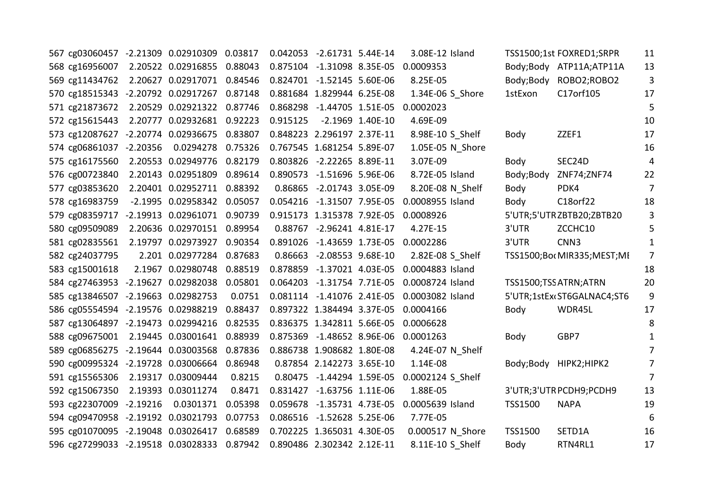| 567 cg03060457 -2.21309 0.02910309 0.03817 0.042053 -2.61731 5.44E-14                 |                           |        |                            |                           | 3.08E-12 Island                                                                        |                | TSS1500;1st FOXRED1;SRPR   | 11             |
|---------------------------------------------------------------------------------------|---------------------------|--------|----------------------------|---------------------------|----------------------------------------------------------------------------------------|----------------|----------------------------|----------------|
| 568 cg16956007 2.20522 0.02916855 0.88043 0.875104 -1.31098 8.35E-05 0.0009353        |                           |        |                            |                           |                                                                                        |                | Body;Body ATP11A;ATP11A    | 13             |
| 569 cg11434762  2.20627  0.02917071  0.84546  0.824701  -1.52145  5.60E-06            |                           |        |                            |                           | 8.25E-05                                                                               |                | Body;Body ROBO2;ROBO2      | $\overline{3}$ |
| 570 cg18515343 -2.20792 0.02917267 0.87148                                            |                           |        | 0.881684 1.829944 6.25E-08 |                           | 1.34E-06 S_Shore                                                                       | <b>1stExon</b> | C17orf105                  | 17             |
| 571 cg21873672 2.20529 0.02921322 0.87746 0.868298 -1.44705 1.51E-05 0.0002023        |                           |        |                            |                           |                                                                                        |                |                            | 5              |
| 572 cg15615443 2.20777 0.02932681 0.92223                                             |                           |        | 0.915125 -2.1969 1.40E-10  |                           | 4.69E-09                                                                               |                |                            | 10             |
| 573 cg12087627 -2.20774 0.02936675 0.83807                                            |                           |        | 0.848223 2.296197 2.37E-11 |                           | 8.98E-10 S_Shelf                                                                       | Body           | ZZEF1                      | 17             |
| 574 cg06861037 -2.20356 0.0294278 0.75326 0.767545 1.681254 5.89E-07                  |                           |        |                            |                           | 1.05E-05 N Shore                                                                       |                |                            | 16             |
| 575 cg16175560  2.20553  0.02949776  0.82179  0.803826  -2.22265  8.89E-11            |                           |        |                            |                           | 3.07E-09                                                                               | Body           | SEC24D                     | $\overline{4}$ |
| 576 cg00723840  2.20143  0.02951809  0.89614  0.890573  -1.51696  5.96E-06            |                           |        |                            |                           | 8.72E-05 Island                                                                        | Body;Body      | ZNF74;ZNF74                | 22             |
| 577 cg03853620 2.20401 0.02952711 0.88392                                             |                           |        |                            | 0.86865 -2.01743 3.05E-09 | 8.20E-08 N_Shelf                                                                       | Body           | PDK4                       | 7              |
| 578 cg16983759 -2.1995 0.02958342 0.05057                                             |                           |        |                            |                           | 0.054216 -1.31507 7.95E-05 0.0008955 Island                                            | Body           | C18orf22                   | 18             |
| 579 cg08359717 -2.19913 0.02961071 0.90739 0.915173 1.315378 7.92E-05 0.0008926       |                           |        |                            |                           |                                                                                        |                | 5'UTR;5'UTRZBTB20;ZBTB20   | 3              |
| 580 cg09509089 2.20636 0.02970151 0.89954                                             |                           |        |                            | 0.88767 -2.96241 4.81E-17 | 4.27E-15                                                                               | 3'UTR          | ZCCHC10                    | 5              |
| 581 cg02835561 2.19797 0.02973927 0.90354                                             |                           |        |                            |                           | 0.891026 -1.43659 1.73E-05 0.0002286                                                   | 3'UTR          | CNN <sub>3</sub>           | 1              |
| 582 cg24037795                                                                        | 2.201 0.02977284 0.87683  |        |                            | 0.86663 -2.08553 9.68E-10 | 2.82E-08 S Shelf                                                                       |                | TSS1500;BocMIR335;MEST;MI  | $\overline{7}$ |
| 583 cg15001618                                                                        | 2.1967 0.02980748 0.88519 |        |                            |                           | 0.878859 -1.37021 4.03E-05 0.0004883 Island                                            |                |                            | 18             |
|                                                                                       |                           |        |                            |                           | 584 cg27463953 -2.19627 0.02982038 0.05801 0.064203 -1.31754 7.71E-05 0.0008724 Island |                | TSS1500;TSSATRN;ATRN       | 20             |
| 585 cg13846507 -2.19663 0.02982753 0.0751                                             |                           |        |                            |                           | 0.081114 -1.41076 2.41E-05 0.0003082 Island                                            |                | 5'UTR;1stEx(ST6GALNAC4;ST6 | 9              |
| 586 cg05554594 -2.19576 0.02988219 0.88437                                            |                           |        |                            |                           | 0.897322 1.384494 3.37E-05 0.0004166                                                   | Body           | WDR45L                     | 17             |
| 587 cg13064897 -2.19473 0.02994216 0.82535 0.836375 1.342811 5.66E-05 0.0006628       |                           |        |                            |                           |                                                                                        |                |                            | 8              |
| 588 cg09675001  2.19445  0.03001641  0.88939  0.875369  -1.48652  8.96E-06  0.0001263 |                           |        |                            |                           |                                                                                        | Body           | GBP7                       |                |
| 589 cg06856275 -2.19644 0.03003568 0.87836 0.886738 1.908682 1.80E-08                 |                           |        |                            |                           | 4.24E-07 N Shelf                                                                       |                |                            | 7              |
| 590 cg00995324 -2.19728 0.03006664 0.86948                                            |                           |        | 0.87854 2.142273 3.65E-10  |                           | 1.14E-08                                                                               |                | Body;Body HIPK2;HIPK2      | $\overline{7}$ |
| 591 cg15565306 2.19317 0.03009444                                                     |                           | 0.8215 |                            |                           | 0.80475 -1.44294 1.59E-05 0.0002124 S Shelf                                            |                |                            | $\overline{7}$ |
| 592 cg15067350 2.19393 0.03011274                                                     |                           | 0.8471 | 0.831427 -1.63756 1.11E-06 |                           | 1.88E-05                                                                               |                | 3'UTR;3'UTR PCDH9;PCDH9    | 13             |
| 593 cg22307009 -2.19216 0.0301371 0.05398                                             |                           |        |                            |                           | 0.059678 -1.35731 4.73E-05 0.0005639 Island                                            | <b>TSS1500</b> | <b>NAPA</b>                | 19             |
| 594 cg09470958 -2.19192 0.03021793 0.07753 0.086516 -1.52628 5.25E-06                 |                           |        |                            |                           | 7.77E-05                                                                               |                |                            | 6              |
| 595 cg01070095 -2.19048 0.03026417 0.68589 0.702225 1.365031 4.30E-05                 |                           |        |                            |                           | 0.000517 N Shore                                                                       | TSS1500        | SETD1A                     | 16             |
| 596 cg27299033 -2.19518 0.03028333 0.87942 0.890486 2.302342 2.12E-11                 |                           |        |                            |                           | 8.11E-10 S Shelf                                                                       | Body           | RTN4RL1                    | 17             |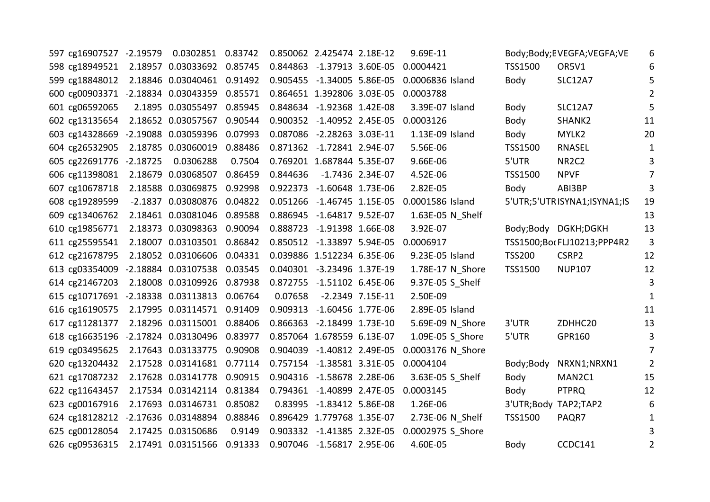| 597 cg16907527 -2.19579 |  | 0.0302851 0.83742                                                              |        | 0.850062 2.425474 2.18E-12           |                           |                      | 9.69E-11                                                                              |                | Body;Body;EVEGFA;VEGFA;VE      | 6  |
|-------------------------|--|--------------------------------------------------------------------------------|--------|--------------------------------------|---------------------------|----------------------|---------------------------------------------------------------------------------------|----------------|--------------------------------|----|
|                         |  | 598 cg18949521 2.18957 0.03033692 0.85745 0.844863 -1.37913 3.60E-05 0.0004421 |        |                                      |                           |                      |                                                                                       | <b>TSS1500</b> | OR5V1                          |    |
|                         |  |                                                                                |        |                                      |                           |                      | 599 cg18848012 2.18846 0.03040461 0.91492 0.905455 -1.34005 5.86E-05 0.0006836 Island | Body           | <b>SLC12A7</b>                 |    |
|                         |  | 600 cg00903371 -2.18834 0.03043359 0.85571                                     |        |                                      |                           |                      | 0.864651 1.392806 3.03E-05 0.0003788                                                  |                |                                |    |
| 601 cg06592065          |  | 2.1895 0.03055497 0.85945 0.848634 -1.92368 1.42E-08                           |        |                                      |                           |                      | 3.39E-07 Island                                                                       | Body           | <b>SLC12A7</b>                 |    |
|                         |  | 602 cg13135654 2.18652 0.03057567 0.90544 0.900352 -1.40952 2.45E-05 0.0003126 |        |                                      |                           |                      |                                                                                       | <b>Body</b>    | SHANK2                         | 11 |
|                         |  | 603 cg14328669 -2.19088 0.03059396 0.07993                                     |        | 0.087086 -2.28263 3.03E-11           |                           |                      | 1.13E-09 Island                                                                       | Body           | MYLK2                          | 20 |
|                         |  | 604 cg26532905 2.18785 0.03060019 0.88486 0.871362 -1.72841 2.94E-07           |        |                                      |                           |                      | 5.56E-06                                                                              | <b>TSS1500</b> | <b>RNASEL</b>                  |    |
|                         |  | 605 cg22691776 -2.18725 0.0306288                                              |        | 0.7504  0.769201  1.687844  5.35E-07 |                           |                      | 9.66E-06                                                                              | 5'UTR          | NR <sub>2</sub> C <sub>2</sub> |    |
|                         |  | 606 cg11398081 2.18679 0.03068507 0.86459                                      |        | 0.844636 -1.7436 2.34E-07            |                           |                      | 4.52E-06                                                                              | <b>TSS1500</b> | <b>NPVF</b>                    |    |
|                         |  | 607 cg10678718 2.18588 0.03069875 0.92998 0.922373 -1.60648 1.73E-06           |        |                                      |                           |                      | 2.82E-05                                                                              | Body           | ABI3BP                         |    |
|                         |  | 608 cg19289599 -2.1837 0.03080876 0.04822                                      |        | 0.051266 -1.46745 1.15E-05           |                           |                      | 0.0001586 Island                                                                      |                | 5'UTR;5'UTRISYNA1;ISYNA1;IS    | 19 |
|                         |  | 609 cg13406762 2.18461 0.03081046 0.89588                                      |        | 0.886945 -1.64817 9.52E-07           |                           |                      | 1.63E-05 N Shelf                                                                      |                |                                | 13 |
|                         |  | 610 cg19856771  2.18373  0.03098363  0.90094  0.888723  -1.91398  1.66E-08     |        |                                      |                           |                      | 3.92E-07                                                                              |                | Body;Body DGKH;DGKH            | 13 |
|                         |  | 611 cg25595541 2.18007 0.03103501 0.86842                                      |        | 0.850512 -1.33897 5.94E-05           |                           |                      | 0.0006917                                                                             |                | TSS1500;BocFLJ10213;PPP4R2     | 3  |
|                         |  | 612 cg21678795 2.18052 0.03106606 0.04331                                      |        | 0.039886 1.512234 6.35E-06           |                           |                      | 9.23E-05 Island                                                                       | <b>TSS200</b>  | CSRP2                          | 12 |
|                         |  | 613 cg03354009 -2.18884 0.03107538 0.03545                                     |        | 0.040301 -3.23496 1.37E-19           |                           |                      | 1.78E-17 N Shore                                                                      | <b>TSS1500</b> | <b>NUP107</b>                  | 12 |
|                         |  | 614 cg21467203  2.18008  0.03109926  0.87938  0.872755  -1.51102  6.45E-06     |        |                                      |                           |                      | 9.37E-05 S Shelf                                                                      |                |                                |    |
|                         |  | 615 cg10717691 -2.18338 0.03113813 0.06764                                     |        | 0.07658                              |                           | $-2.2349$ $7.15E-11$ | 2.50E-09                                                                              |                |                                |    |
|                         |  | 616 cg16190575 2.17995 0.03114571 0.91409                                      |        | 0.909313 -1.60456 1.77E-06           |                           |                      | 2.89E-05 Island                                                                       |                |                                | 11 |
|                         |  | 617 cg11281377 2.18296 0.03115001 0.88406                                      |        | 0.866363 -2.18499 1.73E-10           |                           |                      | 5.69E-09 N Shore                                                                      | 3'UTR          | ZDHHC20                        | 13 |
|                         |  | 618 cg16635196 -2.17824 0.03130496 0.83977                                     |        | 0.857064 1.678559 6.13E-07           |                           |                      | 1.09E-05 S Shore                                                                      | 5'UTR          | GPR160                         |    |
|                         |  | 619 cg03495625 2.17643 0.03133775 0.90908                                      |        |                                      |                           |                      | 0.904039 -1.40812 2.49E-05 0.0003176 N Shore                                          |                |                                |    |
|                         |  | 620 cg13204432 2.17528 0.03141681 0.77114 0.757154 -1.38581 3.31E-05 0.0004104 |        |                                      |                           |                      |                                                                                       |                | Body;Body NRXN1;NRXN1          |    |
|                         |  | 621 cg17087232 2.17628 0.03141778 0.90915                                      |        | 0.904316 -1.58678 2.28E-06           |                           |                      | 3.63E-05 S Shelf                                                                      | Body           | MAN2C1                         | 15 |
|                         |  | 622 cg11643457 2.17534 0.03142114 0.81384                                      |        | 0.794361 -1.40899 2.47E-05           |                           |                      | 0.0003145                                                                             | Body           | <b>PTPRQ</b>                   | 12 |
|                         |  | 623 cg00167916 2.17693 0.03146731 0.85082                                      |        |                                      | 0.83995 -1.83412 5.86E-08 |                      | 1.26E-06                                                                              |                | 3'UTR;Body TAP2;TAP2           |    |
|                         |  | 624 cg18128212 -2.17636 0.03148894 0.88846                                     |        | 0.896429 1.779768 1.35E-07           |                           |                      | 2.73E-06 N Shelf                                                                      | <b>TSS1500</b> | PAQR7                          |    |
|                         |  | 625 cg00128054 2.17425 0.03150686                                              | 0.9149 |                                      |                           |                      | 0.903332 -1.41385 2.32E-05 0.0002975 S_Shore                                          |                |                                |    |
|                         |  | 626 cg09536315  2.17491  0.03151566  0.91333  0.907046  -1.56817  2.95E-06     |        |                                      |                           |                      | 4.60E-05                                                                              | Body           | CCDC141                        |    |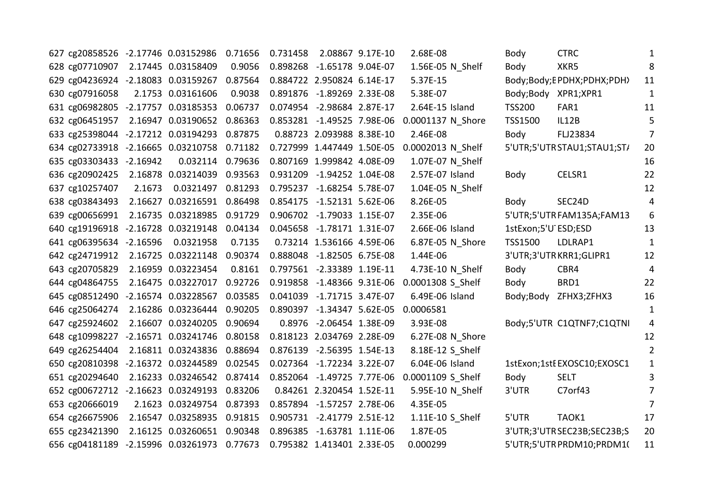| 627 cg20858526 -2.17746 0.03152986 0.71656 0.731458 2.08867 9.17E-10  |                                                 |        |                            |                           | 2.68E-08                                                                               | Body                | <b>CTRC</b>                |                |
|-----------------------------------------------------------------------|-------------------------------------------------|--------|----------------------------|---------------------------|----------------------------------------------------------------------------------------|---------------------|----------------------------|----------------|
| 628 cg07710907 2.17445 0.03158409 0.9056 0.898268 -1.65178 9.04E-07   |                                                 |        |                            |                           | 1.56E-05 N_Shelf                                                                       | Body                | XKR5                       | 8              |
| 629 cg04236924 -2.18083 0.03159267 0.87564 0.884722 2.950824 6.14E-17 |                                                 |        |                            |                           | 5.37E-15                                                                               |                     | Body;Body;EPDHX;PDHX;PDH)  | 11             |
| 630 cg07916058                                                        | 2.1753 0.03161606                               | 0.9038 | 0.891876 -1.89269 2.33E-08 |                           | 5.38E-07                                                                               |                     | Body;Body XPR1;XPR1        | $\mathbf{1}$   |
| 631 cg06982805 -2.17757 0.03185353 0.06737                            |                                                 |        | 0.074954 -2.98684 2.87E-17 |                           | 2.64E-15 Island                                                                        | <b>TSS200</b>       | FAR1                       | 11             |
|                                                                       |                                                 |        |                            |                           | 632 cg06451957 2.16947 0.03190652 0.86363 0.853281 -1.49525 7.98E-06 0.0001137 N_Shore | <b>TSS1500</b>      | IL12B                      | 5              |
| 633 cg25398044 -2.17212 0.03194293 0.87875                            |                                                 |        |                            | 0.88723 2.093988 8.38E-10 | 2.46E-08                                                                               | Body                | FLJ23834                   | 7              |
| 634 cg02733918 -2.16665 0.03210758 0.71182 0.727999 1.447449 1.50E-05 |                                                 |        |                            |                           | 0.0002013 N_Shelf                                                                      |                     | 5'UTR;5'UTRSTAU1;STAU1;ST/ | 20             |
| 635 cg03303433 -2.16942                                               | 0.032114  0.79636  0.807169  1.999842  4.08E-09 |        |                            |                           | 1.07E-07 N Shelf                                                                       |                     |                            | 16             |
| 636 cg20902425 2.16878 0.03214039 0.93563                             |                                                 |        | 0.931209 -1.94252 1.04E-08 |                           | 2.57E-07 Island                                                                        | Body                | CELSR1                     | 22             |
| 637 cg10257407                                                        | 2.1673  0.0321497  0.81293                      |        | 0.795237 -1.68254 5.78E-07 |                           | 1.04E-05 N Shelf                                                                       |                     |                            | 12             |
| 638 cg03843493 2.16627 0.03216591 0.86498                             |                                                 |        | 0.854175 -1.52131 5.62E-06 |                           | 8.26E-05                                                                               | Body                | SEC24D                     | $\overline{4}$ |
| 639 cg00656991 2.16735 0.03218985 0.91729                             |                                                 |        | 0.906702 -1.79033 1.15E-07 |                           | 2.35E-06                                                                               |                     | 5'UTR;5'UTRFAM135A;FAM13   | 6              |
| 640 cg19196918 -2.16728 0.03219148 0.04134 0.045658 -1.78171 1.31E-07 |                                                 |        |                            |                           | 2.66E-06 Island                                                                        | 1stExon;5'U ESD;ESD |                            | 13             |
| 641 cg06395634 -2.16596 0.0321958                                     |                                                 | 0.7135 |                            | 0.73214 1.536166 4.59E-06 | 6.87E-05 N Shore                                                                       | TSS1500             | LDLRAP1                    | 1              |
| 642 cg24719912 2.16725 0.03221148 0.90374                             |                                                 |        | 0.888048 -1.82505 6.75E-08 |                           | 1.44E-06                                                                               |                     | 3'UTR;3'UTRKRR1;GLIPR1     | 12             |
| 643 cg20705829 2.16959 0.03223454 0.8161                              |                                                 |        | 0.797561 -2.33389 1.19E-11 |                           | 4.73E-10 N Shelf                                                                       | Body                | CBR4                       | 4              |
|                                                                       |                                                 |        |                            |                           | 644 cg04864755 2.16475 0.03227017 0.92726 0.919858 -1.48366 9.31E-06 0.0001308 S_Shelf | Body                | BRD1                       | 22             |
| 645 cg08512490 -2.16574 0.03228567 0.03585                            |                                                 |        | 0.041039 -1.71715 3.47E-07 |                           | 6.49E-06 Island                                                                        |                     | Body;Body ZFHX3;ZFHX3      | 16             |
| 646 cg25064274 2.16286 0.03236444 0.90205 0.890397 -1.34347 5.62E-05  |                                                 |        |                            |                           | 0.0006581                                                                              |                     |                            | 1              |
| 647 cg25924602 2.16607 0.03240205 0.90694                             |                                                 |        |                            | 0.8976 -2.06454 1.38E-09  | 3.93E-08                                                                               |                     | Body;5'UTR C1QTNF7;C1QTNI  | 4              |
| 648 cg10998227 -2.16571 0.03241746 0.80158 0.818123 2.034769 2.28E-09 |                                                 |        |                            |                           | 6.27E-08 N Shore                                                                       |                     |                            | 12             |
| 649 cg26254404 2.16811 0.03243836 0.88694                             |                                                 |        | 0.876139 -2.56395 1.54E-13 |                           | 8.18E-12 S Shelf                                                                       |                     |                            | $\overline{2}$ |
| 650 cg20810398 -2.16372 0.03244589 0.02545                            |                                                 |        | 0.027364 -1.72234 3.22E-07 |                           | 6.04E-06 Island                                                                        |                     | 1stExon;1stEEXOSC10;EXOSC1 | $\mathbf{1}$   |
|                                                                       |                                                 |        |                            |                           | 651 cg20294640 2.16233 0.03246542 0.87414 0.852064 -1.49725 7.77E-06 0.0001109 S Shelf | Body                | <b>SELT</b>                | 3              |
| 652 cg00672712 -2.16623 0.03249193 0.83206                            |                                                 |        |                            | 0.84261 2.320454 1.52E-11 | 5.95E-10 N Shelf                                                                       | 3'UTR               | C7orf43                    |                |
| 653 cg20666019                                                        | 2.1623 0.03249754 0.87393                       |        | 0.857894 -1.57257 2.78E-06 |                           | 4.35E-05                                                                               |                     |                            |                |
| 654 cg26675906 2.16547 0.03258935 0.91815 0.905731 -2.41779 2.51E-12  |                                                 |        |                            |                           | 1.11E-10 S Shelf                                                                       | 5'UTR               | TAOK1                      | 17             |
| 655 cg23421390 2.16125 0.03260651 0.90348                             |                                                 |        | 0.896385 -1.63781 1.11E-06 |                           | 1.87E-05                                                                               |                     | 3'UTR;3'UTRSEC23B;SEC23B;S | 20             |
| 656 cg04181189 -2.15996 0.03261973 0.77673 0.795382 1.413401 2.33E-05 |                                                 |        |                            |                           | 0.000299                                                                               |                     | 5'UTR;5'UTRPRDM10;PRDM1(   | 11             |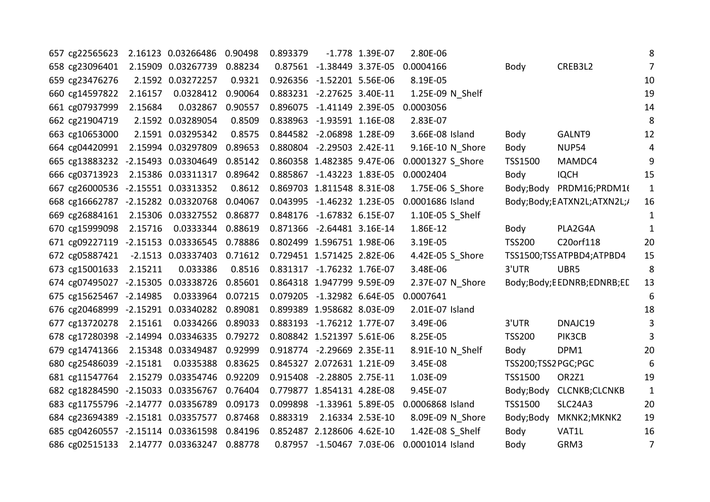| 657 cg22565623 2.16123 0.03266486 0.90498 0.893379                         |         |                   |        |                                      | $-1.778$ 1.39E-07 | 2.80E-06                                                                                |                    |                            | 8              |
|----------------------------------------------------------------------------|---------|-------------------|--------|--------------------------------------|-------------------|-----------------------------------------------------------------------------------------|--------------------|----------------------------|----------------|
| 658 cg23096401 2.15909 0.03267739 0.88234                                  |         |                   |        |                                      |                   | 0.87561 -1.38449 3.37E-05 0.0004166                                                     | Body               | CREB3L2                    | 7              |
| 659 cg23476276                                                             |         | 2.1592 0.03272257 |        | 0.9321  0.926356  -1.52201  5.56E-06 |                   | 8.19E-05                                                                                |                    |                            | 10             |
| 660 cg14597822                                                             | 2.16157 | 0.0328412 0.90064 |        | 0.883231 -2.27625 3.40E-11           |                   | 1.25E-09 N Shelf                                                                        |                    |                            | 19             |
| 661 cg07937999                                                             | 2.15684 | 0.032867 0.90557  |        |                                      |                   | 0.896075 -1.41149 2.39E-05 0.0003056                                                    |                    |                            | 14             |
| 662 cg21904719                                                             |         | 2.1592 0.03289054 | 0.8509 | 0.838963 -1.93591 1.16E-08           |                   | 2.83E-07                                                                                |                    |                            | 8              |
| 663 cg10653000                                                             |         | 2.1591 0.03295342 | 0.8575 | 0.844582 -2.06898 1.28E-09           |                   | 3.66E-08 Island                                                                         | Body               | GALNT9                     | 12             |
| 664 cg04420991 2.15994 0.03297809 0.89653                                  |         |                   |        | 0.880804 -2.29503 2.42E-11           |                   | 9.16E-10 N_Shore                                                                        | Body               | <b>NUP54</b>               | 4              |
|                                                                            |         |                   |        |                                      |                   | 665 cg13883232 -2.15493 0.03304649 0.85142 0.860358 1.482385 9.47E-06 0.0001327 S Shore | <b>TSS1500</b>     | MAMDC4                     | 9              |
| 666 cg03713923 2.15386 0.03311317 0.89642 0.885867 -1.43223 1.83E-05       |         |                   |        |                                      |                   | 0.0002404                                                                               | Body               | <b>IQCH</b>                | 15             |
| 667 cg26000536 -2.15551 0.03313352 0.8612 0.869703 1.811548 8.31E-08       |         |                   |        |                                      |                   | 1.75E-06 S_Shore                                                                        |                    | Body;Body PRDM16;PRDM1(    | $\mathbf{1}$   |
|                                                                            |         |                   |        |                                      |                   | 668 cg16662787 -2.15282 0.03320768 0.04067 0.043995 -1.46232 1.23E-05 0.0001686 Island  |                    | Body;Body;EATXN2L;ATXN2L;/ | 16             |
| 669 cg26884161  2.15306  0.03327552  0.86877  0.848176  -1.67832  6.15E-07 |         |                   |        |                                      |                   | 1.10E-05 S_Shelf                                                                        |                    |                            | 1              |
| 670 cg15999098 2.15716 0.0333344 0.88619 0.871366 -2.64481 3.16E-14        |         |                   |        |                                      |                   | 1.86E-12                                                                                | Body               | PLA2G4A                    | 1              |
| 671 cg09227119 -2.15153 0.03336545 0.78886 0.802499 1.596751 1.98E-06      |         |                   |        |                                      |                   | 3.19E-05                                                                                | <b>TSS200</b>      | C20orf118                  | 20             |
| 672 cg05887421 -2.1513 0.03337403 0.71612 0.729451 1.571425 2.82E-06       |         |                   |        |                                      |                   | 4.42E-05 S_Shore                                                                        |                    | TSS1500;TSSATPBD4;ATPBD4   | 15             |
| 673 cg15001633 2.15211                                                     |         | 0.033386          |        | 0.8516  0.831317  -1.76232  1.76E-07 |                   | 3.48E-06                                                                                | 3'UTR              | UBR5                       | 8              |
| 674 cg07495027 -2.15305 0.03338726 0.85601 0.864318 1.947799 9.59E-09      |         |                   |        |                                      |                   | 2.37E-07 N Shore                                                                        |                    | Body;Body;EEDNRB;EDNRB;ED  | 13             |
| 675 cg15625467 -2.14985 0.0333964 0.07215                                  |         |                   |        | 0.079205 -1.32982 6.64E-05           |                   | 0.0007641                                                                               |                    |                            | 6              |
| 676 cg20468999 -2.15291 0.03340282 0.89081 0.899389 1.958682 8.03E-09      |         |                   |        |                                      |                   | 2.01E-07 Island                                                                         |                    |                            | 18             |
| 677 cg13720278 2.15161 0.0334266 0.89033 0.883193 -1.76212 1.77E-07        |         |                   |        |                                      |                   | 3.49E-06                                                                                | 3'UTR              | DNAJC19                    | 3              |
| 678 cg17280398 -2.14994 0.03346335 0.79272 0.808842 1.521397 5.61E-06      |         |                   |        |                                      |                   | 8.25E-05                                                                                | <b>TSS200</b>      | PIK3CB                     | 3              |
| 679 cg14741366 2.15348 0.03349487 0.92999                                  |         |                   |        | 0.918774 -2.29669 2.35E-11           |                   | 8.91E-10 N_Shelf                                                                        | Body               | DPM1                       | 20             |
| 680 cg25486039 -2.15181 0.0335388 0.83625 0.845327 2.072631 1.21E-09       |         |                   |        |                                      |                   | 3.45E-08                                                                                | TSS200;TSS2PGC;PGC |                            | 6              |
| 681 cg11547764 2.15279 0.03354746 0.92209                                  |         |                   |        | 0.915408 -2.28805 2.75E-11           |                   | 1.03E-09                                                                                | <b>TSS1500</b>     | OR2Z1                      | 19             |
| 682 cg18284590 -2.15033 0.03356767 0.76404 0.779877 1.854131 4.28E-08      |         |                   |        |                                      |                   | 9.45E-07                                                                                |                    | Body;Body CLCNKB;CLCNKB    | $\mathbf{1}$   |
| 683 cg11755796 -2.14777 0.03356789 0.09173 0.099898 -1.33961 5.89E-05      |         |                   |        |                                      |                   | 0.0006868 Island                                                                        | <b>TSS1500</b>     | <b>SLC24A3</b>             | 20             |
| 684 cg23694389 -2.15181 0.03357577 0.87468 0.883319 2.16334 2.53E-10       |         |                   |        |                                      |                   | 8.09E-09 N Shore                                                                        |                    | Body;Body MKNK2;MKNK2      | 19             |
| 685 cg04260557 -2.15114 0.03361598 0.84196 0.852487 2.128606 4.62E-10      |         |                   |        |                                      |                   | 1.42E-08 S Shelf                                                                        | Body               | VAT1L                      | 16             |
| 686 cg02515133 2.14777 0.03363247 0.88778                                  |         |                   |        |                                      |                   | 0.87957 -1.50467 7.03E-06 0.0001014 Island                                              | Body               | GRM3                       | $\overline{7}$ |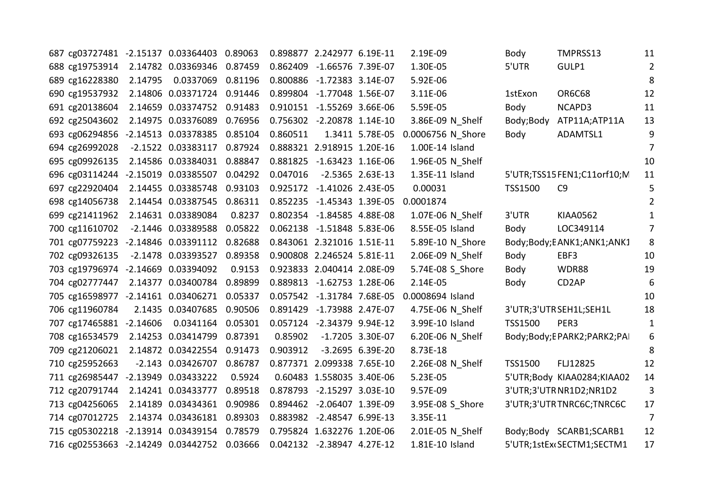| 687 cg03727481 -2.15137 0.03364403 0.89063                            |                             |        |                            | 0.898877 2.242977 6.19E-11 |                      | 2.19E-09          | Body           | TMPRSS13                   | 11             |
|-----------------------------------------------------------------------|-----------------------------|--------|----------------------------|----------------------------|----------------------|-------------------|----------------|----------------------------|----------------|
| 688 cg19753914 2.14782 0.03369346 0.87459                             |                             |        | 0.862409 -1.66576 7.39E-07 |                            |                      | 1.30E-05          | 5'UTR          | GULP1                      | $\overline{2}$ |
| 689 cg16228380                                                        | 2.14795  0.0337069  0.81196 |        | 0.800886 -1.72383 3.14E-07 |                            |                      | 5.92E-06          |                |                            | 8              |
| 690 cg19537932                                                        | 2.14806 0.03371724 0.91446  |        | 0.899804 -1.77048 1.56E-07 |                            |                      | 3.11E-06          | 1stExon        | <b>OR6C68</b>              | 12             |
| 691 cg20138604                                                        | 2.14659 0.03374752 0.91483  |        |                            | 0.910151 -1.55269 3.66E-06 |                      | 5.59E-05          | Body           | NCAPD3                     | 11             |
| 692 cg25043602 2.14975 0.03376089 0.76956                             |                             |        | 0.756302 -2.20878 1.14E-10 |                            |                      | 3.86E-09 N_Shelf  | Body;Body      | ATP11A;ATP11A              | 13             |
| 693 cg06294856 -2.14513 0.03378385 0.85104                            |                             |        | 0.860511                   |                            | 1.3411 5.78E-05      | 0.0006756 N_Shore | Body           | ADAMTSL1                   | 9              |
| 694 cg26992028 -2.1522 0.03383117 0.87924                             |                             |        | 0.888321 2.918915 1.20E-16 |                            |                      | 1.00E-14 Island   |                |                            | $\overline{7}$ |
| 695 cg09926135                                                        | 2.14586 0.03384031 0.88847  |        |                            | 0.881825 -1.63423 1.16E-06 |                      | 1.96E-05 N_Shelf  |                |                            | 10             |
| 696 cg03114244 -2.15019 0.03385507 0.04292                            |                             |        | 0.047016                   |                            | $-2.5365$ $2.63E-13$ | 1.35E-11 Island   |                | 5'UTR;TSS15FEN1;C11orf10;M | 11             |
| 697 cg22920404 2.14455 0.03385748 0.93103                             |                             |        |                            | 0.925172 -1.41026 2.43E-05 |                      | 0.00031           | <b>TSS1500</b> | C <sub>9</sub>             | 5              |
| 698 cg14056738 2.14454 0.03387545 0.86311                             |                             |        | 0.852235 -1.45343 1.39E-05 |                            |                      | 0.0001874         |                |                            | 2              |
| 699 cg21411962 2.14631 0.03389084                                     |                             | 0.8237 |                            | 0.802354 -1.84585 4.88E-08 |                      | 1.07E-06 N_Shelf  | 3'UTR          | <b>KIAA0562</b>            | $\mathbf{1}$   |
| 700 cg11610702 -2.1446 0.03389588 0.05822                             |                             |        | 0.062138 -1.51848 5.83E-06 |                            |                      | 8.55E-05 Island   | Body           | LOC349114                  | $\overline{7}$ |
| 701 cg07759223 -2.14846 0.03391112 0.82688                            |                             |        | 0.843061 2.321016 1.51E-11 |                            |                      | 5.89E-10 N_Shore  |                | Body;Body;EANK1;ANK1;ANK1  | 8              |
| 702 cg09326135 -2.1478 0.03393527 0.89358                             |                             |        | 0.900808 2.246524 5.81E-11 |                            |                      | 2.06E-09 N Shelf  | Body           | EBF3                       | 10             |
| 703 cg19796974 -2.14669 0.03394092                                    |                             | 0.9153 | 0.923833 2.040414 2.08E-09 |                            |                      | 5.74E-08 S Shore  | Body           | WDR88                      | 19             |
| 704 cg02777447 2.14377 0.03400784 0.89899                             |                             |        | 0.889813 -1.62753 1.28E-06 |                            |                      | 2.14E-05          | Body           | CD <sub>2</sub> AP         | 6              |
| 705 cg16598977 -2.14161 0.03406271 0.05337                            |                             |        |                            | 0.057542 -1.31784 7.68E-05 |                      | 0.0008694 Island  |                |                            | 10             |
| 706 cg11960784                                                        | 2.1435 0.03407685 0.90506   |        | 0.891429 -1.73988 2.47E-07 |                            |                      | 4.75E-06 N Shelf  |                | 3'UTR;3'UTRSEH1L;SEH1L     | 18             |
| 707 cg17465881 -2.14606 0.0341164 0.05301                             |                             |        | 0.057124 -2.34379 9.94E-12 |                            |                      | 3.99E-10 Island   | <b>TSS1500</b> | PER3                       | $\mathbf{1}$   |
| 708 cg16534579 2.14253 0.03414799 0.87391                             |                             |        | 0.85902                    | -1.7205 3.30E-07           |                      | 6.20E-06 N Shelf  |                | Body;Body;EPARK2;PARK2;PAI | 6              |
| 709 cg21206021 2.14872 0.03422554 0.91473                             |                             |        | 0.903912                   |                            | -3.2695 6.39E-20     | 8.73E-18          |                |                            | 8              |
| 710 cg25952663                                                        | -2.143  0.03426707  0.86787 |        | 0.877371 2.099338 7.65E-10 |                            |                      | 2.26E-08 N Shelf  | TSS1500        | FLJ12825                   | 12             |
| 711 cg26985447 -2.13949 0.03433222                                    |                             | 0.5924 |                            | 0.60483 1.558035 3.40E-06  |                      | 5.23E-05          |                | 5'UTR;Body KIAA0284;KIAA02 | 14             |
| 712 cg20791744 2.14241 0.03433777 0.89518                             |                             |        | 0.878793 -2.15297 3.03E-10 |                            |                      | 9.57E-09          |                | 3'UTR;3'UTRNR1D2;NR1D2     | 3              |
| 713 cg04256065                                                        | 2.14189 0.03434361 0.90986  |        | 0.894462 -2.06407 1.39E-09 |                            |                      | 3.95E-08 S_Shore  |                | 3'UTR;3'UTRTNRC6C;TNRC6C   | 17             |
| 714 cg07012725 2.14374 0.03436181 0.89303                             |                             |        | 0.883982 -2.48547 6.99E-13 |                            |                      | 3.35E-11          |                |                            | $\overline{7}$ |
| 715 cg05302218 -2.13914 0.03439154 0.78579                            |                             |        | 0.795824 1.632276 1.20E-06 |                            |                      | 2.01E-05 N Shelf  |                | Body;Body SCARB1;SCARB1    | 12             |
| 716 cg02553663 -2.14249 0.03442752 0.03666 0.042132 -2.38947 4.27E-12 |                             |        |                            |                            |                      | 1.81E-10 Island   |                | 5'UTR;1stEx(SECTM1;SECTM1  | 17             |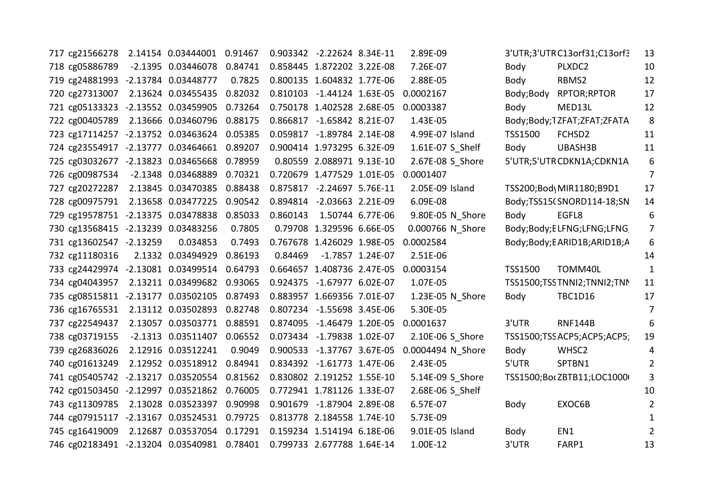| 717 cg21566278 2.14154 0.03444001 0.91467                            |                            |        |                            | 0.903342 -2.22624 8.34E-11 | 2.89E-09          |                | 3'UTR;3'UTRC13orf31;C13orf3 | 13             |
|----------------------------------------------------------------------|----------------------------|--------|----------------------------|----------------------------|-------------------|----------------|-----------------------------|----------------|
| 718 cg05886789 -2.1395 0.03446078 0.84741                            |                            |        | 0.858445 1.872202 3.22E-08 |                            | 7.26E-07          | Body           | PLXDC2                      | 10             |
| 719 cg24881993 -2.13784 0.03448777                                   |                            | 0.7825 |                            | 0.800135 1.604832 1.77E-06 | 2.88E-05          | Body           | RBMS2                       | 12             |
| 720 cg27313007 2.13624 0.03455435 0.82032                            |                            |        |                            | 0.810103 -1.44124 1.63E-05 | 0.0002167         | Body;Body      | RPTOR; RPTOR                | 17             |
| 721 cg05133323 -2.13552 0.03459905 0.73264                           |                            |        |                            | 0.750178 1.402528 2.68E-05 | 0.0003387         | Body           | MED13L                      | 12             |
| 722 cg00405789 2.13666 0.03460796 0.88175                            |                            |        | 0.866817 -1.65842 8.21E-07 |                            | 1.43E-05          |                | Body;Body;TZFAT;ZFAT;ZFATA  | 8              |
| 723 cg17114257 -2.13752 0.03463624 0.05385                           |                            |        |                            | 0.059817 -1.89784 2.14E-08 | 4.99E-07 Island   | <b>TSS1500</b> | FCHSD <sub>2</sub>          | 11             |
| 724 cg23554917 -2.13777 0.03464661 0.89207                           |                            |        |                            | 0.900414 1.973295 6.32E-09 | 1.61E-07 S_Shelf  | Body           | UBASH3B                     | 11             |
| 725 cg03032677 -2.13823 0.03465668 0.78959                           |                            |        |                            | 0.80559 2.088971 9.13E-10  | 2.67E-08 S Shore  |                | 5'UTR;5'UTRCDKN1A;CDKN1A    | 6              |
| 726 cg00987534 -2.1348 0.03468889 0.70321                            |                            |        | 0.720679 1.477529 1.01E-05 |                            | 0.0001407         |                |                             | 7              |
| 727 cg20272287                                                       | 2.13845 0.03470385 0.88438 |        |                            | 0.875817 -2.24697 5.76E-11 | 2.05E-09 Island   |                | TSS200;Bod\MIR1180;B9D1     | 17             |
| 728 cg00975791 2.13658 0.03477225 0.90542                            |                            |        | 0.894814 -2.03663 2.21E-09 |                            | 6.09E-08          |                | Body;TSS15(SNORD114-18;SN   | 14             |
| 729 cg19578751 -2.13375 0.03478838 0.85033                           |                            |        | 0.860143                   | 1.50744 6.77E-06           | 9.80E-05 N Shore  | Body           | EGFL8                       | 6              |
| 730 cg13568415 -2.13239 0.03483256                                   |                            | 0.7805 |                            | 0.79708 1.329596 6.66E-05  | 0.000766 N Shore  |                | Body;Body;ELFNG;LFNG;LFNG   | $\overline{7}$ |
| 731 cg13602547 -2.13259                                              | 0.034853                   | 0.7493 |                            | 0.767678 1.426029 1.98E-05 | 0.0002584         |                | Body;Body;EARID1B;ARID1B;A  | 6              |
| 732 cg11180316                                                       | 2.1332 0.03494929 0.86193  |        | 0.84469                    | -1.7857 1.24E-07           | 2.51E-06          |                |                             | 14             |
| 733 cg24429974 -2.13081 0.03499514 0.64793                           |                            |        | 0.664657 1.408736 2.47E-05 |                            | 0.0003154         | <b>TSS1500</b> | TOMM40L                     | $\mathbf{1}$   |
| 734 cg04043957 2.13211 0.03499682 0.93065 0.924375 -1.67977 6.02E-07 |                            |        |                            |                            | 1.07E-05          |                | TSS1500;TSSTNNI2;TNNI2;TNN  | 11             |
| 735 cg08515811 -2.13177 0.03502105 0.87493                           |                            |        |                            | 0.883957 1.669356 7.01E-07 | 1.23E-05 N Shore  | Body           | <b>TBC1D16</b>              | 17             |
| 736 cg16765531 2.13112 0.03502893 0.82748                            |                            |        | 0.807234 -1.55698 3.45E-06 |                            | 5.30E-05          |                |                             | 7              |
| 737 cg22549437                                                       | 2.13057 0.03503771 0.88591 |        |                            | 0.874095 -1.46479 1.20E-05 | 0.0001637         | 3'UTR          | <b>RNF144B</b>              | 6              |
| 738 cg03719155 -2.1313 0.03511407 0.06552                            |                            |        | 0.073434 -1.79838 1.02E-07 |                            | 2.10E-06 S_Shore  |                | TSS1500;TSSACP5;ACP5;ACP5;  | 19             |
| 739 cg26836026                                                       | 2.12916 0.03512241         | 0.9049 |                            | 0.900533 -1.37767 3.67E-05 | 0.0004494 N_Shore | Body           | WHSC <sub>2</sub>           | 4              |
| 740 cg01613249 2.12952 0.03518912 0.84941                            |                            |        | 0.834392 -1.61773 1.47E-06 |                            | 2.43E-05          | 5'UTR          | SPTBN1                      | 2              |
| 741 cg05405742 -2.13217 0.03520554 0.81562                           |                            |        |                            | 0.830802 2.191252 1.55E-10 | 5.14E-09 S_Shore  |                | TSS1500;BocZBTB11;LOC10000  | 3              |
| 742 cg01503450 -2.12997 0.03521862 0.76005                           |                            |        | 0.772941 1.781126 1.33E-07 |                            | 2.68E-06 S Shelf  |                |                             | 10             |
| 743 cg11309785 2.13028 0.03523397 0.90998                            |                            |        |                            | 0.901679 -1.87904 2.89E-08 | 6.57E-07          | Body           | EXOC6B                      | $\overline{2}$ |
| 744 cg07915117 -2.13167 0.03524531 0.79725                           |                            |        | 0.813778 2.184558 1.74E-10 |                            | 5.73E-09          |                |                             | 1              |
| 745 cg16419009 2.12687 0.03537054 0.17291                            |                            |        | 0.159234 1.514194 6.18E-06 |                            | 9.01E-05 Island   | Body           | EN1                         | $\overline{2}$ |
| 746 cg02183491 -2.13204 0.03540981 0.78401                           |                            |        | 0.799733 2.677788 1.64E-14 |                            | 1.00E-12          | 3'UTR          | FARP1                       | 13             |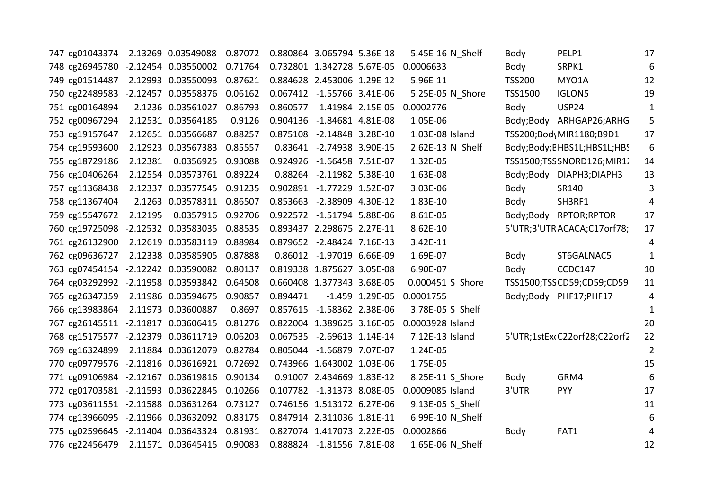|                | 747 cg01043374 -2.13269 0.03549088 0.87072 0.880864 3.065794 5.36E-18           |  |                            | 5.45E-16 N Shelf | Body          | PELP1                        | 17             |  |
|----------------|---------------------------------------------------------------------------------|--|----------------------------|------------------|---------------|------------------------------|----------------|--|
|                | 748 cg26945780 -2.12454 0.03550002 0.71764 0.732801 1.342728 5.67E-05 0.0006633 |  |                            |                  | Body          | SRPK1                        | 6              |  |
|                | 749 cg01514487 -2.12993 0.03550093 0.87621 0.884628 2.453006 1.29E-12           |  |                            | 5.96E-11         | <b>TSS200</b> | MYO1A                        | 12             |  |
|                | 750 cg22489583 -2.12457 0.03558376 0.06162 0.067412 -1.55766 3.41E-06           |  |                            | 5.25E-05 N_Shore | TSS1500       | <b>IGLON5</b>                | 19             |  |
| 751 cg00164894 | 2.1236  0.03561027  0.86793  0.860577  -1.41984  2.15E-05                       |  |                            | 0.0002776        | Body          | USP24                        | 1              |  |
|                | 752 cg00967294  2.12531  0.03564185  0.9126  0.904136  -1.84681  4.81E-08       |  |                            | 1.05E-06         |               | Body;Body ARHGAP26;ARHG      | 5              |  |
|                | 753 cg19157647 2.12651 0.03566687 0.88257                                       |  | 0.875108 -2.14848 3.28E-10 | 1.03E-08 Island  |               | TSS200;Bod\MIR1180;B9D1      | 17             |  |
|                | 754 cg19593600 2.12923 0.03567383 0.85557                                       |  | 0.83641 -2.74938 3.90E-15  | 2.62E-13 N_Shelf |               | Body;Body;EHBS1L;HBS1L;HBS   | -6             |  |
|                | 755 cg18729186 2.12381 0.0356925 0.93088                                        |  | 0.924926 -1.66458 7.51E-07 | 1.32E-05         |               | TSS1500;TSSSNORD126;MIR12    | 14             |  |
|                | 756 cg10406264 2.12554 0.03573761 0.89224                                       |  | 0.88264 -2.11982 5.38E-10  | 1.63E-08         |               | Body;Body DIAPH3;DIAPH3      | 13             |  |
|                | 757 cg11368438 2.12337 0.03577545 0.91235                                       |  | 0.902891 -1.77229 1.52E-07 | 3.03E-06         | Body          | SR140                        |                |  |
| 758 cg11367404 | 2.1263   0.03578311   0.86507                                                   |  | 0.853663 -2.38909 4.30E-12 | 1.83E-10         | Body          | SH3RF1                       | 4              |  |
|                | 759 cg15547672  2.12195  0.0357916  0.92706  0.922572  -1.51794  5.88E-06       |  |                            | 8.61E-05         |               | Body;Body RPTOR;RPTOR        | 17             |  |
|                | 760 cg19725098 -2.12532 0.03583035 0.88535 0.893437 2.298675 2.27E-11           |  |                            | 8.62E-10         |               | 5'UTR;3'UTRACACA;C17orf78;   | 17             |  |
|                | 761 cg26132900 2.12619 0.03583119 0.88984                                       |  | 0.879652 -2.48424 7.16E-13 | 3.42E-11         |               |                              | 4              |  |
|                | 762 cg09636727 2.12338 0.03585905 0.87888                                       |  | 0.86012 -1.97019 6.66E-09  | 1.69E-07         | Body          | ST6GALNAC5                   | 1              |  |
|                | 763 cg07454154 -2.12242 0.03590082 0.80137                                      |  | 0.819338 1.875627 3.05E-08 | 6.90E-07         | Body          | CCDC147                      | 10             |  |
|                | 764 cg03292992 -2.11958 0.03593842 0.64508 0.660408 1.377343 3.68E-05           |  |                            | 0.000451 S Shore |               | TSS1500;TSSCD59;CD59;CD59    | 11             |  |
|                | 765 cg26347359 2.11986 0.03594675 0.90857 0.894471                              |  | $-1.459$ 1.29E-05          | 0.0001755        |               | Body;Body PHF17;PHF17        | 4              |  |
|                | 766 cg13983864 2.11973 0.03600887 0.8697 0.857615 -1.58362 2.38E-06             |  |                            | 3.78E-05 S Shelf |               |                              | 1              |  |
|                | 767 cg26145511 -2.11817 0.03606415 0.81276 0.822004 1.389625 3.16E-05           |  |                            | 0.0003928 Island |               |                              | 20             |  |
|                | 768 cg15175577 -2.12379 0.03611719 0.06203 0.067535 -2.69613 1.14E-14           |  |                            | 7.12E-13 Island  |               | 5'UTR;1stEx(C22orf28;C22orf2 | 22             |  |
|                | 769 cg16324899  2.11884  0.03612079  0.82784  0.805044  -1.66879  7.07E-07      |  |                            | 1.24E-05         |               |                              | $\overline{2}$ |  |
|                | 770 cg09779576 -2.11816 0.03616921 0.72692 0.743966 1.643002 1.03E-06           |  |                            | 1.75E-05         |               |                              | 15             |  |
|                | 771 cg09106984 -2.12167 0.03619816 0.90134                                      |  | 0.91007 2.434669 1.83E-12  | 8.25E-11 S Shore | Body          | GRM4                         | 6              |  |
|                | 772 cg01703581 -2.11593 0.03622845 0.10266 0.107782 -1.31373 8.08E-05           |  |                            | 0.0009085 Island | 3'UTR         | <b>PYY</b>                   | 17             |  |
|                | 773 cg03611551 -2.11588 0.03631264 0.73127 0.746156 1.513172 6.27E-06           |  |                            | 9.13E-05 S_Shelf |               |                              | 11             |  |
|                | 774 cg13966095 -2.11966 0.03632092 0.83175 0.847914 2.311036 1.81E-11           |  |                            | 6.99E-10 N Shelf |               |                              | 6              |  |
|                | 775 cg02596645 -2.11404 0.03643324 0.81931 0.827074 1.417073 2.22E-05 0.0002866 |  |                            |                  | Body          | FAT1                         | 4              |  |
|                | 776 cg22456479  2.11571  0.03645415  0.90083  0.888824  -1.81556  7.81E-08      |  |                            | 1.65E-06 N Shelf |               |                              | 12             |  |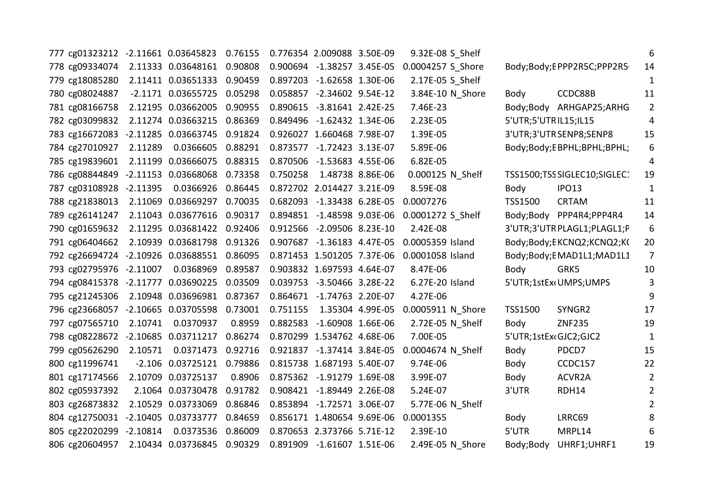| 777 cg01323212 -2.11661 0.03645823 0.76155                                 |                            |        | 0.776354 2.009088 3.50E-09 |                             | 9.32E-08 S Shelf                             |                       |                             | 6              |
|----------------------------------------------------------------------------|----------------------------|--------|----------------------------|-----------------------------|----------------------------------------------|-----------------------|-----------------------------|----------------|
| 778 cg09334074 2.11333 0.03648161 0.90808                                  |                            |        |                            | 0.900694 -1.38257 3.45E-05  | 0.0004257 S Shore                            |                       | Body;Body;EPPP2R5C;PPP2R5   | 14             |
| 779 cg18085280                                                             | 2.11411 0.03651333 0.90459 |        |                            | 0.897203 -1.62658 1.30E-06  | 2.17E-05 S_Shelf                             |                       |                             | 1              |
| 780 cg08024887                                                             | -2.1171 0.03655725 0.05298 |        |                            | 0.058857 -2.34602 9.54E-12  | 3.84E-10 N Shore                             | Body                  | CCDC88B                     | 11             |
| 781 cg08166758 2.12195 0.03662005 0.90955                                  |                            |        |                            | 0.890615 -3.81641 2.42E-25  | 7.46E-23                                     |                       | Body;Body ARHGAP25;ARHG     | $\overline{2}$ |
| 782 cg03099832 2.11274 0.03663215 0.86369                                  |                            |        |                            | 0.849496 -1.62432 1.34E-06  | 2.23E-05                                     | 5'UTR;5'UTRIL15;IL15  |                             | 4              |
| 783 cg16672083 -2.11285 0.03663745 0.91824                                 |                            |        |                            | 0.926027 1.660468 7.98E-07  | 1.39E-05                                     |                       | 3'UTR;3'UTRSENP8;SENP8      | 15             |
| 784 cg27010927 2.11289 0.0366605 0.88291                                   |                            |        |                            | 0.873577 -1.72423 3.13E-07  | 5.89E-06                                     |                       | Body;Body;EBPHL;BPHL;BPHL;  | 6              |
| 785 cg19839601 2.11199 0.03666075 0.88315                                  |                            |        |                            | 0.870506 -1.53683 4.55E-06  | 6.82E-05                                     |                       |                             | 4              |
| 786 cg08844849 -2.11153 0.03668068 0.73358                                 |                            |        |                            | 0.750258 1.48738 8.86E-06   | 0.000125 N Shelf                             |                       | TSS1500;TSSSIGLEC10;SIGLEC1 | 19             |
| 787 cg03108928 -2.11395 0.0366926 0.86445                                  |                            |        |                            | 0.872702 2.014427 3.21E-09  | 8.59E-08                                     | Body                  | <b>IPO13</b>                |                |
| 788 cg21838013 2.11069 0.03669297 0.70035                                  |                            |        |                            | 0.682093 -1.33438 6.28E-05  | 0.0007276                                    | TSS1500               | <b>CRTAM</b>                | 11             |
| 789 cg26141247 2.11043 0.03677616 0.90317                                  |                            |        |                            |                             | 0.894851 -1.48598 9.03E-06 0.0001272 S Shelf |                       | Body;Body PPP4R4;PPP4R4     | 14             |
| 790 cg01659632 2.11295 0.03681422 0.92406                                  |                            |        |                            | 0.912566 -2.09506 8.23E-10  | 2.42E-08                                     |                       | 3'UTR;3'UTR PLAGL1;PLAGL1;P | 6              |
| 791 cg06404662 2.10939 0.03681798 0.91326                                  |                            |        |                            | 0.907687 -1.36183 4.47E-05  | 0.0005359 Island                             |                       | Body;Body;EKCNQ2;KCNQ2;KC   | 20             |
| 792 cg26694724 -2.10926 0.03688551 0.86095                                 |                            |        |                            |                             | 0.871453 1.501205 7.37E-06 0.0001058 Island  |                       | Body;Body;EMAD1L1;MAD1L1    |                |
| 793 cg02795976 -2.11007 0.0368969 0.89587                                  |                            |        |                            | 0.903832 1.697593 4.64E-07  | 8.47E-06                                     | Body                  | GRK5                        | 10             |
| 794 cg08415378 -2.11777 0.03690225 0.03509                                 |                            |        |                            | 0.039753 -3.50466 3.28E-22  | 6.27E-20 Island                              |                       | 5'UTR;1stEx(UMPS;UMPS       | 3              |
| 795 cg21245306 2.10948 0.03696981 0.87367                                  |                            |        |                            | 0.864671 -1.74763 2.20E-07  | 4.27E-06                                     |                       |                             | 9              |
| 796 cg23668057 -2.10665 0.03705598 0.73001                                 |                            |        |                            | 0.751155  1.35304  4.99E-05 | 0.0005911 N Shore                            | <b>TSS1500</b>        | SYNGR2                      | 17             |
| 797 cg07565710 2.10741 0.0370937                                           |                            | 0.8959 |                            | 0.882583 -1.60908 1.66E-06  | 2.72E-05 N Shelf                             | Body                  | <b>ZNF235</b>               | 19             |
| 798 cg08228672 -2.10685 0.03711217 0.86274                                 |                            |        |                            | 0.870299 1.534762 4.68E-06  | 7.00E-05                                     | 5'UTR;1stEx(GJC2;GJC2 |                             |                |
| 799 cg05626290 2.10571 0.0371473 0.92716                                   |                            |        | 0.921837 -1.37414 3.84E-05 |                             | 0.0004674 N Shelf                            | Body                  | PDCD7                       | 15             |
| 800 cg11996741                                                             | -2.106 0.03725121 0.79886  |        |                            | 0.815738 1.687193 5.40E-07  | 9.74E-06                                     | Body                  | CCDC157                     | 22             |
| 801 cg17174566 2.10709 0.03725137                                          |                            | 0.8906 |                            | 0.875362 -1.91279 1.69E-08  | 3.99E-07                                     | Body                  | ACVR2A                      | $\overline{2}$ |
| 802 cg05937392                                                             | 2.1064 0.03730478 0.91782  |        | 0.908421 -1.89449 2.26E-08 |                             | 5.24E-07                                     | 3'UTR                 | RDH14                       | $\overline{2}$ |
| 803 cg26873832 2.10529 0.03733069 0.86846                                  |                            |        | 0.853894 -1.72571 3.06E-07 |                             | 5.77E-06 N Shelf                             |                       |                             |                |
| 804 cg12750031 -2.10405 0.03733777 0.84659                                 |                            |        |                            |                             | 0.856171 1.480654 9.69E-06 0.0001355         | Body                  | LRRC69                      | 8              |
| 805 cg22020299 -2.10814 0.0373536 0.86009                                  |                            |        | 0.870653 2.373766 5.71E-12 |                             | 2.39E-10                                     | 5'UTR                 | MRPL14                      | 6              |
| 806 cg20604957  2.10434  0.03736845  0.90329  0.891909  -1.61607  1.51E-06 |                            |        |                            |                             | 2.49E-05 N Shore                             |                       | Body;Body UHRF1;UHRF1       | 19             |
|                                                                            |                            |        |                            |                             |                                              |                       |                             |                |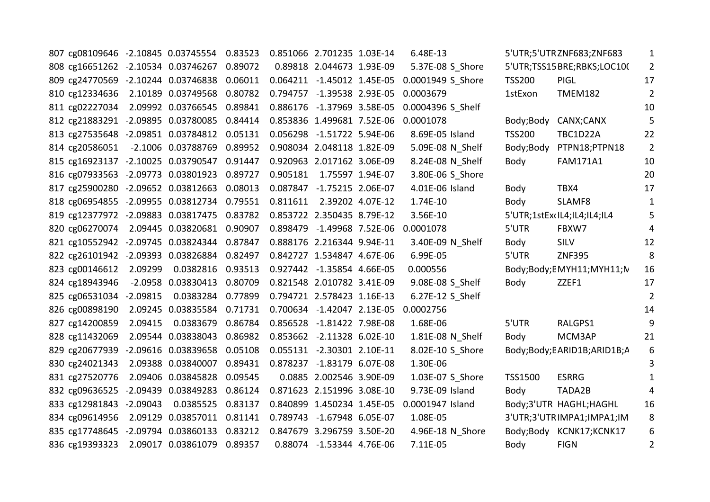| 807 cg08109646 -2.10845 0.03745554 0.83523 0.851066 2.701235 1.03E-14      |                                                  |                            |                           | 6.48E-13          |                | 5'UTR;5'UTRZNF683;ZNF683    | $\mathbf{1}$   |
|----------------------------------------------------------------------------|--------------------------------------------------|----------------------------|---------------------------|-------------------|----------------|-----------------------------|----------------|
| 808 cg16651262 -2.10534 0.03746267 0.89072 0.89818 2.044673 1.93E-09       |                                                  |                            |                           | 5.37E-08 S_Shore  |                | 5'UTR;TSS15BRE;RBKS;LOC100  | 2              |
| 809 cg24770569 -2.10244 0.03746838 0.06011 0.064211 -1.45012 1.45E-05      |                                                  |                            |                           | 0.0001949 S Shore | <b>TSS200</b>  | <b>PIGL</b>                 | 17             |
| 810 cg12334636  2.10189  0.03749568  0.80782  0.794757  -1.39538  2.93E-05 |                                                  |                            |                           | 0.0003679         | <b>1stExon</b> | TMEM182                     | $\overline{2}$ |
| 811 cg02227034  2.09992  0.03766545  0.89841  0.886176  -1.37969  3.58E-05 |                                                  |                            |                           | 0.0004396 S Shelf |                |                             | 10             |
| 812 cg21883291 -2.09895 0.03780085 0.84414 0.853836 1.499681 7.52E-06      |                                                  |                            |                           | 0.0001078         |                | Body;Body CANX;CANX         | 5              |
| 813 cg27535648 -2.09851 0.03784812 0.05131 0.056298 -1.51722 5.94E-06      |                                                  |                            |                           | 8.69E-05 Island   | <b>TSS200</b>  | TBC1D22A                    | 22             |
| 814 cg20586051 -2.1006 0.03788769 0.89952 0.908034 2.048118 1.82E-09       |                                                  |                            |                           | 5.09E-08 N Shelf  |                | Body;Body PTPN18;PTPN18     | 2              |
| 815 cg16923137 -2.10025 0.03790547 0.91447 0.920963 2.017162 3.06E-09      |                                                  |                            |                           | 8.24E-08 N Shelf  | Body           | <b>FAM171A1</b>             | 10             |
| 816 cg07933563 -2.09773 0.03801923 0.89727 0.905181 1.75597 1.94E-07       |                                                  |                            |                           | 3.80E-06 S Shore  |                |                             | 20             |
| 817 cg25900280 -2.09652 0.03812663 0.08013                                 |                                                  | 0.087847 -1.75215 2.06E-07 |                           | 4.01E-06 Island   | Body           | TBX4                        | 17             |
| 818 cg06954855 -2.09955 0.03812734 0.79551 0.811611 2.39202 4.07E-12       |                                                  |                            |                           | 1.74E-10          | Body           | SLAMF8                      | 1              |
| 819 cg12377972 -2.09883 0.03817475 0.83782 0.853722 2.350435 8.79E-12      |                                                  |                            |                           | 3.56E-10          |                | 5'UTR;1stEx(IL4;IL4;IL4;IL4 | 5              |
| 820 cg06270074  2.09445  0.03820681  0.90907  0.898479  -1.49968  7.52E-06 |                                                  |                            |                           | 0.0001078         | 5'UTR          | FBXW7                       | 4              |
| 821 cg10552942 -2.09745 0.03824344 0.87847 0.888176 2.216344 9.94E-11      |                                                  |                            |                           | 3.40E-09 N_Shelf  | Body           | <b>SILV</b>                 | 12             |
| 822 cg26101942 -2.09393 0.03826884 0.82497 0.842727 1.534847 4.67E-06      |                                                  |                            |                           | 6.99E-05          | 5'UTR          | <b>ZNF395</b>               | 8              |
| 823 cg00146612  2.09299  0.0382816  0.93513  0.927442  -1.35854  4.66E-05  |                                                  |                            |                           | 0.000556          |                | Body;Body;EMYH11;MYH11;N    | 16             |
| 824 cg18943946 -2.0958 0.03830413 0.80709 0.821548 2.010782 3.41E-09       |                                                  |                            |                           | 9.08E-08 S_Shelf  | Body           | ZZEF1                       | 17             |
| 825 cg06531034 -2.09815 0.0383284 0.77899 0.794721 2.578423 1.16E-13       |                                                  |                            |                           | 6.27E-12 S Shelf  |                |                             | 2              |
| 826 cg00898190  2.09245  0.03835584  0.71731  0.700634  -1.42047  2.13E-05 |                                                  |                            |                           | 0.0002756         |                |                             | 14             |
| 827 cg14200859 2.09415                                                     | 0.0383679  0.86784  0.856528  -1.81422  7.98E-08 |                            |                           | 1.68E-06          | 5'UTR          | RALGPS1                     | 9              |
| 828 cg11432069  2.09544  0.03838043  0.86982  0.853662  -2.11328  6.02E-10 |                                                  |                            |                           | 1.81E-08 N_Shelf  | Body           | MCM3AP                      | 21             |
| 829 cg20677939 -2.09616 0.03839658 0.05108 0.055131 -2.30301 2.10E-11      |                                                  |                            |                           | 8.02E-10 S Shore  |                | Body;Body;EARID1B;ARID1B;A  | 6              |
| 830 cg24021343 2.09388 0.03840007 0.89431 0.878237 -1.83179 6.07E-08       |                                                  |                            |                           | 1.30E-06          |                |                             | 3              |
| 831 cg27520776 2.09406 0.03845828 0.09545                                  |                                                  |                            | 0.0885 2.002546 3.90E-09  | 1.03E-07 S_Shore  | <b>TSS1500</b> | <b>ESRRG</b>                |                |
| 832 cg09636525 -2.09439 0.03849283 0.86124 0.871623 2.151996 3.08E-10      |                                                  |                            |                           | 9.73E-09 Island   | Body           | TADA2B                      | 4              |
| 833 cg12981843 -2.09043 0.0385525 0.83137 0.840899 1.450234 1.45E-05       |                                                  |                            |                           | 0.0001947 Island  |                | Body;3'UTR HAGHL;HAGHL      | 16             |
| 834 cg09614956  2.09129  0.03857011  0.81141  0.789743  -1.67948  6.05E-07 |                                                  |                            |                           | 1.08E-05          |                | 3'UTR;3'UTRIMPA1;IMPA1;IM   | 8              |
| 835 cg17748645 -2.09794 0.03860133 0.83212 0.847679 3.296759 3.50E-20      |                                                  |                            |                           | 4.96E-18 N_Shore  |                | Body;Body KCNK17;KCNK17     | 6              |
| 836 cg19393323 2.09017 0.03861079 0.89357                                  |                                                  |                            | 0.88074 -1.53344 4.76E-06 | 7.11E-05          | Body           | <b>FIGN</b>                 | $\overline{2}$ |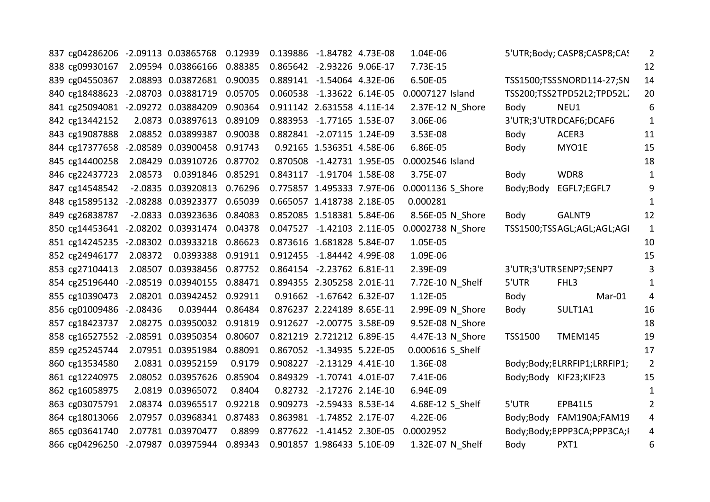| 837 cg04286206 -2.09113 0.03865768 0.12939 |                            |        | 0.139886 -1.84782 4.73E-08           | 1.04E-06                                     |                | 5'UTR;Body; CASP8;CASP8;CAS | $\overline{2}$ |
|--------------------------------------------|----------------------------|--------|--------------------------------------|----------------------------------------------|----------------|-----------------------------|----------------|
| 838 cg09930167 2.09594 0.03866166 0.88385  |                            |        | 0.865642 -2.93226 9.06E-17           | 7.73E-15                                     |                |                             | 12             |
| 839 cg04550367                             | 2.08893 0.03872681 0.90035 |        | 0.889141 -1.54064 4.32E-06           | 6.50E-05                                     |                | TSS1500;TSSSNORD114-27;SN   | 14             |
| 840 cg18488623 -2.08703 0.03881719 0.05705 |                            |        | 0.060538 -1.33622 6.14E-05           | 0.0007127 Island                             |                | TSS200;TSS2TPD52L2;TPD52L2  | 20             |
| 841 cg25094081 -2.09272 0.03884209 0.90364 |                            |        | 0.911142 2.631558 4.11E-14           | 2.37E-12 N Shore                             | Body           | NEU1                        | 6              |
| 842 cg13442152                             | 2.0873 0.03897613 0.89109  |        | 0.883953 -1.77165 1.53E-07           | 3.06E-06                                     |                | 3'UTR;3'UTRDCAF6;DCAF6      | $\mathbf 1$    |
| 843 cg19087888 2.08852 0.03899387 0.90038  |                            |        | 0.882841 -2.07115 1.24E-09           | 3.53E-08                                     | Body           | ACER3                       | 11             |
| 844 cg17377658 -2.08589 0.03900458 0.91743 |                            |        | 0.92165 1.536351 4.58E-06            | 6.86E-05                                     | Body           | MYO1E                       | 15             |
| 845 cg14400258 2.08429 0.03910726 0.87702  |                            |        |                                      | 0.870508 -1.42731 1.95E-05 0.0002546 Island  |                |                             | 18             |
| 846 cg22437723 2.08573                     | 0.0391846  0.85291         |        | 0.843117 -1.91704 1.58E-08           | 3.75E-07                                     | Body           | WDR8                        | $\mathbf 1$    |
| 847 cg14548542                             | -2.0835 0.03920813 0.76296 |        | 0.775857 1.495333 7.97E-06           | 0.0001136 S_Shore                            | Body;Body      | EGFL7;EGFL7                 | 9              |
| 848 cg15895132 -2.08288 0.03923377 0.65039 |                            |        | 0.665057 1.418738 2.18E-05           | 0.000281                                     |                |                             | $\mathbf{1}$   |
| 849 cg26838787 -2.0833 0.03923636 0.84083  |                            |        | 0.852085 1.518381 5.84E-06           | 8.56E-05 N_Shore                             | Body           | GALNT9                      | 12             |
| 850 cg14453641 -2.08202 0.03931474 0.04378 |                            |        |                                      | 0.047527 -1.42103 2.11E-05 0.0002738 N Shore |                | TSS1500;TSSAGL;AGL;AGL;AGI  | 1              |
| 851 cg14245235 -2.08302 0.03933218 0.86623 |                            |        | 0.873616 1.681828 5.84E-07           | 1.05E-05                                     |                |                             | 10             |
| 852 cg24946177 2.08372 0.0393388 0.91911   |                            |        | 0.912455 -1.84442 4.99E-08           | 1.09E-06                                     |                |                             | 15             |
| 853 cg27104413 2.08507 0.03938456 0.87752  |                            |        | 0.864154 -2.23762 6.81E-11           | 2.39E-09                                     |                | 3'UTR;3'UTRSENP7;SENP7      | 3              |
| 854 cg25196440 -2.08519 0.03940155 0.88471 |                            |        | 0.894355 2.305258 2.01E-11           | 7.72E-10 N_Shelf                             | 5'UTR          | FHL3                        | $\mathbf 1$    |
| 855 cg10390473 2.08201 0.03942452 0.92911  |                            |        | 0.91662 -1.67642 6.32E-07            | 1.12E-05                                     | Body           | Mar-01                      | $\overline{4}$ |
| 856 cg01009486 -2.08436                    | 0.039444 0.86484           |        | 0.876237 2.224189 8.65E-11           | 2.99E-09 N_Shore                             | Body           | SULT1A1                     | 16             |
| 857 cg18423737 2.08275 0.03950032 0.91819  |                            |        | 0.912627 -2.00775 3.58E-09           | 9.52E-08 N_Shore                             |                |                             | 18             |
| 858 cg16527552 -2.08591 0.03950354 0.80607 |                            |        | 0.821219 2.721212 6.89E-15           | 4.47E-13 N_Shore                             | <b>TSS1500</b> | TMEM145                     | 19             |
| 859 cg25245744 2.07951 0.03951984 0.88091  |                            |        | 0.867052 -1.34935 5.22E-05           | 0.000616 S Shelf                             |                |                             | 17             |
| 860 cg13534580                             | 2.0831 0.03952159          | 0.9179 | 0.908227 -2.13129 4.41E-10           | 1.36E-08                                     |                | Body;Body;ELRRFIP1;LRRFIP1; | $\overline{2}$ |
| 861 cg12240975 2.08052 0.03957626 0.85904  |                            |        | 0.849329 -1.70741 4.01E-07           | 7.41E-06                                     |                | Body;Body KIF23;KIF23       | 15             |
| 862 cg16058975                             | 2.0819 0.03965072          | 0.8404 | 0.82732 -2.17276 2.14E-10            | 6.94E-09                                     |                |                             | 1              |
| 863 cg03075791 2.08374 0.03965517 0.92218  |                            |        | 0.909273 -2.59433 8.53E-14           | 4.68E-12 S_Shelf                             | 5'UTR          | <b>EPB41L5</b>              | $\overline{2}$ |
| 864 cg18013066                             | 2.07957 0.03968341 0.87483 |        | 0.863981 -1.74852 2.17E-07           | 4.22E-06                                     |                | Body;Body FAM190A;FAM19     | 4              |
| 865 cg03641740 2.07781 0.03970477          |                            | 0.8899 | 0.877622 -1.41452 2.30E-05 0.0002952 |                                              |                | Body;Body;EPPP3CA;PPP3CA;I  | 4              |
| 866 cg04296250 -2.07987 0.03975944 0.89343 |                            |        | 0.901857 1.986433 5.10E-09           | 1.32E-07 N_Shelf                             | Body           | PXT1                        | 6              |
|                                            |                            |        |                                      |                                              |                |                             |                |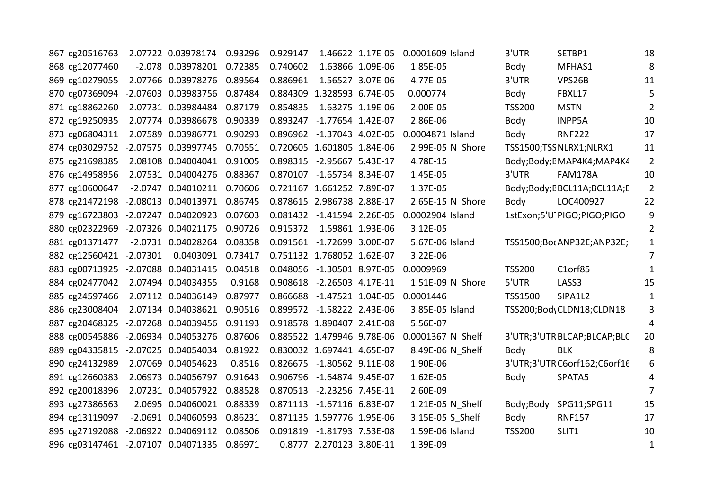| 867 cg20516763 2.07722 0.03978174 0.93296  |                              |         | 0.929147 -1.46622 1.17E-05  |                            |                  | 0.0001609 Island  | 3'UTR          | SETBP1                      | 18             |  |
|--------------------------------------------|------------------------------|---------|-----------------------------|----------------------------|------------------|-------------------|----------------|-----------------------------|----------------|--|
| 868 cg12077460                             | -2.078  0.03978201  0.72385  |         | 0.740602                    |                            | 1.63866 1.09E-06 | 1.85E-05          | Body           | MFHAS1                      | 8              |  |
| 869 cg10279055 2.07766 0.03978276 0.89564  |                              |         | 0.886961 -1.56527 3.07E-06  |                            |                  | 4.77E-05          | 3'UTR          | VPS26B                      | 11             |  |
| 870 cg07369094 -2.07603 0.03983756 0.87484 |                              |         | 0.884309 1.328593 6.74E-05  |                            |                  | 0.000774          | Body           | FBXL17                      | 5              |  |
| 871 cg18862260 2.07731 0.03984484 0.87179  |                              |         | 0.854835 -1.63275 1.19E-06  |                            |                  | 2.00E-05          | <b>TSS200</b>  | <b>MSTN</b>                 | $\overline{2}$ |  |
| 872 cg19250935 2.07774 0.03986678 0.90339  |                              |         | 0.893247 -1.77654 1.42E-07  |                            |                  | 2.86E-06          | Body           | INPP5A                      | 10             |  |
| 873 cg06804311 2.07589 0.03986771 0.90293  |                              |         |                             | 0.896962 -1.37043 4.02E-05 |                  | 0.0004871 Island  | Body           | <b>RNF222</b>               | 17             |  |
| 874 cg03029752 -2.07575 0.03997745 0.70551 |                              |         | 0.720605 1.601805 1.84E-06  |                            |                  | 2.99E-05 N_Shore  |                | TSS1500;TSSNLRX1;NLRX1      | 11             |  |
| 875 cg21698385 2.08108 0.04004041 0.91005  |                              |         | 0.898315 -2.95667 5.43E-17  |                            |                  | 4.78E-15          |                | Body;Body;EMAP4K4;MAP4K4    | $\overline{2}$ |  |
| 876 cg14958956 2.07531 0.04004276 0.88367  |                              |         | 0.870107 -1.65734 8.34E-07  |                            |                  | 1.45E-05          | 3'UTR          | FAM178A                     | 10             |  |
| 877 cg10600647 -2.0747 0.04010211 0.70606  |                              |         | 0.721167 1.661252 7.89E-07  |                            |                  | 1.37E-05          |                | Body;Body;EBCL11A;BCL11A;E  | $\overline{2}$ |  |
| 878 cg21472198 -2.08013 0.04013971 0.86745 |                              |         | 0.878615 2.986738 2.88E-17  |                            |                  | 2.65E-15 N_Shore  | Body           | LOC400927                   | 22             |  |
| 879 cg16723803 -2.07247 0.04020923 0.07603 |                              |         | 0.081432 -1.41594 2.26E-05  |                            |                  | 0.0002904 Island  |                | 1stExon;5'U PIGO;PIGO;PIGO  | 9              |  |
| 880 cg02322969 -2.07326 0.04021175 0.90726 |                              |         | 0.915372  1.59861  1.93E-06 |                            |                  | 3.12E-05          |                |                             | $\overline{2}$ |  |
| 881 cg01371477 -2.0731 0.04028264 0.08358  |                              |         | 0.091561 -1.72699 3.00E-07  |                            |                  | 5.67E-06 Island   |                | TSS1500;BocANP32E;ANP32E;   | $\mathbf{1}$   |  |
| 882 cg12560421 -2.07301 0.0403091 0.73417  |                              |         | 0.751132 1.768052 1.62E-07  |                            |                  | 3.22E-06          |                |                             | 7              |  |
| 883 cg00713925 -2.07088 0.04031415 0.04518 |                              |         | 0.048056 -1.30501 8.97E-05  |                            |                  | 0.0009969         | <b>TSS200</b>  | C1orf85                     | $\mathbf{1}$   |  |
| 884 cg02477042 2.07494 0.04034355          |                              | 0.9168  | 0.908618 -2.26503 4.17E-11  |                            |                  | 1.51E-09 N_Shore  | 5'UTR          | LASS3                       | 15             |  |
| 885 cg24597466 2.07112 0.04036149          |                              | 0.87977 | 0.866688 -1.47521 1.04E-05  |                            |                  | 0.0001446         | <b>TSS1500</b> | SIPA1L2                     | $\mathbf{1}$   |  |
| 886 cg23008404 2.07134 0.04038621 0.90516  |                              |         | 0.899572 -1.58222 2.43E-06  |                            |                  | 3.85E-05 Island   |                | TSS200;BodyCLDN18;CLDN18    | 3              |  |
| 887 cg20468325 -2.07268 0.04039456 0.91193 |                              |         | 0.918578 1.890407 2.41E-08  |                            |                  | 5.56E-07          |                |                             | 4              |  |
| 888 cg00545886 -2.06934 0.04053276 0.87606 |                              |         | 0.885522 1.479946 9.78E-06  |                            |                  | 0.0001367 N Shelf |                | 3'UTR;3'UTRBLCAP;BLCAP;BLC  | 20             |  |
| 889 cg04335815 -2.07025 0.04054034 0.81922 |                              |         |                             | 0.830032 1.697441 4.65E-07 |                  | 8.49E-06 N Shelf  | Body           | <b>BLK</b>                  | 8              |  |
| 890 cg24132989 2.07069 0.04054623          |                              | 0.8516  | 0.826675 -1.80562 9.11E-08  |                            |                  | 1.90E-06          |                | 3'UTR;3'UTRC6orf162;C6orf16 | 6              |  |
| 891 cg12660383 2.06973 0.04056797 0.91643  |                              |         |                             | 0.906796 -1.64874 9.45E-07 |                  | 1.62E-05          | Body           | SPATA5                      | 4              |  |
| 892 cg20018396 2.07231 0.04057922 0.88528  |                              |         | 0.870513 -2.23256 7.45E-11  |                            |                  | 2.60E-09          |                |                             | 7              |  |
| 893 cg27386563                             | 2.0695 0.04060021 0.88339    |         |                             | 0.871113 -1.67116 6.83E-07 |                  | 1.21E-05 N_Shelf  |                | Body;Body SPG11;SPG11       | 15             |  |
| 894 cg13119097                             | -2.0691  0.04060593  0.86231 |         | 0.871135 1.597776 1.95E-06  |                            |                  | 3.15E-05 S_Shelf  | Body           | <b>RNF157</b>               | 17             |  |
| 895 cg27192088 -2.06922 0.04069112 0.08506 |                              |         | 0.091819 -1.81793 7.53E-08  |                            |                  | 1.59E-06 Island   | <b>TSS200</b>  | SLIT1                       | 10             |  |
| 896 cg03147461 -2.07107 0.04071335 0.86971 |                              |         |                             | 0.8777 2.270123 3.80E-11   |                  | 1.39E-09          |                |                             | $\mathbf{1}$   |  |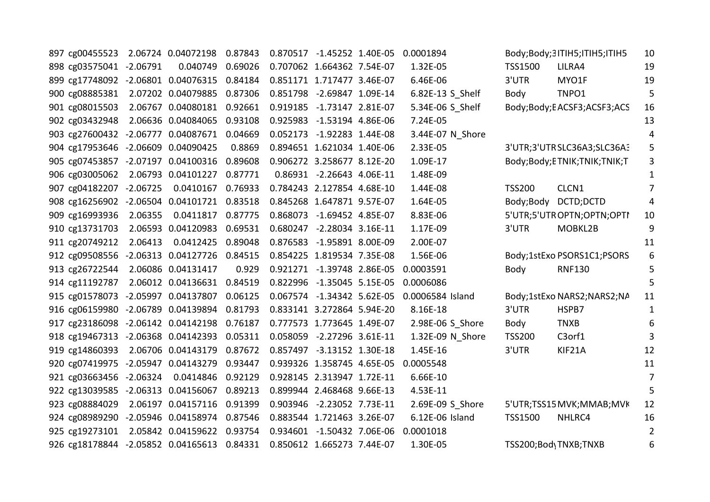| 897 cg00455523 2.06724 0.04072198 0.87843 0.870517 -1.45252 1.40E-05           |                                                 |                                      |  | 0.0001894        |                | Body;Body;3ITIH5;ITIH5;ITIH5 | 10             |
|--------------------------------------------------------------------------------|-------------------------------------------------|--------------------------------------|--|------------------|----------------|------------------------------|----------------|
| 898 cg03575041 -2.06791                                                        | 0.040749  0.69026  0.707062  1.664362  7.54E-07 |                                      |  | 1.32E-05         | <b>TSS1500</b> | LILRA4                       | 19             |
| 899 cg17748092 -2.06801 0.04076315 0.84184 0.851171 1.717477 3.46E-07          |                                                 |                                      |  | 6.46E-06         | 3'UTR          | MYO1F                        | 19             |
| 900 cg08885381  2.07202  0.04079885  0.87306  0.851798  -2.69847  1.09E-14     |                                                 |                                      |  | 6.82E-13 S_Shelf | Body           | TNPO1                        | 5              |
| 901 cg08015503 2.06767 0.04080181 0.92661 0.919185 -1.73147 2.81E-07           |                                                 |                                      |  | 5.34E-06 S_Shelf |                | Body;Body;EACSF3;ACSF3;ACS   | 16             |
| 902 cg03432948  2.06636  0.04084065  0.93108  0.925983  -1.53194  4.86E-06     |                                                 |                                      |  | 7.24E-05         |                |                              | 13             |
| 903 cg27600432 -2.06777 0.04087671 0.04669 0.052173 -1.92283 1.44E-08          |                                                 |                                      |  | 3.44E-07 N_Shore |                |                              | 4              |
| 904 cg17953646 -2.06609 0.04090425                                             |                                                 | 0.8869  0.894651  1.621034  1.40E-06 |  | 2.33E-05         |                | 3'UTR;3'UTRSLC36A3;SLC36A3   | 5              |
| 905 cg07453857 -2.07197 0.04100316 0.89608 0.906272 3.258677 8.12E-20          |                                                 |                                      |  | 1.09E-17         |                | Body;Body;ETNIK;TNIK;TNIK;TI | 3              |
| 906 cg03005062 2.06793 0.04101227 0.87771 0.86931 -2.26643 4.06E-11            |                                                 |                                      |  | 1.48E-09         |                |                              | $\mathbf{1}$   |
| 907 cg04182207 -2.06725 0.0410167 0.76933 0.784243 2.127854 4.68E-10           |                                                 |                                      |  | 1.44E-08         | <b>TSS200</b>  | CLCN1                        | 7              |
| 908 cg16256902 -2.06504 0.04101721 0.83518 0.845268 1.647871 9.57E-07          |                                                 |                                      |  | 1.64E-05         |                | Body;Body DCTD;DCTD          | $\overline{4}$ |
| 909 cg16993936 2.06355 0.0411817 0.87775 0.868073 -1.69452 4.85E-07            |                                                 |                                      |  | 8.83E-06         |                | 5'UTR;5'UTROPTN;OPTN;OPTI    | 10             |
| 910 cg13731703  2.06593  0.04120983  0.69531  0.680247  -2.28034  3.16E-11     |                                                 |                                      |  | 1.17E-09         | 3'UTR          | MOBKL2B                      | 9              |
| 911 cg20749212 2.06413 0.0412425 0.89048 0.876583 -1.95891 8.00E-09            |                                                 |                                      |  | 2.00E-07         |                |                              | 11             |
| 912 cg09508556 -2.06313 0.04127726 0.84515 0.854225 1.819534 7.35E-08          |                                                 |                                      |  | 1.56E-06         |                | Body;1stExo PSORS1C1;PSORS   | 6              |
| 913 cg26722544 2.06086 0.04131417                                              |                                                 | 0.929  0.921271  -1.39748  2.86E-05  |  | 0.0003591        | Body           | <b>RNF130</b>                | 5              |
| 914 cg11192787  2.06012  0.04136631  0.84519  0.822996  -1.35045  5.15E-05     |                                                 |                                      |  | 0.0006086        |                |                              | 5              |
| 915 cg01578073 -2.05997 0.04137807 0.06125 0.067574 -1.34342 5.62E-05          |                                                 |                                      |  | 0.0006584 Island |                | Body;1stExo NARS2;NARS2;NA   | 11             |
| 916 cg06159980 -2.06789 0.04139894 0.81793 0.833141 3.272864 5.94E-20          |                                                 |                                      |  | 8.16E-18         | 3'UTR          | HSPB7                        | $\mathbf{1}$   |
| 917 cg23186098 -2.06142 0.04142198 0.76187 0.777573 1.773645 1.49E-07          |                                                 |                                      |  | 2.98E-06 S_Shore | Body           | <b>TNXB</b>                  | 6              |
| 918 cg19467313 -2.06368 0.04142393 0.05311 0.058059 -2.27296 3.61E-11          |                                                 |                                      |  | 1.32E-09 N Shore | <b>TSS200</b>  | C3orf1                       | 3              |
| 919 cg14860393 2.06706 0.04143179 0.87672 0.857497 -3.13152 1.30E-18           |                                                 |                                      |  | 1.45E-16         | 3'UTR          | KIF21A                       | 12             |
| 920 cg07419975 -2.05947 0.04143279 0.93447 0.939326 1.358745 4.65E-05          |                                                 |                                      |  | 0.0005548        |                |                              | 11             |
| 921 cg03663456 -2.06324 0.0414846 0.92129 0.928145 2.313947 1.72E-11           |                                                 |                                      |  | 6.66E-10         |                |                              | $\overline{7}$ |
| 922 cg13039585 -2.06313 0.04156067 0.89213 0.899944 2.468468 9.66E-13          |                                                 |                                      |  | 4.53E-11         |                |                              | 5              |
| 923 cg08884029 2.06197 0.04157116 0.91399 0.903946 -2.23052 7.73E-11           |                                                 |                                      |  | 2.69E-09 S_Shore |                | 5'UTR;TSS15MVK;MMAB;MVK      | 12             |
| 924 cg08989290 -2.05946 0.04158974 0.87546 0.883544 1.721463 3.26E-07          |                                                 |                                      |  | 6.12E-06 Island  | TSS1500        | NHLRC4                       | 16             |
| 925 cg19273101 2.05842 0.04159622 0.93754 0.934601 -1.50432 7.06E-06 0.0001018 |                                                 |                                      |  |                  |                |                              | 2              |
| 926 cg18178844 -2.05852 0.04165613 0.84331 0.850612 1.665273 7.44E-07          |                                                 |                                      |  | 1.30E-05         |                | TSS200;Bod\TNXB;TNXB         | 6              |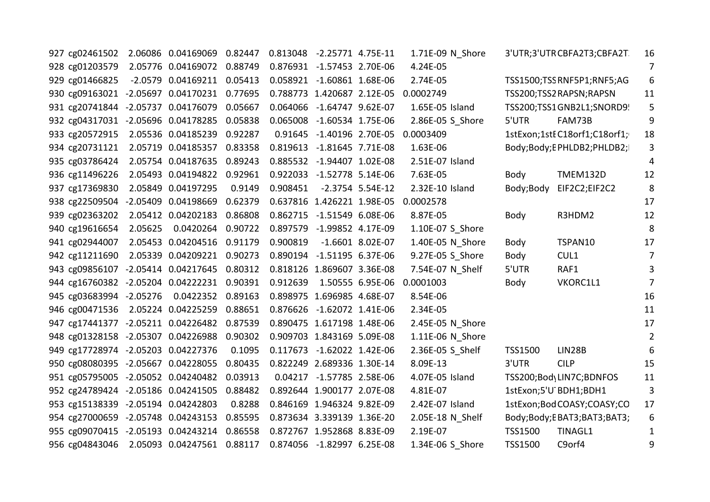|                | 927 cg02461502 2.06086 0.04169069 0.82447 0.813048 -2.25771 4.75E-11           |        |                                      |                    |                    | 1.71E-09 N_Shore                    |                | 3'UTR;3'UTRCBFA2T3;CBFA2T    | 16             |
|----------------|--------------------------------------------------------------------------------|--------|--------------------------------------|--------------------|--------------------|-------------------------------------|----------------|------------------------------|----------------|
|                | 928 cg01203579 2.05776 0.04169072 0.88749                                      |        | 0.876931 -1.57453 2.70E-06           |                    |                    | 4.24E-05                            |                |                              |                |
| 929 cg01466825 | -2.0579  0.04169211  0.05413                                                   |        | 0.058921 -1.60861 1.68E-06           |                    |                    | 2.74E-05                            |                | TSS1500;TSSRNF5P1;RNF5;AG    | 6              |
|                | 930 cg09163021 -2.05697 0.04170231 0.77695                                     |        | 0.788773 1.420687 2.12E-05 0.0002749 |                    |                    |                                     |                | TSS200;TSS2RAPSN;RAPSN       | 11             |
|                | 931 cg20741844 -2.05737 0.04176079 0.05667                                     |        | 0.064066 -1.64747 9.62E-07           |                    |                    | 1.65E-05 Island                     |                | TSS200;TSS1GNB2L1;SNORD9!    | 5              |
|                | 932 cg04317031 -2.05696 0.04178285 0.05838 0.065008 -1.60534 1.75E-06          |        |                                      |                    |                    | 2.86E-05 S Shore                    | 5'UTR          | FAM73B                       | 9              |
|                | 933 cg20572915 2.05536 0.04185239 0.92287                                      |        |                                      |                    |                    | 0.91645 -1.40196 2.70E-05 0.0003409 |                | 1stExon;1stEC18orf1;C18orf1; | 18             |
|                | 934 cg20731121 2.05719 0.04185357 0.83358                                      |        | 0.819613 -1.81645 7.71E-08           |                    |                    | 1.63E-06                            |                | Body;Body;EPHLDB2;PHLDB2;    | 3              |
|                | 935 cg03786424 2.05754 0.04187635 0.89243                                      |        | 0.885532 -1.94407 1.02E-08           |                    |                    | 2.51E-07 Island                     |                |                              | 4              |
|                | 936 cg11496226 2.05493 0.04194822 0.92961                                      |        | 0.922033 -1.52778 5.14E-06           |                    |                    | 7.63E-05                            | Body           | TMEM132D                     | 12             |
|                | 937 cg17369830 2.05849 0.04197295 0.9149                                       |        | 0.908451                             |                    | $-2.3754$ 5.54E-12 | 2.32E-10 Island                     |                | Body;Body EIF2C2;EIF2C2      | 8              |
|                | 938 cg22509504 -2.05409 0.04198669 0.62379                                     |        | 0.637816 1.426221 1.98E-05 0.0002578 |                    |                    |                                     |                |                              | 17             |
|                | 939 cg02363202 2.05412 0.04202183 0.86808                                      |        | 0.862715 -1.51549 6.08E-06           |                    |                    | 8.87E-05                            | Body           | R3HDM2                       | 12             |
|                | 940 cg19616654 2.05625 0.0420264 0.90722                                       |        | 0.897579 -1.99852 4.17E-09           |                    |                    | 1.10E-07 S Shore                    |                |                              | 8              |
| 941 cg02944007 | 2.05453 0.04204516 0.91179                                                     |        | 0.900819                             | $-1.6601$ 8.02E-07 |                    | 1.40E-05 N Shore                    | Body           | TSPAN10                      | 17             |
|                | 942 cg11211690 2.05339 0.04209221 0.90273                                      |        | 0.890194 -1.51195 6.37E-06           |                    |                    | 9.27E-05 S Shore                    | Body           | CUL1                         | 7              |
|                | 943 cg09856107 -2.05414 0.04217645 0.80312                                     |        | 0.818126 1.869607 3.36E-08           |                    |                    | 7.54E-07 N Shelf                    | 5'UTR          | RAF1                         | 3              |
|                | 944 cg16760382 -2.05204 0.04222231 0.90391 0.912639 1.50555 6.95E-06 0.0001003 |        |                                      |                    |                    |                                     | Body           | VKORC1L1                     | $\overline{7}$ |
|                | 945 cg03683994 -2.05276 0.0422352 0.89163                                      |        | 0.898975 1.696985 4.68E-07           |                    |                    | 8.54E-06                            |                |                              | 16             |
|                | 946 cg00471536  2.05224  0.04225259  0.88651  0.876626  -1.62072  1.41E-06     |        |                                      |                    |                    | 2.34E-05                            |                |                              | 11             |
|                | 947 cg17441377 -2.05211 0.04226482 0.87539                                     |        | 0.890475 1.617198 1.48E-06           |                    |                    | 2.45E-05 N Shore                    |                |                              | 17             |
|                | 948 cg01328158 -2.05307 0.04226988 0.90302 0.909703 1.843169 5.09E-08          |        |                                      |                    |                    | 1.11E-06 N Shore                    |                |                              | $\overline{2}$ |
|                | 949 cg17728974 -2.05203 0.04227376 0.1095                                      |        | 0.117673 -1.62022 1.42E-06           |                    |                    | 2.36E-05 S_Shelf                    | <b>TSS1500</b> | LIN28B                       | 6              |
|                | 950 cg08080395 -2.05667 0.04228055 0.80435 0.822249 2.689336 1.30E-14          |        |                                      |                    |                    | 8.09E-13                            | 3'UTR          | <b>CILP</b>                  | 15             |
|                | 951 cg05795005 -2.05052 0.04240482 0.03913                                     |        | 0.04217 -1.57785 2.58E-06            |                    |                    | 4.07E-05 Island                     |                | TSS200;BodyLIN7C;BDNFOS      | 11             |
|                | 952 cg24789424 -2.05186 0.04241505 0.88482                                     |        | 0.892644 1.900177 2.07E-08           |                    |                    | 4.81E-07                            |                | 1stExon;5'U BDH1;BDH1        | 3              |
|                | 953 cg15138339 -2.05194 0.04242803                                             | 0.8288 | 0.846169 1.946324 9.82E-09           |                    |                    | 2.42E-07 Island                     |                | 1stExon;BodCOASY;COASY;CO    | 17             |
|                | 954 cg27000659 -2.05748 0.04243153 0.85595 0.873634 3.339139 1.36E-20          |        |                                      |                    |                    | 2.05E-18 N Shelf                    |                | Body;Body;EBAT3;BAT3;BAT3;   | 6              |
|                | 955 cg09070415 -2.05193 0.04243214 0.86558                                     |        | 0.872767 1.952868 8.83E-09           |                    |                    | 2.19E-07                            | <b>TSS1500</b> | <b>TINAGL1</b>               | 1              |
|                | 956 cg04843046  2.05093  0.04247561  0.88117  0.874056  -1.82997  6.25E-08     |        |                                      |                    |                    | 1.34E-06 S Shore                    | <b>TSS1500</b> | C9orf4                       | 9              |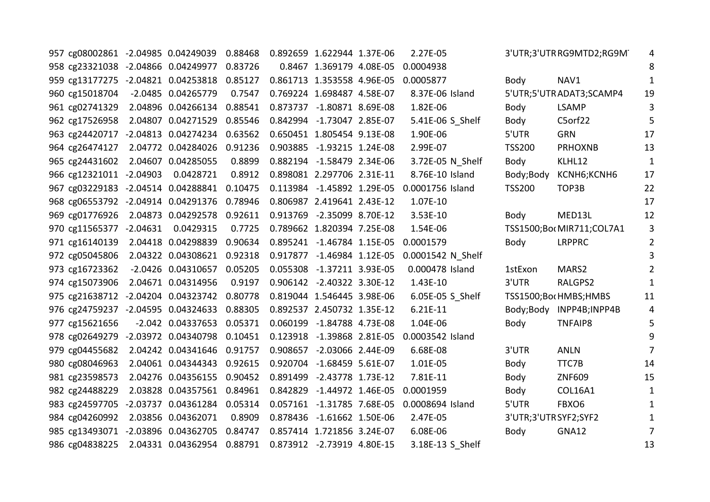| 957 cg08002861 -2.04985 0.04249039 0.88468 0.892659 1.622944 1.37E-06      |                           |        |                            |  | 2.27E-05          |                | 3'UTR;3'UTRRG9MTD2;RG9M  | 4              |  |
|----------------------------------------------------------------------------|---------------------------|--------|----------------------------|--|-------------------|----------------|--------------------------|----------------|--|
| 958 cg23321038 -2.04866 0.04249977 0.83726                                 |                           |        | 0.8467 1.369179 4.08E-05   |  | 0.0004938         |                |                          | 8              |  |
| 959 cg13177275 -2.04821 0.04253818 0.85127                                 |                           |        | 0.861713 1.353558 4.96E-05 |  | 0.0005877         | Body           | NAV1                     | $\mathbf{1}$   |  |
| 960 cg15018704 -2.0485 0.04265779                                          |                           | 0.7547 | 0.769224 1.698487 4.58E-07 |  | 8.37E-06 Island   |                | 5'UTR;5'UTRADAT3;SCAMP4  | 19             |  |
| 961 cg02741329 2.04896 0.04266134 0.88541                                  |                           |        | 0.873737 -1.80871 8.69E-08 |  | 1.82E-06          | Body           | LSAMP                    | 3              |  |
| 962 cg17526958 2.04807 0.04271529 0.85546                                  |                           |        | 0.842994 -1.73047 2.85E-07 |  | 5.41E-06 S Shelf  | Body           | C5orf22                  | 5              |  |
| 963 cg24420717 -2.04813 0.04274234 0.63562                                 |                           |        | 0.650451 1.805454 9.13E-08 |  | 1.90E-06          | 5'UTR          | <b>GRN</b>               | 17             |  |
| 964 cg26474127 2.04772 0.04284026 0.91236                                  |                           |        | 0.903885 -1.93215 1.24E-08 |  | 2.99E-07          | <b>TSS200</b>  | <b>PRHOXNB</b>           | 13             |  |
| 965 cg24431602 2.04607 0.04285055                                          |                           | 0.8899 | 0.882194 -1.58479 2.34E-06 |  | 3.72E-05 N_Shelf  | Body           | KLHL12                   | 1              |  |
| 966 cg12321011 -2.04903 0.0428721 0.8912                                   |                           |        | 0.898081 2.297706 2.31E-11 |  | 8.76E-10 Island   |                | Body;Body KCNH6;KCNH6    | 17             |  |
| 967 cg03229183 -2.04514 0.04288841 0.10475                                 |                           |        | 0.113984 -1.45892 1.29E-05 |  | 0.0001756 Island  | <b>TSS200</b>  | TOP3B                    | 22             |  |
| 968 cg06553792 -2.04914 0.04291376 0.78946                                 |                           |        | 0.806987 2.419641 2.43E-12 |  | 1.07E-10          |                |                          | 17             |  |
| 969 cg01776926 2.04873 0.04292578 0.92611                                  |                           |        | 0.913769 -2.35099 8.70E-12 |  | 3.53E-10          | Body           | MED13L                   | 12             |  |
| 970 cg11565377 -2.04631 0.0429315                                          |                           | 0.7725 | 0.789662 1.820394 7.25E-08 |  | 1.54E-06          |                | TSS1500;BorMIR711;COL7A1 | 3              |  |
| 971 cg16140139 2.04418 0.04298839 0.90634                                  |                           |        | 0.895241 -1.46784 1.15E-05 |  | 0.0001579         | Body           | <b>LRPPRC</b>            | $\overline{2}$ |  |
| 972 cg05045806 2.04322 0.04308621 0.92318                                  |                           |        | 0.917877 -1.46984 1.12E-05 |  | 0.0001542 N Shelf |                |                          | 3              |  |
| 973 cg16723362 -2.0426 0.04310657 0.05205                                  |                           |        | 0.055308 -1.37211 3.93E-05 |  | 0.000478 Island   | <b>1stExon</b> | MARS2                    | $\overline{2}$ |  |
| 974 cg15073906 2.04671 0.04314956                                          |                           | 0.9197 | 0.906142 -2.40322 3.30E-12 |  | 1.43E-10          | 3'UTR          | RALGPS2                  | $\mathbf{1}$   |  |
| 975 cg21638712 -2.04204 0.04323742 0.80778                                 |                           |        | 0.819044 1.546445 3.98E-06 |  | 6.05E-05 S Shelf  |                | TSS1500;BocHMBS;HMBS     | 11             |  |
| 976 cg24759237 -2.04595 0.04324633 0.88305                                 |                           |        | 0.892537 2.450732 1.35E-12 |  | $6.21E-11$        |                | Body;Body INPP4B;INPP4B  | 4              |  |
| 977 cg15621656                                                             | -2.042 0.04337653 0.05371 |        | 0.060199 -1.84788 4.73E-08 |  | 1.04E-06          | Body           | <b>TNFAIP8</b>           | 5              |  |
| 978 cg02649279 -2.03972 0.04340798 0.10451 0.123918 -1.39868 2.81E-05      |                           |        |                            |  | 0.0003542 Island  |                |                          | 9              |  |
| 979 cg04455682 2.04242 0.04341646 0.91757                                  |                           |        | 0.908657 -2.03066 2.44E-09 |  | 6.68E-08          | 3'UTR          | <b>ANLN</b>              | 7              |  |
| 980 cg08046963 2.04061 0.04344343 0.92615                                  |                           |        | 0.920704 -1.68459 5.61E-07 |  | 1.01E-05          | Body           | TTC7B                    | 14             |  |
| 981 cg23598573 2.04276 0.04356155 0.90452                                  |                           |        | 0.891499 -2.43778 1.73E-12 |  | 7.81E-11          | Body           | <b>ZNF609</b>            | 15             |  |
| 982 cg24488229 2.03828 0.04357561 0.84961                                  |                           |        | 0.842829 -1.44972 1.46E-05 |  | 0.0001959         | Body           | COL16A1                  | 1              |  |
| 983 cg24597705 -2.03737 0.04361284 0.05314                                 |                           |        | 0.057161 -1.31785 7.68E-05 |  | 0.0008694 Island  | 5'UTR          | FBXO6                    | 1              |  |
| 984 cg04260992 2.03856 0.04362071                                          |                           | 0.8909 | 0.878436 -1.61662 1.50E-06 |  | 2.47E-05          |                | 3'UTR;3'UTRSYF2;SYF2     | $\mathbf{1}$   |  |
| 985 cg13493071 -2.03896 0.04362705 0.84747                                 |                           |        | 0.857414 1.721856 3.24E-07 |  | 6.08E-06          | Body           | GNA12                    | $\overline{7}$ |  |
| 986 cg04838225  2.04331  0.04362954  0.88791  0.873912  -2.73919  4.80E-15 |                           |        |                            |  | 3.18E-13 S Shelf  |                |                          | 13             |  |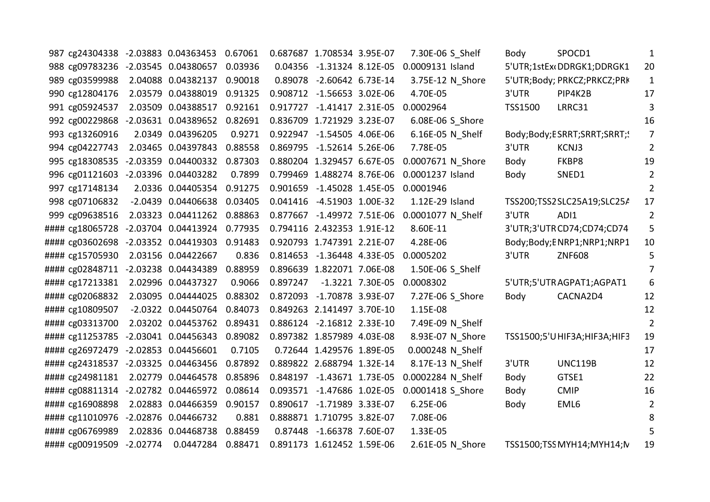| 987 cg24304338 -2.03883 0.04363453 0.67061                                  |                            |        | 0.687687 1.708534 3.95E-07           |                           |                    | 7.30E-06 S Shelf                                                                       | Body    | SPOCD1                      | 1              |
|-----------------------------------------------------------------------------|----------------------------|--------|--------------------------------------|---------------------------|--------------------|----------------------------------------------------------------------------------------|---------|-----------------------------|----------------|
| 988 cg09783236 -2.03545 0.04380657 0.03936                                  |                            |        |                                      |                           |                    | 0.04356 -1.31324 8.12E-05 0.0009131 Island                                             |         | 5'UTR;1stEx(DDRGK1;DDRGK1   | 20             |
| 989 cg03599988 2.04088 0.04382137 0.90018                                   |                            |        |                                      | 0.89078 -2.60642 6.73E-14 |                    | 3.75E-12 N_Shore                                                                       |         | 5'UTR;Body; PRKCZ;PRKCZ;PRK | $\mathbf{1}$   |
| 990 cg12804176  2.03579  0.04388019  0.91325  0.908712  -1.56653  3.02E-06  |                            |        |                                      |                           |                    | 4.70E-05                                                                               | 3'UTR   | PIP4K2B                     | 17             |
| 991 cg05924537  2.03509  0.04388517  0.92161  0.917727  -1.41417  2.31E-05  |                            |        |                                      |                           |                    | 0.0002964                                                                              | TSS1500 | LRRC31                      | 3              |
| 992 cg00229868 -2.03631 0.04389652 0.82691 0.836709 1.721929 3.23E-07       |                            |        |                                      |                           |                    | 6.08E-06 S_Shore                                                                       |         |                             | 16             |
| 993 cg13260916                                                              | 2.0349 0.04396205          | 0.9271 | 0.922947 -1.54505 4.06E-06           |                           |                    | 6.16E-05 N Shelf                                                                       |         | Body;Body;ESRRT;SRRT;SRRT;! | $\overline{7}$ |
| 994 cg04227743 2.03465 0.04397843 0.88558                                   |                            |        | 0.869795 -1.52614 5.26E-06           |                           |                    | 7.78E-05                                                                               | 3'UTR   | KCNJ3                       | $\overline{2}$ |
| 995 cg18308535 -2.03359 0.04400332 0.87303 0.880204 1.329457 6.67E-05       |                            |        |                                      |                           |                    | 0.0007671 N Shore                                                                      | Body    | FKBP8                       | 19             |
| 996 cg01121603 -2.03396 0.04403282                                          |                            |        | 0.7899  0.799469  1.488274  8.76E-06 |                           |                    | 0.0001237 Island                                                                       | Body    | SNED1                       | $\overline{2}$ |
| 997 cg17148134  2.0336  0.04405354  0.91275  0.901659  -1.45028  1.45E-05   |                            |        |                                      |                           |                    | 0.0001946                                                                              |         |                             | $\overline{2}$ |
| 998 cg07106832 -2.0439 0.04406638 0.03405 0.041416 -4.51903 1.00E-32        |                            |        |                                      |                           |                    | 1.12E-29 Island                                                                        |         | TSS200;TSS2SLC25A19;SLC25A  | 17             |
|                                                                             |                            |        |                                      |                           |                    | 999 cg09638516 2.03323 0.04411262 0.88863 0.877667 -1.49972 7.51E-06 0.0001077 N_Shelf | 3'UTR   | ADI1                        | $\overline{2}$ |
| #### cg18065728 -2.03704 0.04413924 0.77935 0.794116 2.432353 1.91E-12      |                            |        |                                      |                           |                    | 8.60E-11                                                                               |         | 3'UTR;3'UTRCD74;CD74;CD74   | 5              |
| #### cg03602698 -2.03352 0.04419303 0.91483 0.920793 1.747391 2.21E-07      |                            |        |                                      |                           |                    | 4.28E-06                                                                               |         | Body;Body;ENRP1;NRP1;NRP1   | 10             |
| #### cg15705930 2.03156 0.04422667                                          |                            | 0.836  | 0.814653 -1.36448 4.33E-05           |                           |                    | 0.0005202                                                                              | 3'UTR   | <b>ZNF608</b>               | 5              |
| #### cg02848711 -2.03238 0.04434389 0.88959 0.896639 1.822071 7.06E-08      |                            |        |                                      |                           |                    | 1.50E-06 S_Shelf                                                                       |         |                             | $\overline{7}$ |
| #### cg17213381 2.02996 0.04437327                                          |                            | 0.9066 | 0.897247                             |                           | $-1.3221$ 7.30E-05 | 0.0008302                                                                              |         | 5'UTR;5'UTRAGPAT1;AGPAT1    | 6              |
| #### cg02068832 2.03095 0.04444025 0.88302 0.872093 -1.70878 3.93E-07       |                            |        |                                      |                           |                    | 7.27E-06 S_Shore                                                                       | Body    | CACNA2D4                    | 12             |
| #### cg10809507                                                             | -2.0322 0.04450764 0.84073 |        | 0.849263 2.141497 3.70E-10           |                           |                    | 1.15E-08                                                                               |         |                             | 12             |
| #### cg03313700 2.03202 0.04453762 0.89431 0.886124 -2.16812 2.33E-10       |                            |        |                                      |                           |                    | 7.49E-09 N Shelf                                                                       |         |                             | $\overline{2}$ |
| #### cg11253785 -2.03041 0.04456343 0.89082 0.897382 1.857989 4.03E-08      |                            |        |                                      |                           |                    | 8.93E-07 N Shore                                                                       |         | TSS1500;5'UHIF3A;HIF3A;HIF3 | 19             |
| #### cg26972479 -2.02853 0.04456601                                         |                            | 0.7105 |                                      | 0.72644 1.429576 1.89E-05 |                    | 0.000248 N Shelf                                                                       |         |                             | 17             |
| #### cg24318537 -2.03325 0.04463456 0.87892 0.889822 2.688794 1.32E-14      |                            |        |                                      |                           |                    | 8.17E-13 N_Shelf                                                                       | 3'UTR   | <b>UNC119B</b>              | 12             |
| #### cg24981181  2.02779  0.04464578  0.85896  0.848197  -1.43671  1.73E-05 |                            |        |                                      |                           |                    | 0.0002284 N Shelf                                                                      | Body    | GTSE1                       | 22             |
| #### cg08811314 -2.02782 0.04465972 0.08614                                 |                            |        | 0.093571 -1.47686 1.02E-05           |                           |                    | 0.0001418 S_Shore                                                                      | Body    | <b>CMIP</b>                 | 16             |
| #### cg16908898 2.02883 0.04466359 0.90157                                  |                            |        | 0.890617 -1.71989 3.33E-07           |                           |                    | 6.25E-06                                                                               | Body    | EML6                        | $\overline{2}$ |
| #### cg11010976 -2.02876 0.04466732                                         |                            | 0.881  | 0.888871 1.710795 3.82E-07           |                           |                    | 7.08E-06                                                                               |         |                             | 8              |
| #### cg06769989 2.02836 0.04468738 0.88459                                  |                            |        | 0.87448 -1.66378 7.60E-07            |                           |                    | 1.33E-05                                                                               |         |                             | 5              |
| #### cg00919509 -2.02774 0.0447284 0.88471 0.891173 1.612452 1.59E-06       |                            |        |                                      |                           |                    | 2.61E-05 N Shore                                                                       |         | TSS1500;TSSMYH14;MYH14;N    | 19             |
|                                                                             |                            |        |                                      |                           |                    |                                                                                        |         |                             |                |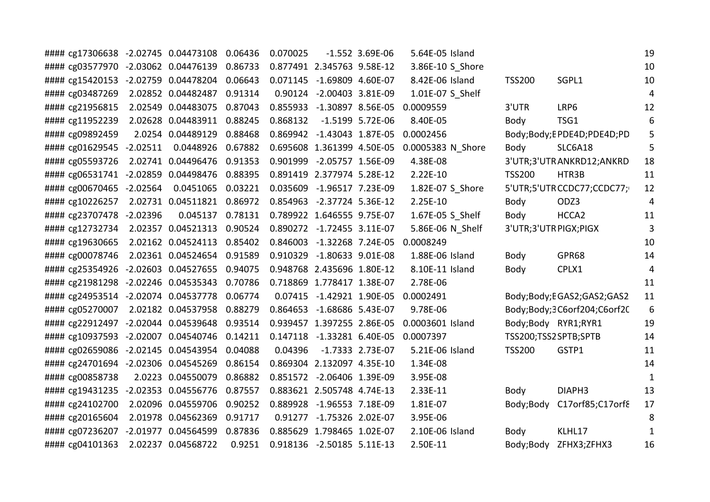| #### cg17306638 -2.02745 0.04473108 0.06436 |                            |         | 0.070025                   |                           | $-1.552$ 3.69E-06    | 5.64E-05 Island   |                      |                             | 19           |
|---------------------------------------------|----------------------------|---------|----------------------------|---------------------------|----------------------|-------------------|----------------------|-----------------------------|--------------|
| #### cg03577970 -2.03062 0.04476139 0.86733 |                            |         | 0.877491 2.345763 9.58E-12 |                           |                      | 3.86E-10 S_Shore  |                      |                             | 10           |
| #### cg15420153 -2.02759 0.04478204 0.06643 |                            |         | 0.071145 -1.69809 4.60E-07 |                           |                      | 8.42E-06 Island   | <b>TSS200</b>        | SGPL1                       | 10           |
| #### cg03487269 2.02852 0.04482487 0.91314  |                            |         |                            | 0.90124 -2.00403 3.81E-09 |                      | 1.01E-07 S Shelf  |                      |                             | 4            |
| #### cg21956815                             | 2.02549 0.04483075 0.87043 |         | 0.855933 -1.30897 8.56E-05 |                           |                      | 0.0009559         | 3'UTR                | LRP6                        | 12           |
| #### cg11952239                             | 2.02628 0.04483911 0.88245 |         | 0.868132                   |                           | -1.5199 5.72E-06     | 8.40E-05          | Body                 | TSG1                        | 6            |
| #### cg09892459                             | 2.0254 0.04489129          | 0.88468 | 0.869942 -1.43043 1.87E-05 |                           |                      | 0.0002456         |                      | Body;Body;EPDE4D;PDE4D;PD   | 5            |
| #### cg01629545 -2.02511                    | 0.0448926                  | 0.67882 | 0.695608 1.361399 4.50E-05 |                           |                      | 0.0005383 N_Shore | Body                 | SLC6A18                     | 5            |
| #### cg05593726 2.02741 0.04496476 0.91353  |                            |         | 0.901999 -2.05757 1.56E-09 |                           |                      | 4.38E-08          |                      | 3'UTR;3'UTRANKRD12;ANKRD    | 18           |
| #### cg06531741 -2.02859 0.04498476 0.88395 |                            |         | 0.891419 2.377974 5.28E-12 |                           |                      | $2.22E-10$        | <b>TSS200</b>        | HTR3B                       | 11           |
| #### cg00670465 -2.02564                    | 0.0451065  0.03221         |         | 0.035609 -1.96517 7.23E-09 |                           |                      | 1.82E-07 S_Shore  |                      | 5'UTR;5'UTRCCDC77;CCDC77;   | 12           |
| #### cg10226257 2.02731 0.04511821 0.86972  |                            |         | 0.854963 -2.37724 5.36E-12 |                           |                      | 2.25E-10          | Body                 | ODZ3                        | 4            |
| #### cg23707478 -2.02396                    | 0.045137 0.78131           |         | 0.789922 1.646555 9.75E-07 |                           |                      | 1.67E-05 S Shelf  | Body                 | HCCA <sub>2</sub>           | 11           |
| #### cg12732734 2.02357 0.04521313 0.90524  |                            |         | 0.890272 -1.72455 3.11E-07 |                           |                      | 5.86E-06 N Shelf  | 3'UTR;3'UTRPIGX;PIGX |                             | 3            |
| #### cg19630665 2.02162 0.04524113 0.85402  |                            |         | 0.846003 -1.32268 7.24E-05 |                           |                      | 0.0008249         |                      |                             | 10           |
| #### cg00078746 2.02361 0.04524654 0.91589  |                            |         | 0.910329 -1.80633 9.01E-08 |                           |                      | 1.88E-06 Island   | Body                 | GPR68                       | 14           |
| #### cg25354926 -2.02603 0.04527655 0.94075 |                            |         | 0.948768 2.435696 1.80E-12 |                           |                      | 8.10E-11 Island   | Body                 | CPLX1                       | 4            |
| #### cg21981298 -2.02246 0.04535343 0.70786 |                            |         | 0.718869 1.778417 1.38E-07 |                           |                      | 2.78E-06          |                      |                             | 11           |
| #### cg24953514 -2.02074 0.04537778 0.06774 |                            |         |                            | 0.07415 -1.42921 1.90E-05 |                      | 0.0002491         |                      | Body;Body;EGAS2;GAS2;GAS2   | 11           |
| #### cg05270007 2.02182 0.04537958 0.88279  |                            |         | 0.864653 -1.68686 5.43E-07 |                           |                      | 9.78E-06          |                      | Body;Body;3C6orf204;C6orf2C | 6            |
| #### cg22912497 -2.02044 0.04539648 0.93514 |                            |         | 0.939457 1.397255 2.86E-05 |                           |                      | 0.0003601 Island  |                      | Body;Body RYR1;RYR1         | 19           |
| #### cg10937593 -2.02007 0.04540746 0.14211 |                            |         | 0.147118 -1.33281 6.40E-05 |                           |                      | 0.0007397         |                      | TSS200;TSS2SPTB;SPTB        | 14           |
| #### cg02659086 -2.02145 0.04543954         |                            | 0.04088 | 0.04396                    |                           | $-1.7333$ $2.73E-07$ | 5.21E-06 Island   | <b>TSS200</b>        | GSTP1                       | 11           |
| #### cg24701694 -2.02306 0.04545269 0.86154 |                            |         | 0.869304 2.132097 4.35E-10 |                           |                      | 1.34E-08          |                      |                             | 14           |
| #### cg00858738                             | 2.0223 0.04550079          | 0.86882 | 0.851572 -2.06406 1.39E-09 |                           |                      | 3.95E-08          |                      |                             | 1            |
| #### cg19431235 -2.02353 0.04556776 0.87557 |                            |         | 0.883621 2.505748 4.74E-13 |                           |                      | 2.33E-11          | Body                 | DIAPH3                      | 13           |
| #### cg24102700 2.02096 0.04559706 0.90252  |                            |         | 0.889928 -1.96553 7.18E-09 |                           |                      | 1.81E-07          | Body;Body            | C17orf85;C17orf8            | 17           |
| #### cg20165604 2.01978 0.04562369 0.91717  |                            |         |                            | 0.91277 -1.75326 2.02E-07 |                      | 3.95E-06          |                      |                             | 8            |
| #### cg07236207 -2.01977 0.04564599 0.87836 |                            |         | 0.885629 1.798465 1.02E-07 |                           |                      | 2.10E-06 Island   | Body                 | KLHL17                      | $\mathbf{1}$ |
| #### cg04101363 2.02237 0.04568722          |                            | 0.9251  | 0.918136 -2.50185 5.11E-13 |                           |                      | 2.50E-11          | Body;Body            | ZFHX3;ZFHX3                 | 16           |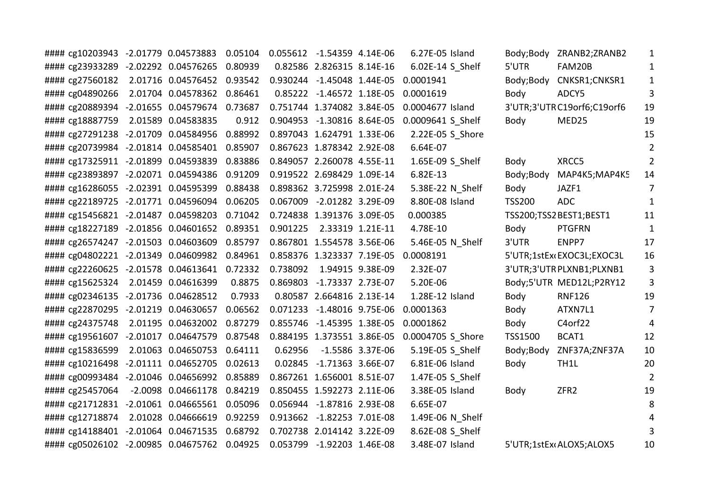|                                     | #### cg10203943 -2.01779 0.04573883 0.05104 0.055612 -1.54359 4.14E-06 |        |          |                            |                    | 6.27E-05 Island   | Body;Body      | ZRANB2;ZRANB2               | 1              |
|-------------------------------------|------------------------------------------------------------------------|--------|----------|----------------------------|--------------------|-------------------|----------------|-----------------------------|----------------|
|                                     | #### cg23933289 -2.02292 0.04576265 0.80939                            |        |          | 0.82586 2.826315 8.14E-16  |                    | 6.02E-14 S_Shelf  | 5'UTR          | FAM20B                      | $\mathbf{1}$   |
|                                     | #### cg27560182 2.01716 0.04576452 0.93542                             |        |          | 0.930244 -1.45048 1.44E-05 |                    | 0.0001941         | Body;Body      | CNKSR1;CNKSR1               | $\mathbf{1}$   |
|                                     | #### cg04890266 2.01704 0.04578362 0.86461                             |        |          | 0.85222 -1.46572 1.18E-05  |                    | 0.0001619         | Body           | ADCY5                       | 3              |
|                                     | #### cg20889394 -2.01655 0.04579674 0.73687                            |        |          | 0.751744 1.374082 3.84E-05 |                    | 0.0004677 Island  |                | 3'UTR;3'UTRC19orf6;C19orf6  | 19             |
| #### cg18887759 2.01589 0.04583835  |                                                                        | 0.912  |          | 0.904953 -1.30816 8.64E-05 |                    | 0.0009641 S Shelf | Body           | MED25                       | 19             |
|                                     | #### cg27291238 -2.01709 0.04584956 0.88992                            |        |          | 0.897043 1.624791 1.33E-06 |                    | 2.22E-05 S_Shore  |                |                             | 15             |
|                                     | #### cg20739984 -2.01814 0.04585401 0.85907                            |        |          | 0.867623 1.878342 2.92E-08 |                    | 6.64E-07          |                |                             | $\overline{2}$ |
|                                     | #### cg17325911 -2.01899 0.04593839 0.83886                            |        |          | 0.849057 2.260078 4.55E-11 |                    | 1.65E-09 S_Shelf  | Body           | XRCC5                       | $\overline{2}$ |
|                                     | #### cg23893897 -2.02071 0.04594386 0.91209                            |        |          | 0.919522 2.698429 1.09E-14 |                    | 6.82E-13          | Body;Body      | MAP4K5;MAP4K5               | 14             |
|                                     | #### cg16286055 -2.02391 0.04595399 0.88438                            |        |          | 0.898362 3.725998 2.01E-24 |                    | 5.38E-22 N_Shelf  | Body           | JAZF1                       | $\overline{7}$ |
|                                     | #### cg22189725 -2.01771 0.04596094 0.06205                            |        |          | 0.067009 -2.01282 3.29E-09 |                    | 8.80E-08 Island   | <b>TSS200</b>  | <b>ADC</b>                  | $\mathbf{1}$   |
|                                     | #### cg15456821 -2.01487 0.04598203 0.71042                            |        |          | 0.724838 1.391376 3.09E-05 |                    | 0.000385          |                | TSS200;TSS2BEST1;BEST1      | 11             |
|                                     | #### cg18227189 -2.01856 0.04601652 0.89351                            |        | 0.901225 | 2.33319 1.21E-11           |                    | 4.78E-10          | Body           | <b>PTGFRN</b>               | $\mathbf{1}$   |
|                                     | #### cg26574247 -2.01503 0.04603609 0.85797                            |        |          | 0.867801 1.554578 3.56E-06 |                    | 5.46E-05 N_Shelf  | 3'UTR          | ENPP7                       | 17             |
|                                     | #### cg04802221 -2.01349 0.04609982 0.84961                            |        |          | 0.858376 1.323337 7.19E-05 |                    | 0.0008191         |                | 5'UTR;1stEx(EXOC3L;EXOC3L   | 16             |
|                                     | #### cg22260625 -2.01578 0.04613641 0.72332                            |        | 0.738092 | 1.94915 9.38E-09           |                    | 2.32E-07          |                | 3'UTR; 3'UTR PLXNB1; PLXNB1 | 3              |
| #### cg15625324 2.01459 0.04616399  |                                                                        | 0.8875 |          | 0.869803 -1.73337 2.73E-07 |                    | 5.20E-06          |                | Body;5'UTR MED12L;P2RY12    | $\mathbf{3}$   |
| #### cg02346135 -2.01736 0.04628512 |                                                                        | 0.7933 |          | 0.80587 2.664816 2.13E-14  |                    | 1.28E-12 Island   | Body           | <b>RNF126</b>               | 19             |
|                                     | #### cg22870295 -2.01219 0.04630657 0.06562                            |        |          | 0.071233 -1.48016 9.75E-06 |                    | 0.0001363         | Body           | ATXN7L1                     | $\overline{7}$ |
|                                     | #### cg24375748 2.01195 0.04632002 0.87279                             |        |          | 0.855746 -1.45395 1.38E-05 |                    | 0.0001862         | Body           | C4orf22                     | 4              |
|                                     | #### cg19561607 -2.01017 0.04647579 0.87548                            |        |          | 0.884195 1.373551 3.86E-05 |                    | 0.0004705 S Shore | <b>TSS1500</b> | BCAT1                       | 12             |
|                                     | #### cg15836599 2.01063 0.04650753 0.64111                             |        | 0.62956  |                            | $-1.5586$ 3.37E-06 | 5.19E-05 S Shelf  | Body;Body      | ZNF37A;ZNF37A               | 10             |
|                                     | #### cg10216498 -2.01111 0.04652705 0.02613                            |        |          | 0.02845 -1.71363 3.66E-07  |                    | 6.81E-06 Island   | Body           | TH <sub>1</sub> L           | 20             |
|                                     | #### cg00993484 -2.01046 0.04656992 0.85889                            |        |          | 0.867261 1.656001 8.51E-07 |                    | 1.47E-05 S_Shelf  |                |                             | $\overline{2}$ |
|                                     | #### cg25457064 -2.0098 0.04661178 0.84219                             |        |          | 0.850455 1.592273 2.11E-06 |                    | 3.38E-05 Island   | Body           | ZFR <sub>2</sub>            | 19             |
|                                     | #### cg21712831 -2.01061 0.04665561 0.05096                            |        |          | 0.056944 -1.87816 2.93E-08 |                    | 6.65E-07          |                |                             | 8              |
|                                     | #### cg12718874 2.01028 0.04666619 0.92259                             |        |          | 0.913662 -1.82253 7.01E-08 |                    | 1.49E-06 N_Shelf  |                |                             | 4              |
|                                     | #### cg14188401 -2.01064 0.04671535 0.68792                            |        |          | 0.702738 2.014142 3.22E-09 |                    | 8.62E-08 S Shelf  |                |                             | 3              |
|                                     | #### cg05026102 -2.00985 0.04675762 0.04925                            |        |          | 0.053799 -1.92203 1.46E-08 |                    | 3.48E-07 Island   |                | 5'UTR;1stEx(ALOX5;ALOX5     | 10             |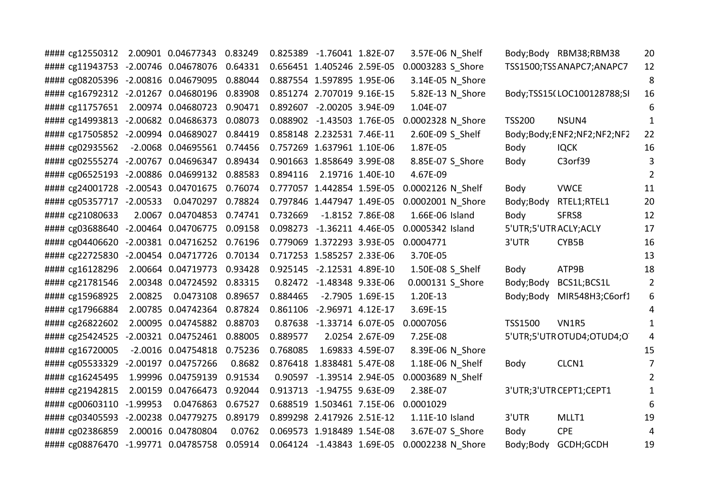| #### cg12550312 2.00901 0.04677343 0.83249                                              |                           | 0.825389 -1.76041 1.82E-07 |                            |                  | 3.57E-06 N_Shelf                                                                         |                | Body;Body RBM38;RBM38      | 20             |
|-----------------------------------------------------------------------------------------|---------------------------|----------------------------|----------------------------|------------------|------------------------------------------------------------------------------------------|----------------|----------------------------|----------------|
|                                                                                         |                           |                            |                            |                  | #### cg11943753 -2.00746 0.04678076 0.64331 0.656451 1.405246 2.59E-05 0.0003283 S Shore |                | TSS1500;TSSANAPC7;ANAPC7   | 12             |
| #### cg08205396 -2.00816 0.04679095 0.88044                                             |                           | 0.887554 1.597895 1.95E-06 |                            |                  | 3.14E-05 N_Shore                                                                         |                |                            | 8              |
| #### cg16792312 -2.01267 0.04680196 0.83908                                             |                           | 0.851274 2.707019 9.16E-15 |                            |                  | 5.82E-13 N Shore                                                                         |                | Body;TSS15(LOC100128788;SI | 16             |
| #### cg11757651 2.00974 0.04680723 0.90471                                              |                           | 0.892607 -2.00205 3.94E-09 |                            |                  | 1.04E-07                                                                                 |                |                            | 6              |
| #### cg14993813 -2.00682 0.04686373 0.08073                                             |                           |                            |                            |                  | 0.088902 -1.43503 1.76E-05 0.0002328 N_Shore                                             | <b>TSS200</b>  | NSUN4                      | $\mathbf{1}$   |
| #### cg17505852 -2.00994 0.04689027 0.84419                                             |                           |                            | 0.858148 2.232531 7.46E-11 |                  | 2.60E-09 S Shelf                                                                         |                | Body;Body;ENF2;NF2;NF2;NF2 | 22             |
| #### cg02935562 -2.0068 0.04695561 0.74456 0.757269 1.637961 1.10E-06                   |                           |                            |                            |                  | 1.87E-05                                                                                 | Body           | IQCK                       | 16             |
| #### cg02555274 -2.00767 0.04696347 0.89434 0.901663 1.858649 3.99E-08                  |                           |                            |                            |                  | 8.85E-07 S_Shore                                                                         | Body           | C3orf39                    | 3              |
| #### cg06525193 -2.00886 0.04699132 0.88583 0.894116 2.19716 1.40E-10                   |                           |                            |                            |                  | 4.67E-09                                                                                 |                |                            | 2              |
| #### cg24001728 -2.00543 0.04701675 0.76074                                             |                           | 0.777057 1.442854 1.59E-05 |                            |                  | 0.0002126 N Shelf                                                                        | Body           | <b>VWCE</b>                | 11             |
|                                                                                         |                           |                            |                            |                  | #### cg05357717 -2.00533 0.0470297 0.78824 0.797846 1.447947 1.49E-05 0.0002001 N Shore  |                | Body;Body RTEL1;RTEL1      | 20             |
| #### cg21080633                                                                         | 2.0067 0.04704853 0.74741 | 0.732669                   |                            | -1.8152 7.86E-08 | 1.66E-06 Island                                                                          | Body           | SFRS8                      | 12             |
| #### cg03688640 -2.00464 0.04706775 0.09158 0.098273 -1.36211 4.46E-05 0.0005342 Island |                           |                            |                            |                  |                                                                                          |                | 5'UTR;5'UTRACLY;ACLY       | 17             |
| #### cg04406620 -2.00381 0.04716252 0.76196 0.779069 1.372293 3.93E-05 0.0004771        |                           |                            |                            |                  |                                                                                          | 3'UTR          | CYB5B                      | 16             |
| #### cg22725830 -2.00454 0.04717726 0.70134 0.717253 1.585257 2.33E-06                  |                           |                            |                            |                  | 3.70E-05                                                                                 |                |                            | 13             |
| #### cg16128296 2.00664 0.04719773 0.93428 0.925145 -2.12531 4.89E-10                   |                           |                            |                            |                  | 1.50E-08 S Shelf                                                                         | Body           | ATP9B                      | 18             |
| #### cg21781546 2.00348 0.04724592 0.83315                                              |                           | 0.82472 -1.48348 9.33E-06  |                            |                  | 0.000131 S_Shore                                                                         |                | Body;Body BCS1L;BCS1L      | $\overline{2}$ |
| #### cg15968925 2.00825 0.0473108 0.89657                                               |                           | 0.884465                   |                            | -2.7905 1.69E-15 | 1.20E-13                                                                                 |                | Body;Body MIR548H3;C6orf1  | 6              |
| #### cg17966884 2.00785 0.04742364 0.87824                                              |                           | 0.861106 -2.96971 4.12E-17 |                            |                  | 3.69E-15                                                                                 |                |                            | 4              |
| #### cg26822602 2.00095 0.04745882 0.88703                                              |                           |                            | 0.87638 -1.33714 6.07E-05  |                  | 0.0007056                                                                                | <b>TSS1500</b> | VN1R5                      | 1              |
| #### cg25424525 -2.00321 0.04752461 0.88005                                             |                           | 0.889577                   |                            | 2.0254 2.67E-09  | 7.25E-08                                                                                 |                | 5'UTR;5'UTROTUD4;OTUD4;O   | 4              |
| #### cg16720005 -2.0016 0.04754818 0.75236                                              |                           | 0.768085                   |                            | 1.69833 4.59E-07 | 8.39E-06 N_Shore                                                                         |                |                            | 15             |
| #### cg05533329 -2.00197 0.04757266 0.8682 0.876418 1.838481 5.47E-08                   |                           |                            |                            |                  | 1.18E-06 N_Shelf                                                                         | Body           | CLCN1                      | 7              |
| #### cg16245495 1.99996 0.04759139 0.91534                                              |                           |                            | 0.90597 -1.39514 2.94E-05  |                  | 0.0003689 N Shelf                                                                        |                |                            | 2              |
| #### cg21942815 2.00159 0.04766473 0.92044                                              |                           | 0.913713 -1.94755 9.63E-09 |                            |                  | 2.38E-07                                                                                 |                | 3'UTR;3'UTRCEPT1;CEPT1     |                |
| #### cg00603110 -1.99953 0.0476863 0.67527                                              |                           |                            |                            |                  | 0.688519 1.503461 7.15E-06 0.0001029                                                     |                |                            | 6              |
| #### cg03405593 -2.00238 0.04779275 0.89179 0.899298 2.417926 2.51E-12                  |                           |                            |                            |                  | 1.11E-10 Island                                                                          | 3'UTR          | MLLT1                      | 19             |
| #### cg02386859 2.00016 0.04780804 0.0762 0.069573 1.918489 1.54E-08                    |                           |                            |                            |                  | 3.67E-07 S Shore                                                                         | Body           | <b>CPE</b>                 | 4              |
|                                                                                         |                           |                            |                            |                  | #### cg08876470 -1.99771 0.04785758 0.05914 0.064124 -1.43843 1.69E-05 0.0002238 N Shore |                | Body;Body GCDH;GCDH        | 19             |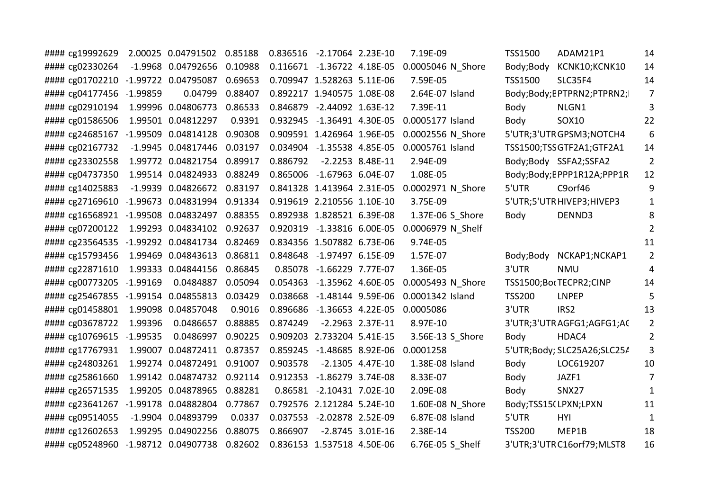| #### cg19992629 2.00025 0.04791502 0.85188                                  |                              |                 | 0.836516 -2.17064 2.23E-10 |                            |                    | 7.19E-09                             | TSS1500        | ADAM21P1                    | 14             |  |
|-----------------------------------------------------------------------------|------------------------------|-----------------|----------------------------|----------------------------|--------------------|--------------------------------------|----------------|-----------------------------|----------------|--|
| #### cg02330264                                                             | -1.9968  0.04792656  0.10988 |                 | 0.116671 -1.36722 4.18E-05 |                            |                    | 0.0005046 N_Shore                    | Body;Body      | KCNK10;KCNK10               | 14             |  |
| #### cg01702210 -1.99722 0.04795087 0.69653 0.709947 1.528263 5.11E-06      |                              |                 |                            |                            |                    | 7.59E-05                             | <b>TSS1500</b> | SLC35F4                     | 14             |  |
| #### cg04177456 -1.99859                                                    |                              | 0.04799 0.88407 |                            | 0.892217 1.940575 1.08E-08 |                    | 2.64E-07 Island                      |                | Body;Body;EPTPRN2;PTPRN2;I  | 7              |  |
| #### cg02910194  1.99996  0.04806773  0.86533  0.846879  -2.44092  1.63E-12 |                              |                 |                            |                            |                    | 7.39E-11                             | Body           | NLGN1                       | 3              |  |
| #### cg01586506 1.99501 0.04812297                                          |                              | 0.9391          | 0.932945 -1.36491 4.30E-05 |                            |                    | 0.0005177 Island                     | Body           | SOX10                       | 22             |  |
| #### cg24685167 -1.99509 0.04814128 0.90308                                 |                              |                 | 0.909591 1.426964 1.96E-05 |                            |                    | 0.0002556 N Shore                    |                | 5'UTR;3'UTRGPSM3;NOTCH4     | 6              |  |
| #### cg02167732 -1.9945 0.04817446 0.03197                                  |                              |                 |                            | 0.034904 -1.35538 4.85E-05 |                    | 0.0005761 Island                     |                | TSS1500;TSSGTF2A1;GTF2A1    | 14             |  |
| #### cg23302558 1.99772 0.04821754 0.89917                                  |                              |                 | 0.886792                   |                            | $-2.2253$ 8.48E-11 | 2.94E-09                             |                | Body;Body SSFA2;SSFA2       | $\overline{2}$ |  |
| #### cg04737350 1.99514 0.04824933 0.88249                                  |                              |                 |                            | 0.865006 -1.67963 6.04E-07 |                    | 1.08E-05                             |                | Body;Body;EPPP1R12A;PPP1R   | 12             |  |
| #### cg14025883                                                             | -1.9939  0.04826672  0.83197 |                 |                            | 0.841328 1.413964 2.31E-05 |                    | 0.0002971 N Shore                    | 5'UTR          | C9orf46                     | 9              |  |
| #### cg27169610 -1.99673 0.04831994 0.91334 0.919619 2.210556 1.10E-10      |                              |                 |                            |                            |                    | 3.75E-09                             |                | 5'UTR;5'UTRHIVEP3;HIVEP3    | $\mathbf{1}$   |  |
| #### cg16568921 -1.99508 0.04832497 0.88355 0.892938 1.828521 6.39E-08      |                              |                 |                            |                            |                    | 1.37E-06 S Shore                     | Body           | DENND3                      | 8              |  |
| #### cg07200122 1.99293 0.04834102 0.92637 0.920319 -1.33816 6.00E-05       |                              |                 |                            |                            |                    | 0.0006979 N Shelf                    |                |                             | $\overline{2}$ |  |
| #### cg23564535 -1.99292 0.04841734 0.82469                                 |                              |                 |                            | 0.834356 1.507882 6.73E-06 |                    | 9.74E-05                             |                |                             | 11             |  |
| #### cg15793456 1.99469 0.04843613 0.86811 0.848648 -1.97497 6.15E-09       |                              |                 |                            |                            |                    | 1.57E-07                             |                | Body;Body NCKAP1;NCKAP1     | $\overline{2}$ |  |
| #### cg22871610 1.99333 0.04844156 0.86845                                  |                              |                 |                            | 0.85078 -1.66229 7.77E-07  |                    | 1.36E-05                             | 3'UTR          | <b>NMU</b>                  | 4              |  |
| #### cg00773205 -1.99169                                                    | 0.0484887  0.05094           |                 | 0.054363 -1.35962 4.60E-05 |                            |                    | 0.0005493 N Shore                    |                | TSS1500;BorTECPR2;CINP      | 14             |  |
| #### cg25467855 -1.99154 0.04855813 0.03429                                 |                              |                 |                            | 0.038668 -1.48144 9.59E-06 |                    | 0.0001342 Island                     | <b>TSS200</b>  | <b>LNPEP</b>                | 5              |  |
| #### cg01458801 1.99098 0.04857048                                          |                              | 0.9016          |                            |                            |                    | 0.896686 -1.36653 4.22E-05 0.0005086 | 3'UTR          | IRS <sub>2</sub>            | 13             |  |
| #### cg03678722 1.99396                                                     | 0.0486657 0.88885            |                 | 0.874249                   |                            | $-2.2963$ 2.37E-11 | 8.97E-10                             |                | 3'UTR;3'UTRAGFG1;AGFG1;AC   | $\overline{2}$ |  |
| #### cg10769615 -1.99535                                                    | 0.0486997 0.90225            |                 |                            | 0.909203 2.733204 5.41E-15 |                    | 3.56E-13 S Shore                     | Body           | HDAC4                       | $\overline{2}$ |  |
| #### cg17767931 1.99007 0.04872411 0.87357                                  |                              |                 |                            | 0.859245 -1.48685 8.92E-06 |                    | 0.0001258                            |                | 5'UTR;Body; SLC25A26;SLC25A | 3              |  |
| #### cg24803261 1.99274 0.04872491 0.91007                                  |                              |                 | 0.903578                   |                            | -2.1305 4.47E-10   | 1.38E-08 Island                      | Body           | LOC619207                   | 10             |  |
| #### cg25861660 1.99142 0.04874732 0.92114 0.912353 -1.86279 3.74E-08       |                              |                 |                            |                            |                    | 8.33E-07                             | Body           | JAZF1                       | 7              |  |
| #### cg26571535 1.99205 0.04878965 0.88281                                  |                              |                 |                            | 0.86581 -2.10431 7.02E-10  |                    | 2.09E-08                             | Body           | SNX27                       | $\mathbf 1$    |  |
| #### cg23641267 -1.99178 0.04882804 0.77867                                 |                              |                 |                            | 0.792576 2.121284 5.24E-10 |                    | 1.60E-08 N_Shore                     |                | Body;TSS15(LPXN;LPXN        | 11             |  |
| #### cg09514055                                                             | -1.9904 0.04893799           | 0.0337          | 0.037553 -2.02878 2.52E-09 |                            |                    | 6.87E-08 Island                      | 5'UTR          | HYI                         | $\mathbf{1}$   |  |
| #### cg12602653 1.99295 0.04902256 0.88075                                  |                              |                 | 0.866907                   |                            | $-2.8745$ 3.01E-16 | 2.38E-14                             | <b>TSS200</b>  | MEP1B                       | 18             |  |
| #### cg05248960 -1.98712 0.04907738 0.82602 0.836153 1.537518 4.50E-06      |                              |                 |                            |                            |                    | 6.76E-05 S Shelf                     |                | 3'UTR;3'UTRC16orf79;MLST8   | 16             |  |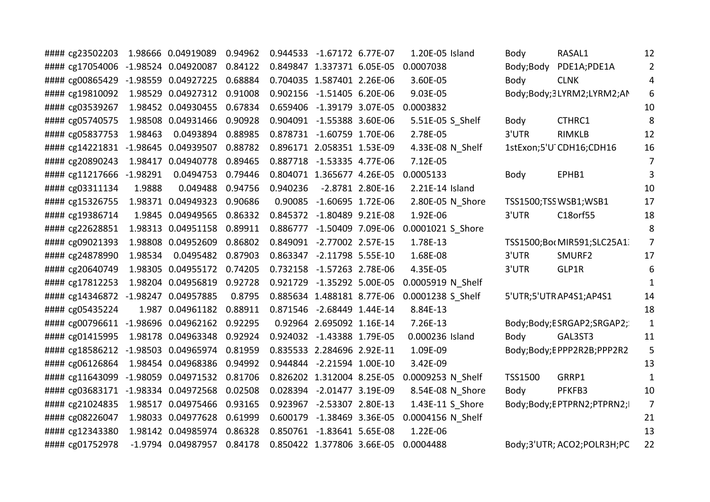| #### cg23502203 1.98666 0.04919089 0.94962 0.944533 -1.67172 6.77E-07            |        |                                                            |                            |                           |                  | 1.20E-05 Island                                                                          | <b>Body</b>          | RASAL1                     | 12             |
|----------------------------------------------------------------------------------|--------|------------------------------------------------------------|----------------------------|---------------------------|------------------|------------------------------------------------------------------------------------------|----------------------|----------------------------|----------------|
| #### cg17054006 -1.98524 0.04920087 0.84122 0.849847 1.337371 6.05E-05 0.0007038 |        |                                                            |                            |                           |                  |                                                                                          | Body;Body            | PDE1A;PDE1A                | $\overline{2}$ |
| #### cg00865429 -1.98559 0.04927225 0.68884 0.704035 1.587401 2.26E-06           |        |                                                            |                            |                           |                  | 3.60E-05                                                                                 | Body                 | <b>CLNK</b>                | 4              |
| #### cg19810092 1.98529 0.04927312 0.91008 0.902156 -1.51405 6.20E-06            |        |                                                            |                            |                           |                  | 9.03E-05                                                                                 |                      | Body;Body;3LYRM2;LYRM2;AN  | 6              |
| #### cg03539267 1.98452 0.04930455 0.67834 0.659406 -1.39179 3.07E-05 0.0003832  |        |                                                            |                            |                           |                  |                                                                                          |                      |                            | 10             |
| #### cg05740575  1.98508  0.04931466  0.90928  0.904091  -1.55388  3.60E-06      |        |                                                            |                            |                           |                  | 5.51E-05 S_Shelf                                                                         | Body                 | CTHRC1                     | 8              |
| #### cg05837753 1.98463 0.0493894 0.88985 0.878731 -1.60759 1.70E-06             |        |                                                            |                            |                           |                  | 2.78E-05                                                                                 | 3'UTR                | <b>RIMKLB</b>              | 12             |
| #### cg14221831 -1.98645 0.04939507 0.88782 0.896171 2.058351 1.53E-09           |        |                                                            |                            |                           |                  | 4.33E-08 N_Shelf                                                                         |                      | 1stExon;5'U CDH16;CDH16    | 16             |
| #### cg20890243 1.98417 0.04940778 0.89465 0.887718 -1.53335 4.77E-06            |        |                                                            |                            |                           |                  | 7.12E-05                                                                                 |                      |                            |                |
| #### cg11217666 -1.98291                                                         |        | 0.0494753 0.79446                                          |                            |                           |                  | 0.804071 1.365677 4.26E-05 0.0005133                                                     | Body                 | EPHB1                      | 3              |
| #### cg03311134                                                                  | 1.9888 | 0.049488 0.94756                                           | 0.940236                   |                           | -2.8781 2.80E-16 | 2.21E-14 Island                                                                          |                      |                            | 10             |
| #### cg15326755 1.98371 0.04949323 0.90686                                       |        |                                                            |                            | 0.90085 -1.60695 1.72E-06 |                  | 2.80E-05 N_Shore                                                                         | TSS1500;TSSWSB1;WSB1 |                            | 17             |
| #### cg19386714                                                                  |        | 1.9845  0.04949565  0.86332                                | 0.845372 -1.80489 9.21E-08 |                           |                  | 1.92E-06                                                                                 | 3'UTR                | C18orf55                   | 18             |
|                                                                                  |        |                                                            |                            |                           |                  | #### cg22628851 1.98313 0.04951158 0.89911 0.886777 -1.50409 7.09E-06 0.0001021 S_Shore  |                      |                            | 8              |
| #### cg09021393  1.98808  0.04952609  0.86802  0.849091  -2.77002  2.57E-15      |        |                                                            |                            |                           |                  | 1.78E-13                                                                                 |                      | TSS1500;BocMIR591;SLC25A1  | $\overline{7}$ |
| #### cg24878990 1.98534 0.0495482 0.87903                                        |        |                                                            | 0.863347 -2.11798 5.55E-10 |                           |                  | 1.68E-08                                                                                 | 3'UTR                | SMURF2                     | 17             |
| #### cg20640749                                                                  |        | 1.98305  0.04955172  0.74205  0.732158  -1.57263  2.78E-06 |                            |                           |                  | 4.35E-05                                                                                 | 3'UTR                | GLP1R                      | 6              |
|                                                                                  |        |                                                            |                            |                           |                  | #### cg17812253 1.98204 0.04956819 0.92728 0.921729 -1.35292 5.00E-05 0.0005919 N Shelf  |                      |                            |                |
| #### cg14346872 -1.98247 0.04957885                                              |        |                                                            |                            |                           |                  | 0.8795  0.885634  1.488181  8.77E-06  0.0001238  S  Shelf                                |                      | 5'UTR;5'UTRAP4S1;AP4S1     | 14             |
| #### cg05435224                                                                  |        | 1.987  0.04961182  0.88911  0.871546  -2.68449  1.44E-14   |                            |                           |                  | 8.84E-13                                                                                 |                      |                            | 18             |
| #### cg00796611 -1.98696 0.04962162 0.92295                                      |        |                                                            |                            | 0.92964 2.695092 1.16E-14 |                  | 7.26E-13                                                                                 |                      | Body;Body;ESRGAP2;SRGAP2;  | $\mathbf 1$    |
| #### cg01415995 1.98178 0.04963348 0.92924                                       |        |                                                            | 0.924032 -1.43388 1.79E-05 |                           |                  | 0.000236 Island                                                                          | Body                 | GAL3ST3                    | 11             |
| #### cg18586212 -1.98503 0.04965974 0.81959 0.835533 2.284696 2.92E-11           |        |                                                            |                            |                           |                  | 1.09E-09                                                                                 |                      | Body;Body;EPPP2R2B;PPP2R2  | 5              |
| #### cg06126864 1.98454 0.04968386 0.94992 0.944844 -2.21594 1.00E-10            |        |                                                            |                            |                           |                  | 3.42E-09                                                                                 |                      |                            | 13             |
|                                                                                  |        |                                                            |                            |                           |                  | #### cg11643099 -1.98059 0.04971532 0.81706 0.826202 1.312004 8.25E-05 0.0009253 N Shelf | <b>TSS1500</b>       | GRRP1                      |                |
| #### cg03683171 -1.98334 0.04972568 0.02508                                      |        |                                                            | 0.028394 -2.01477 3.19E-09 |                           |                  | 8.54E-08 N Shore                                                                         | Body                 | PFKFB3                     | 10             |
| #### cg21024835 1.98517 0.04975466 0.93165 0.923967 -2.53307 2.80E-13            |        |                                                            |                            |                           |                  | 1.43E-11 S_Shore                                                                         |                      | Body;Body;EPTPRN2;PTPRN2;  | $\overline{7}$ |
| #### cg08226047 1.98033 0.04977628 0.61999                                       |        |                                                            |                            |                           |                  | 0.600179 -1.38469 3.36E-05 0.0004156 N Shelf                                             |                      |                            | 21             |
| #### cg12343380 1.98142 0.04985974 0.86328                                       |        |                                                            | 0.850761 -1.83641 5.65E-08 |                           |                  | 1.22E-06                                                                                 |                      |                            | 13             |
| #### cg01752978 -1.9794 0.04987957 0.84178 0.850422 1.377806 3.66E-05 0.0004488  |        |                                                            |                            |                           |                  |                                                                                          |                      | Body;3'UTR; ACO2;POLR3H;PC | 22             |